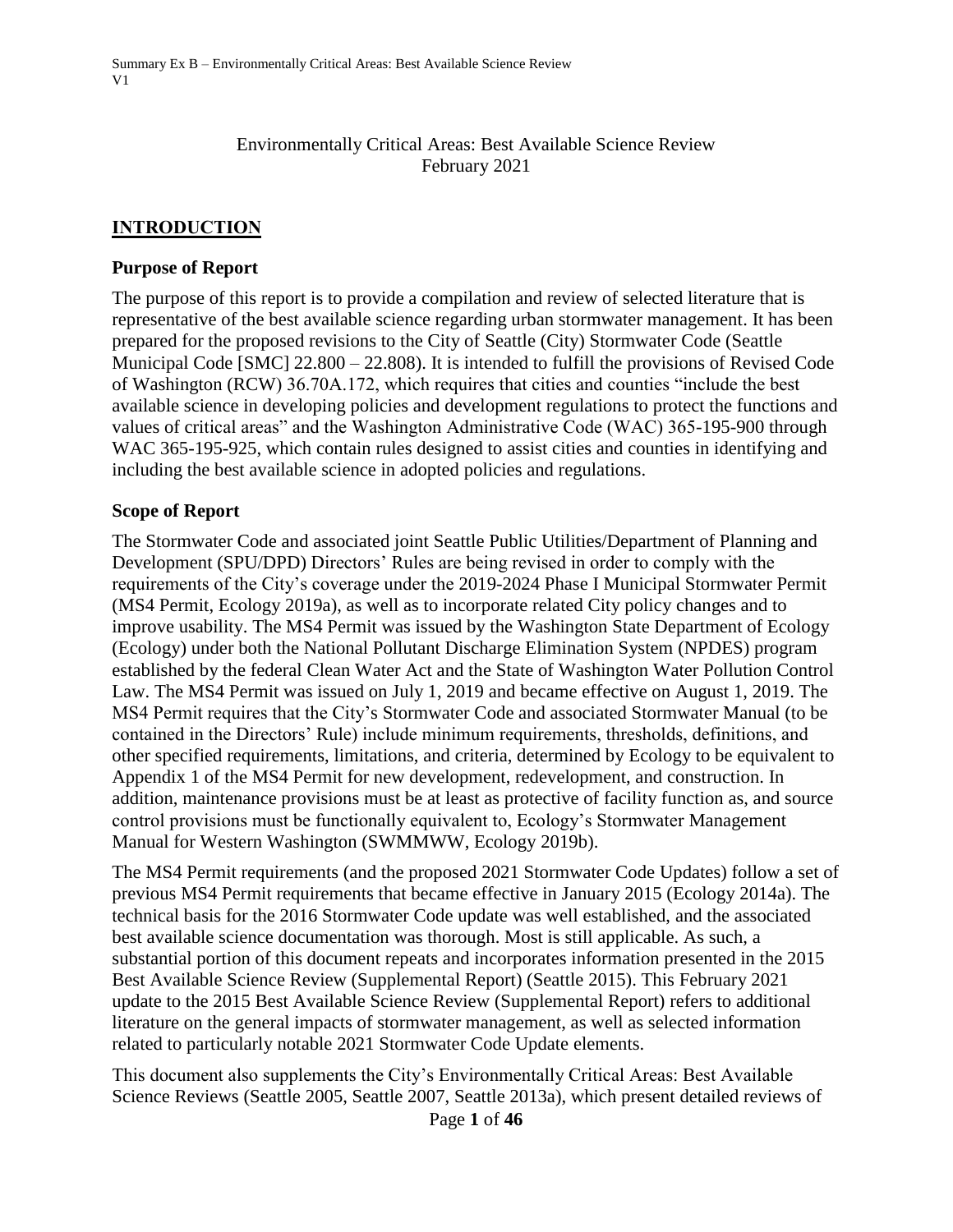#### Environmentally Critical Areas: Best Available Science Review February 2021

### **INTRODUCTION**

#### **Purpose of Report**

The purpose of this report is to provide a compilation and review of selected literature that is representative of the best available science regarding urban stormwater management. It has been prepared for the proposed revisions to the City of Seattle (City) Stormwater Code (Seattle Municipal Code [SMC] 22.800 – 22.808). It is intended to fulfill the provisions of Revised Code of Washington (RCW) 36.70A.172, which requires that cities and counties "include the best available science in developing policies and development regulations to protect the functions and values of critical areas" and the Washington Administrative Code (WAC) 365-195-900 through WAC 365-195-925, which contain rules designed to assist cities and counties in identifying and including the best available science in adopted policies and regulations.

### **Scope of Report**

The Stormwater Code and associated joint Seattle Public Utilities/Department of Planning and Development (SPU/DPD) Directors' Rules are being revised in order to comply with the requirements of the City's coverage under the 2019-2024 Phase I Municipal Stormwater Permit (MS4 Permit, Ecology 2019a), as well as to incorporate related City policy changes and to improve usability. The MS4 Permit was issued by the Washington State Department of Ecology (Ecology) under both the National Pollutant Discharge Elimination System (NPDES) program established by the federal Clean Water Act and the State of Washington Water Pollution Control Law. The MS4 Permit was issued on July 1, 2019 and became effective on August 1, 2019. The MS4 Permit requires that the City's Stormwater Code and associated Stormwater Manual (to be contained in the Directors' Rule) include minimum requirements, thresholds, definitions, and other specified requirements, limitations, and criteria, determined by Ecology to be equivalent to Appendix 1 of the MS4 Permit for new development, redevelopment, and construction. In addition, maintenance provisions must be at least as protective of facility function as, and source control provisions must be functionally equivalent to, Ecology's Stormwater Management Manual for Western Washington (SWMMWW, Ecology 2019b).

The MS4 Permit requirements (and the proposed 2021 Stormwater Code Updates) follow a set of previous MS4 Permit requirements that became effective in January 2015 (Ecology 2014a). The technical basis for the 2016 Stormwater Code update was well established, and the associated best available science documentation was thorough. Most is still applicable. As such, a substantial portion of this document repeats and incorporates information presented in the 2015 Best Available Science Review (Supplemental Report) (Seattle 2015). This February 2021 update to the 2015 Best Available Science Review (Supplemental Report) refers to additional literature on the general impacts of stormwater management, as well as selected information related to particularly notable 2021 Stormwater Code Update elements.

This document also supplements the City's Environmentally Critical Areas: Best Available Science Reviews (Seattle 2005, Seattle 2007, Seattle 2013a), which present detailed reviews of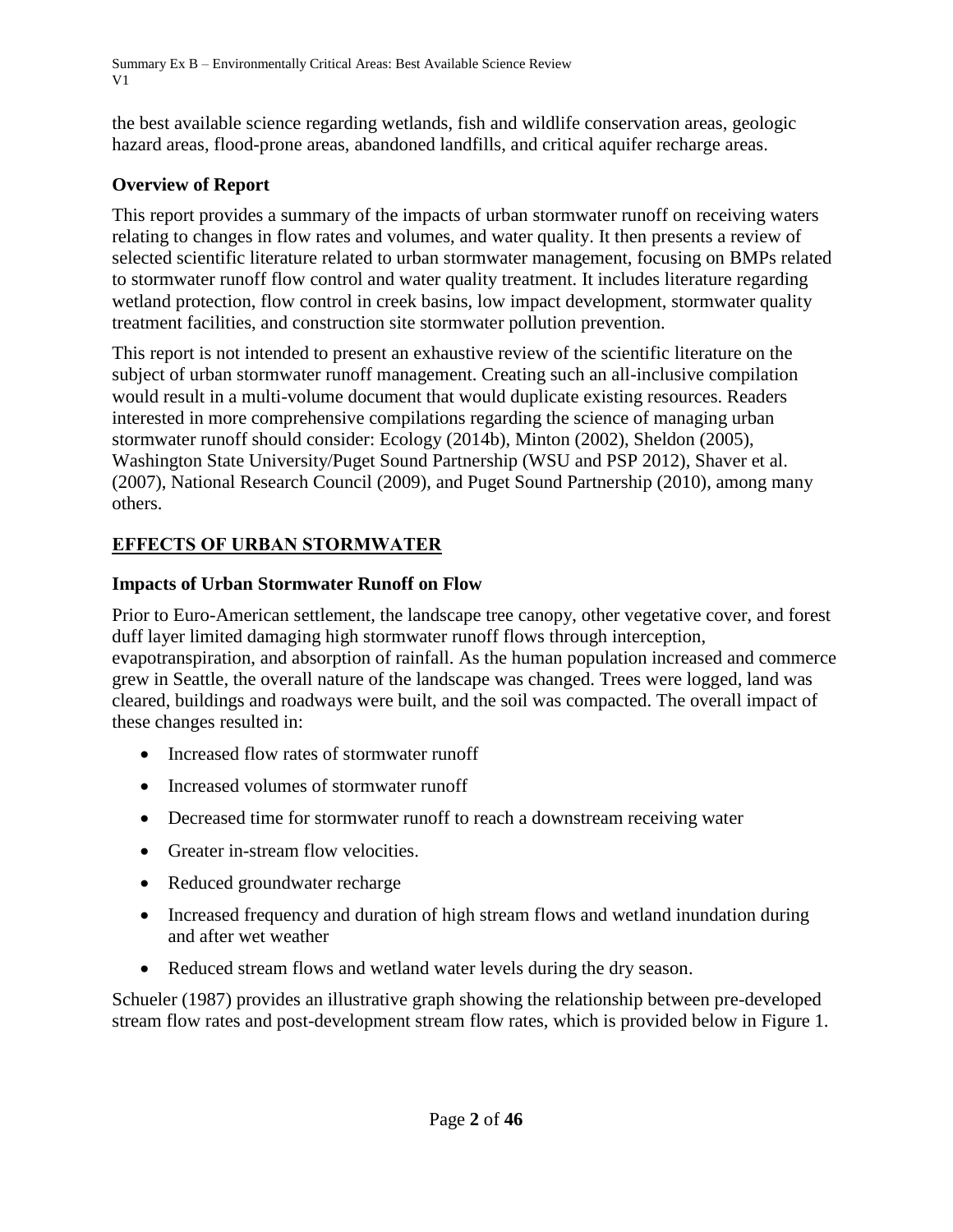the best available science regarding wetlands, fish and wildlife conservation areas, geologic hazard areas, flood-prone areas, abandoned landfills, and critical aquifer recharge areas.

# **Overview of Report**

This report provides a summary of the impacts of urban stormwater runoff on receiving waters relating to changes in flow rates and volumes, and water quality. It then presents a review of selected scientific literature related to urban stormwater management, focusing on BMPs related to stormwater runoff flow control and water quality treatment. It includes literature regarding wetland protection, flow control in creek basins, low impact development, stormwater quality treatment facilities, and construction site stormwater pollution prevention.

This report is not intended to present an exhaustive review of the scientific literature on the subject of urban stormwater runoff management. Creating such an all-inclusive compilation would result in a multi-volume document that would duplicate existing resources. Readers interested in more comprehensive compilations regarding the science of managing urban stormwater runoff should consider: Ecology (2014b), Minton (2002), Sheldon (2005), Washington State University/Puget Sound Partnership (WSU and PSP 2012), Shaver et al. (2007), National Research Council (2009), and Puget Sound Partnership (2010), among many others.

# **EFFECTS OF URBAN STORMWATER**

# **Impacts of Urban Stormwater Runoff on Flow**

Prior to Euro-American settlement, the landscape tree canopy, other vegetative cover, and forest duff layer limited damaging high stormwater runoff flows through interception, evapotranspiration, and absorption of rainfall. As the human population increased and commerce grew in Seattle, the overall nature of the landscape was changed. Trees were logged, land was cleared, buildings and roadways were built, and the soil was compacted. The overall impact of these changes resulted in:

- Increased flow rates of stormwater runoff
- Increased volumes of stormwater runoff
- Decreased time for stormwater runoff to reach a downstream receiving water
- **•** Greater in-stream flow velocities.
- Reduced groundwater recharge
- Increased frequency and duration of high stream flows and wetland inundation during and after wet weather
- Reduced stream flows and wetland water levels during the dry season.

Schueler (1987) provides an illustrative graph showing the relationship between pre-developed stream flow rates and post-development stream flow rates, which is provided below in Figure 1.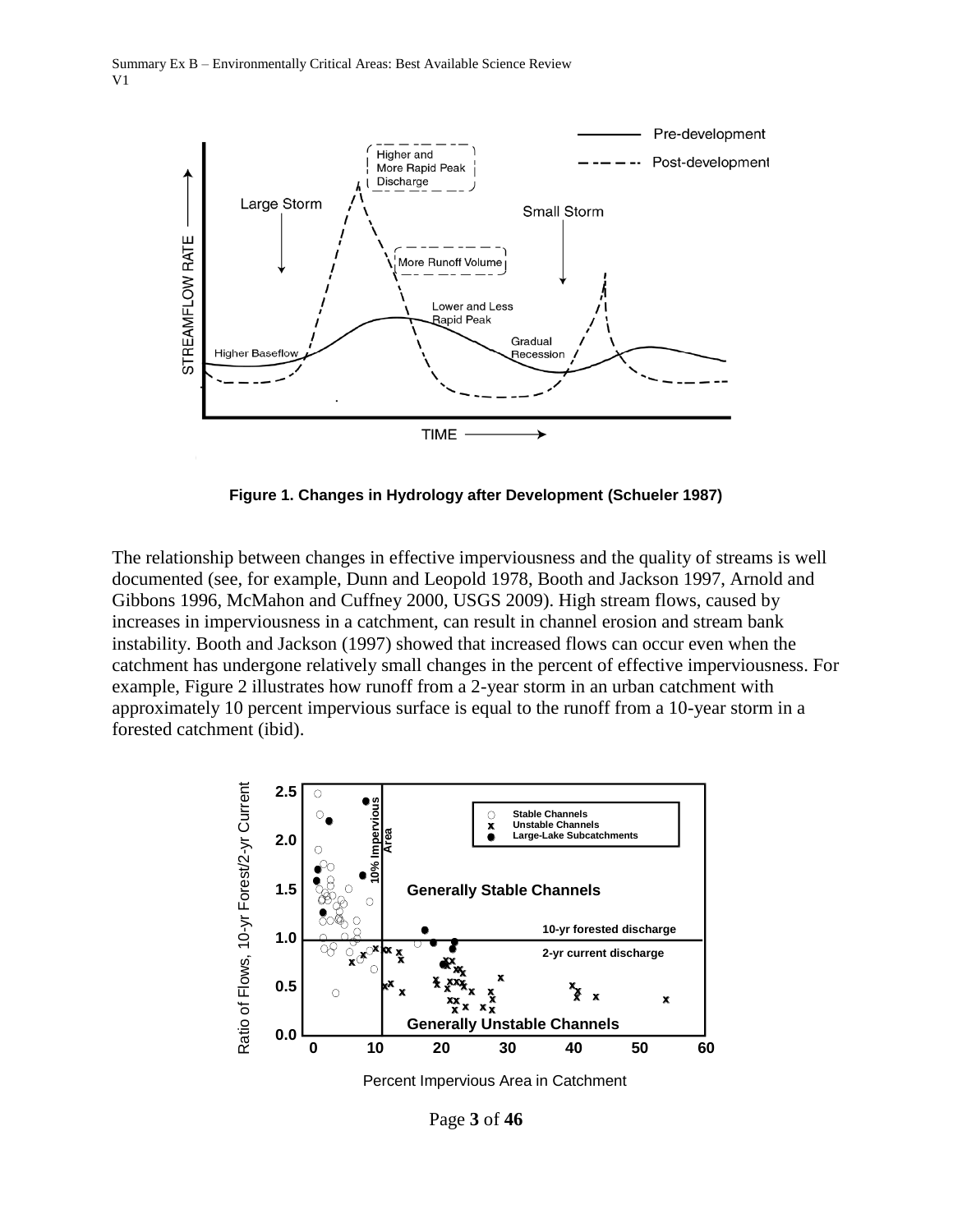

**Figure 1. Changes in Hydrology after Development (Schueler 1987)**

The relationship between changes in effective imperviousness and the quality of streams is well documented (see, for example, Dunn and Leopold 1978, Booth and Jackson 1997, Arnold and Gibbons 1996, McMahon and Cuffney 2000, USGS 2009). High stream flows, caused by increases in imperviousness in a catchment, can result in channel erosion and stream bank instability. Booth and Jackson (1997) showed that increased flows can occur even when the catchment has undergone relatively small changes in the percent of effective imperviousness. For example, Figure 2 illustrates how runoff from a 2-year storm in an urban catchment with approximately 10 percent impervious surface is equal to the runoff from a 10-year storm in a forested catchment (ibid).



Percent Impervious Area in Catchment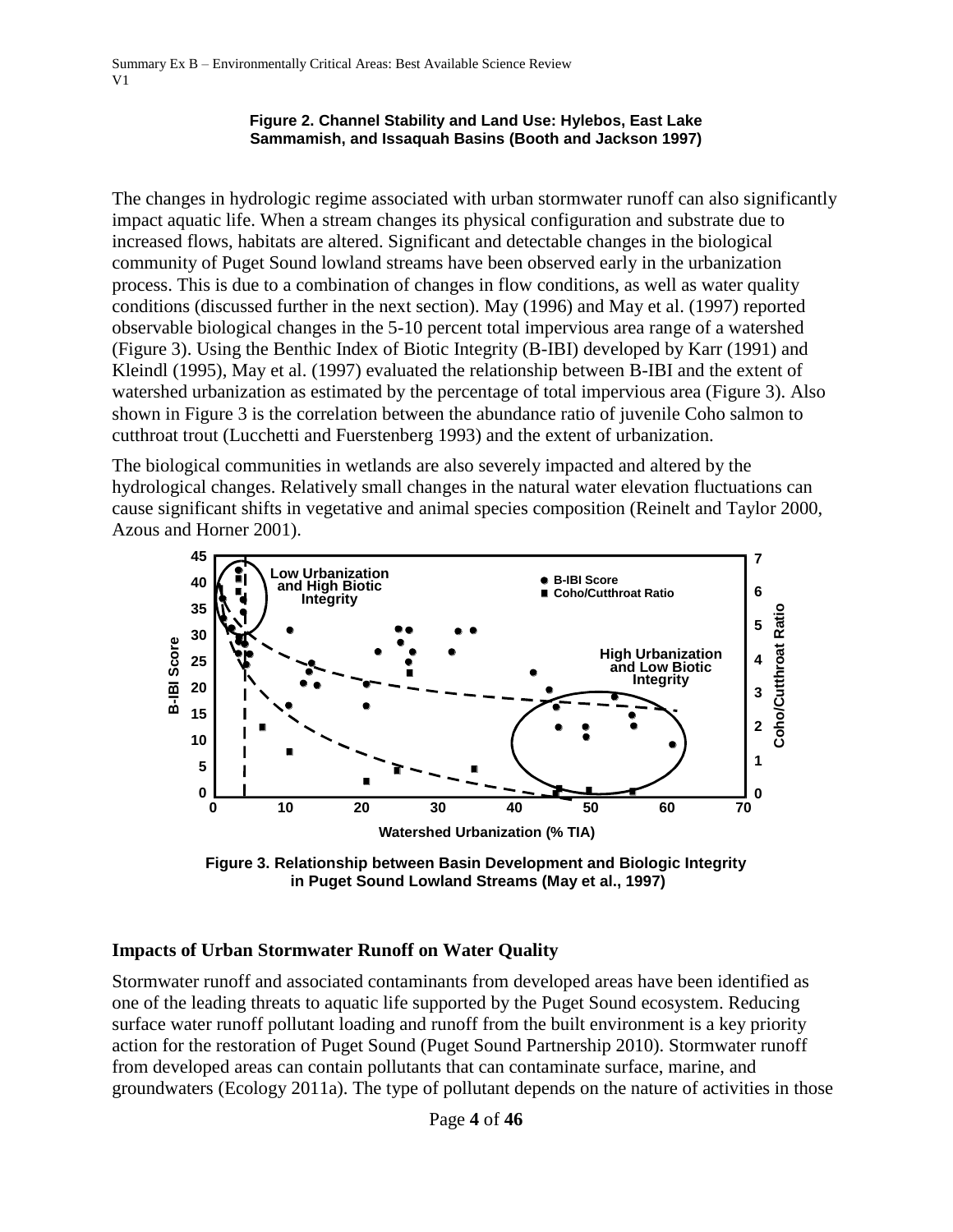#### **Figure 2. Channel Stability and Land Use: Hylebos, East Lake Sammamish, and Issaquah Basins (Booth and Jackson 1997)**

The changes in hydrologic regime associated with urban stormwater runoff can also significantly impact aquatic life. When a stream changes its physical configuration and substrate due to increased flows, habitats are altered. Significant and detectable changes in the biological community of Puget Sound lowland streams have been observed early in the urbanization process. This is due to a combination of changes in flow conditions, as well as water quality conditions (discussed further in the next section). May (1996) and May et al. (1997) reported observable biological changes in the 5-10 percent total impervious area range of a watershed (Figure 3). Using the Benthic Index of Biotic Integrity (B-IBI) developed by Karr (1991) and Kleindl (1995), May et al. (1997) evaluated the relationship between B-IBI and the extent of watershed urbanization as estimated by the percentage of total impervious area (Figure 3). Also shown in Figure 3 is the correlation between the abundance ratio of juvenile Coho salmon to cutthroat trout (Lucchetti and Fuerstenberg 1993) and the extent of urbanization.

The biological communities in wetlands are also severely impacted and altered by the hydrological changes. Relatively small changes in the natural water elevation fluctuations can cause significant shifts in vegetative and animal species composition (Reinelt and Taylor 2000, Azous and Horner 2001).



**Figure 3. Relationship between Basin Development and Biologic Integrity in Puget Sound Lowland Streams (May et al., 1997)**

### **Impacts of Urban Stormwater Runoff on Water Quality**

Stormwater runoff and associated contaminants from developed areas have been identified as one of the leading threats to aquatic life supported by the Puget Sound ecosystem. Reducing surface water runoff pollutant loading and runoff from the built environment is a key priority action for the restoration of Puget Sound (Puget Sound Partnership 2010). Stormwater runoff from developed areas can contain pollutants that can contaminate surface, marine, and groundwaters (Ecology 2011a). The type of pollutant depends on the nature of activities in those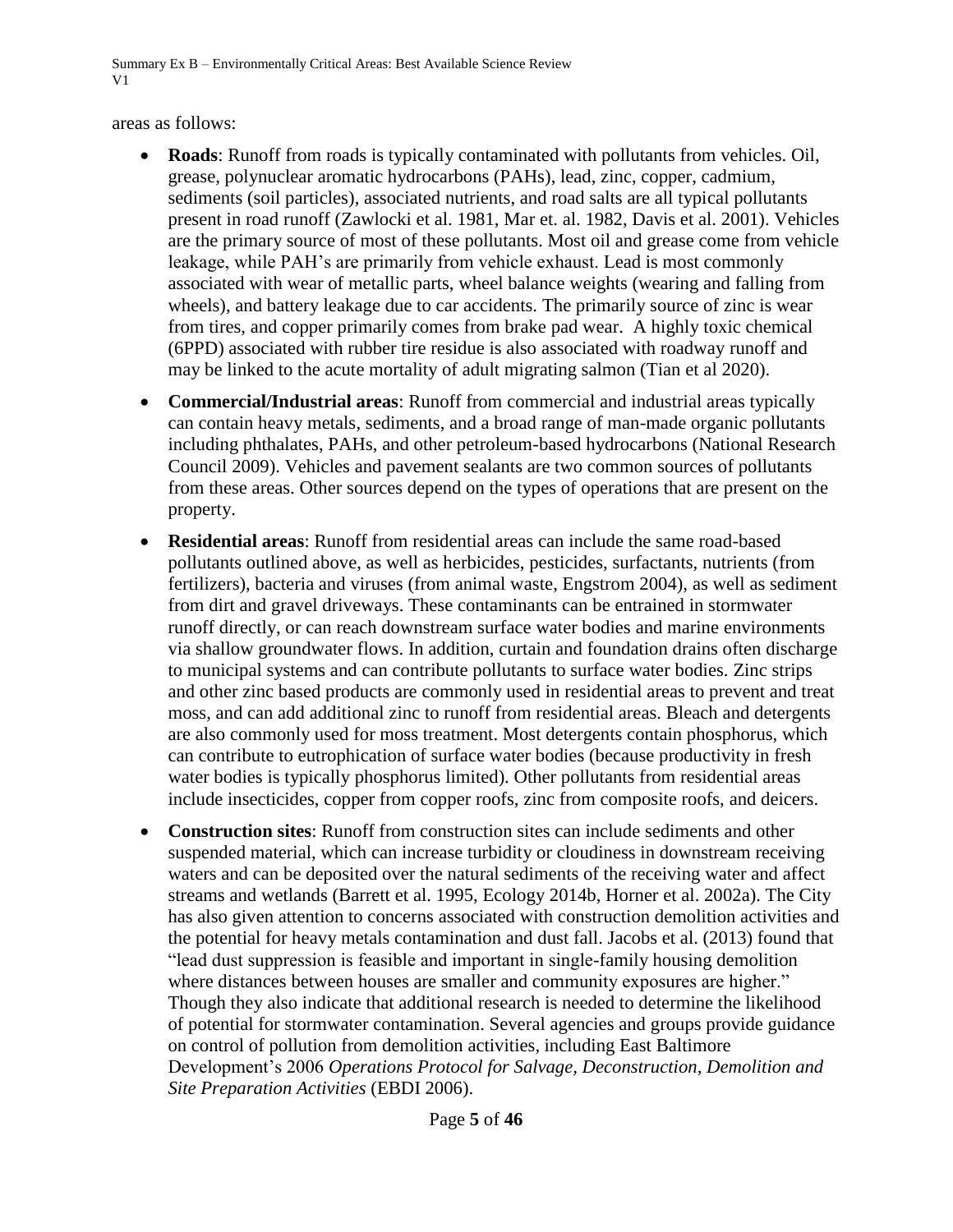areas as follows:

- **Roads**: Runoff from roads is typically contaminated with pollutants from vehicles. Oil, grease, polynuclear aromatic hydrocarbons (PAHs), lead, zinc, copper, cadmium, sediments (soil particles), associated nutrients, and road salts are all typical pollutants present in road runoff (Zawlocki et al. 1981, Mar et. al. 1982, Davis et al. 2001). Vehicles are the primary source of most of these pollutants. Most oil and grease come from vehicle leakage, while PAH's are primarily from vehicle exhaust. Lead is most commonly associated with wear of metallic parts, wheel balance weights (wearing and falling from wheels), and battery leakage due to car accidents. The primarily source of zinc is wear from tires, and copper primarily comes from brake pad wear. A highly toxic chemical (6PPD) associated with rubber tire residue is also associated with roadway runoff and may be linked to the acute mortality of adult migrating salmon (Tian et al 2020).
- **Commercial/Industrial areas**: Runoff from commercial and industrial areas typically can contain heavy metals, sediments, and a broad range of man-made organic pollutants including phthalates, PAHs, and other petroleum-based hydrocarbons (National Research Council 2009). Vehicles and pavement sealants are two common sources of pollutants from these areas. Other sources depend on the types of operations that are present on the property.
- **Residential areas**: Runoff from residential areas can include the same road-based pollutants outlined above, as well as herbicides, pesticides, surfactants, nutrients (from fertilizers), bacteria and viruses (from animal waste, Engstrom 2004), as well as sediment from dirt and gravel driveways. These contaminants can be entrained in stormwater runoff directly, or can reach downstream surface water bodies and marine environments via shallow groundwater flows. In addition, curtain and foundation drains often discharge to municipal systems and can contribute pollutants to surface water bodies. Zinc strips and other zinc based products are commonly used in residential areas to prevent and treat moss, and can add additional zinc to runoff from residential areas. Bleach and detergents are also commonly used for moss treatment. Most detergents contain phosphorus, which can contribute to eutrophication of surface water bodies (because productivity in fresh water bodies is typically phosphorus limited). Other pollutants from residential areas include insecticides, copper from copper roofs, zinc from composite roofs, and deicers.
- **Construction sites**: Runoff from construction sites can include sediments and other suspended material, which can increase turbidity or cloudiness in downstream receiving waters and can be deposited over the natural sediments of the receiving water and affect streams and wetlands (Barrett et al. 1995, Ecology 2014b, Horner et al. 2002a). The City has also given attention to concerns associated with construction demolition activities and the potential for heavy metals contamination and dust fall. Jacobs et al. (2013) found that "lead dust suppression is feasible and important in single-family housing demolition where distances between houses are smaller and community exposures are higher." Though they also indicate that additional research is needed to determine the likelihood of potential for stormwater contamination. Several agencies and groups provide guidance on control of pollution from demolition activities, including East Baltimore Development's 2006 *Operations Protocol for Salvage, Deconstruction, Demolition and Site Preparation Activities* (EBDI 2006).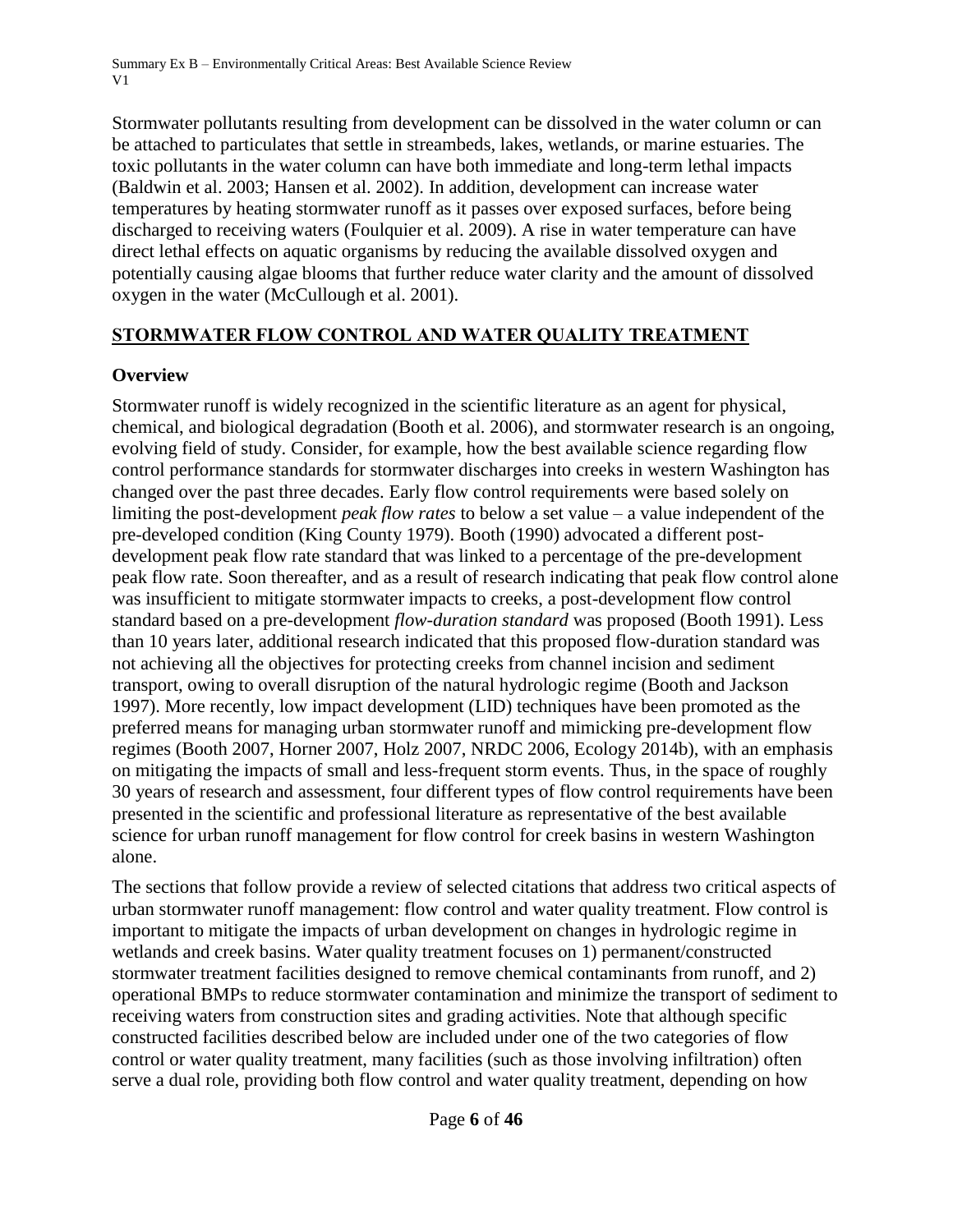Stormwater pollutants resulting from development can be dissolved in the water column or can be attached to particulates that settle in streambeds, lakes, wetlands, or marine estuaries. The toxic pollutants in the water column can have both immediate and long-term lethal impacts (Baldwin et al. 2003; Hansen et al. 2002). In addition, development can increase water temperatures by heating stormwater runoff as it passes over exposed surfaces, before being discharged to receiving waters (Foulquier et al. 2009). A rise in water temperature can have direct lethal effects on aquatic organisms by reducing the available dissolved oxygen and potentially causing algae blooms that further reduce water clarity and the amount of dissolved oxygen in the water (McCullough et al. 2001).

## **STORMWATER FLOW CONTROL AND WATER QUALITY TREATMENT**

## **Overview**

Stormwater runoff is widely recognized in the scientific literature as an agent for physical, chemical, and biological degradation (Booth et al. 2006), and stormwater research is an ongoing, evolving field of study. Consider, for example, how the best available science regarding flow control performance standards for stormwater discharges into creeks in western Washington has changed over the past three decades. Early flow control requirements were based solely on limiting the post-development *peak flow rates* to below a set value – a value independent of the pre-developed condition (King County 1979). Booth (1990) advocated a different postdevelopment peak flow rate standard that was linked to a percentage of the pre-development peak flow rate. Soon thereafter, and as a result of research indicating that peak flow control alone was insufficient to mitigate stormwater impacts to creeks, a post-development flow control standard based on a pre-development *flow-duration standard* was proposed (Booth 1991). Less than 10 years later, additional research indicated that this proposed flow-duration standard was not achieving all the objectives for protecting creeks from channel incision and sediment transport, owing to overall disruption of the natural hydrologic regime (Booth and Jackson 1997). More recently, low impact development (LID) techniques have been promoted as the preferred means for managing urban stormwater runoff and mimicking pre-development flow regimes (Booth 2007, Horner 2007, Holz 2007, NRDC 2006, Ecology 2014b), with an emphasis on mitigating the impacts of small and less-frequent storm events. Thus, in the space of roughly 30 years of research and assessment, four different types of flow control requirements have been presented in the scientific and professional literature as representative of the best available science for urban runoff management for flow control for creek basins in western Washington alone.

The sections that follow provide a review of selected citations that address two critical aspects of urban stormwater runoff management: flow control and water quality treatment. Flow control is important to mitigate the impacts of urban development on changes in hydrologic regime in wetlands and creek basins. Water quality treatment focuses on 1) permanent/constructed stormwater treatment facilities designed to remove chemical contaminants from runoff, and 2) operational BMPs to reduce stormwater contamination and minimize the transport of sediment to receiving waters from construction sites and grading activities. Note that although specific constructed facilities described below are included under one of the two categories of flow control or water quality treatment, many facilities (such as those involving infiltration) often serve a dual role, providing both flow control and water quality treatment, depending on how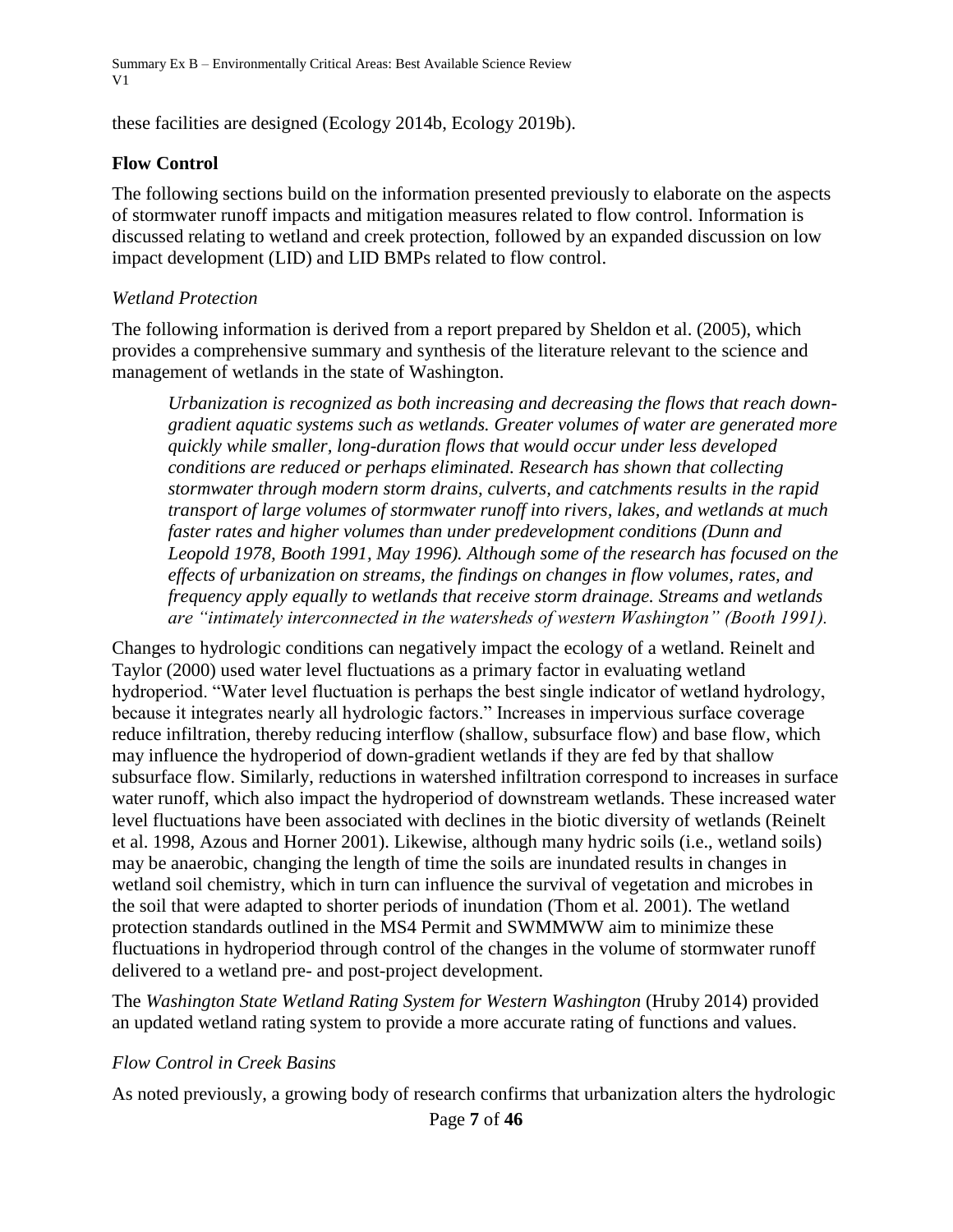these facilities are designed (Ecology 2014b, Ecology 2019b).

#### **Flow Control**

The following sections build on the information presented previously to elaborate on the aspects of stormwater runoff impacts and mitigation measures related to flow control. Information is discussed relating to wetland and creek protection, followed by an expanded discussion on low impact development (LID) and LID BMPs related to flow control.

#### *Wetland Protection*

The following information is derived from a report prepared by Sheldon et al. (2005), which provides a comprehensive summary and synthesis of the literature relevant to the science and management of wetlands in the state of Washington.

*Urbanization is recognized as both increasing and decreasing the flows that reach downgradient aquatic systems such as wetlands. Greater volumes of water are generated more quickly while smaller, long-duration flows that would occur under less developed conditions are reduced or perhaps eliminated. Research has shown that collecting stormwater through modern storm drains, culverts, and catchments results in the rapid transport of large volumes of stormwater runoff into rivers, lakes, and wetlands at much faster rates and higher volumes than under predevelopment conditions (Dunn and Leopold 1978, Booth 1991, May 1996). Although some of the research has focused on the effects of urbanization on streams, the findings on changes in flow volumes, rates, and frequency apply equally to wetlands that receive storm drainage. Streams and wetlands are "intimately interconnected in the watersheds of western Washington" (Booth 1991).* 

Changes to hydrologic conditions can negatively impact the ecology of a wetland. Reinelt and Taylor (2000) used water level fluctuations as a primary factor in evaluating wetland hydroperiod. "Water level fluctuation is perhaps the best single indicator of wetland hydrology, because it integrates nearly all hydrologic factors." Increases in impervious surface coverage reduce infiltration, thereby reducing interflow (shallow, subsurface flow) and base flow, which may influence the hydroperiod of down-gradient wetlands if they are fed by that shallow subsurface flow. Similarly, reductions in watershed infiltration correspond to increases in surface water runoff, which also impact the hydroperiod of downstream wetlands. These increased water level fluctuations have been associated with declines in the biotic diversity of wetlands (Reinelt et al. 1998, Azous and Horner 2001). Likewise, although many hydric soils (i.e., wetland soils) may be anaerobic, changing the length of time the soils are inundated results in changes in wetland soil chemistry, which in turn can influence the survival of vegetation and microbes in the soil that were adapted to shorter periods of inundation (Thom et al*.* 2001). The wetland protection standards outlined in the MS4 Permit and SWMMWW aim to minimize these fluctuations in hydroperiod through control of the changes in the volume of stormwater runoff delivered to a wetland pre- and post-project development.

The *Washington State Wetland Rating System for Western Washington* (Hruby 2014) provided an updated wetland rating system to provide a more accurate rating of functions and values.

#### *Flow Control in Creek Basins*

As noted previously, a growing body of research confirms that urbanization alters the hydrologic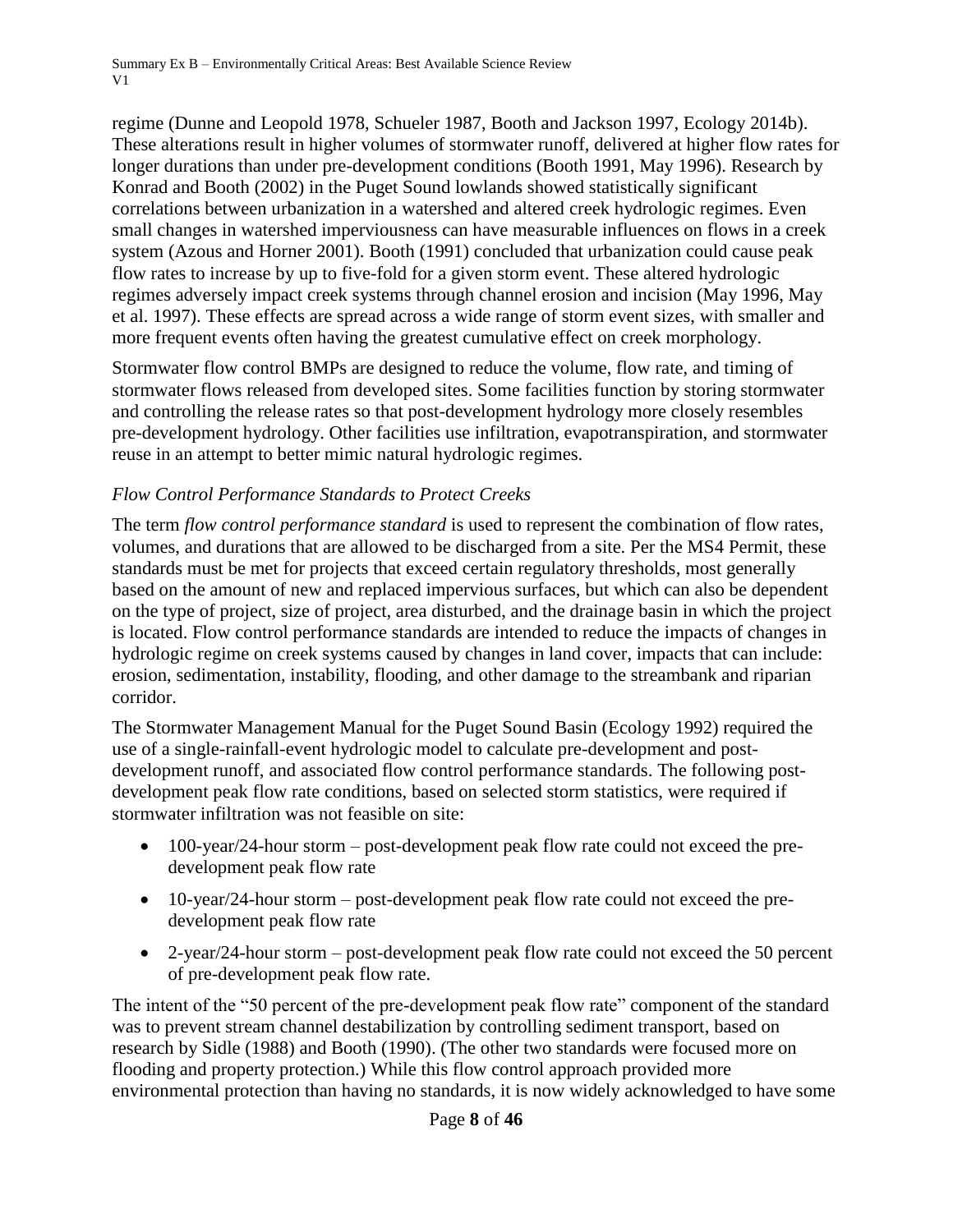regime (Dunne and Leopold 1978, Schueler 1987, Booth and Jackson 1997, Ecology 2014b). These alterations result in higher volumes of stormwater runoff, delivered at higher flow rates for longer durations than under pre-development conditions (Booth 1991, May 1996). Research by Konrad and Booth (2002) in the Puget Sound lowlands showed statistically significant correlations between urbanization in a watershed and altered creek hydrologic regimes. Even small changes in watershed imperviousness can have measurable influences on flows in a creek system (Azous and Horner 2001). Booth (1991) concluded that urbanization could cause peak flow rates to increase by up to five-fold for a given storm event. These altered hydrologic regimes adversely impact creek systems through channel erosion and incision (May 1996, May et al. 1997). These effects are spread across a wide range of storm event sizes, with smaller and more frequent events often having the greatest cumulative effect on creek morphology.

Stormwater flow control BMPs are designed to reduce the volume, flow rate, and timing of stormwater flows released from developed sites. Some facilities function by storing stormwater and controlling the release rates so that post-development hydrology more closely resembles pre-development hydrology. Other facilities use infiltration, evapotranspiration, and stormwater reuse in an attempt to better mimic natural hydrologic regimes.

### *Flow Control Performance Standards to Protect Creeks*

The term *flow control performance standard* is used to represent the combination of flow rates, volumes, and durations that are allowed to be discharged from a site. Per the MS4 Permit, these standards must be met for projects that exceed certain regulatory thresholds, most generally based on the amount of new and replaced impervious surfaces, but which can also be dependent on the type of project, size of project, area disturbed, and the drainage basin in which the project is located. Flow control performance standards are intended to reduce the impacts of changes in hydrologic regime on creek systems caused by changes in land cover, impacts that can include: erosion, sedimentation, instability, flooding, and other damage to the streambank and riparian corridor.

The Stormwater Management Manual for the Puget Sound Basin (Ecology 1992) required the use of a single-rainfall-event hydrologic model to calculate pre-development and postdevelopment runoff, and associated flow control performance standards. The following postdevelopment peak flow rate conditions, based on selected storm statistics, were required if stormwater infiltration was not feasible on site:

- 100-year/24-hour storm post-development peak flow rate could not exceed the predevelopment peak flow rate
- 10-year/24-hour storm post-development peak flow rate could not exceed the predevelopment peak flow rate
- 2-year/24-hour storm post-development peak flow rate could not exceed the 50 percent of pre-development peak flow rate.

The intent of the "50 percent of the pre-development peak flow rate" component of the standard was to prevent stream channel destabilization by controlling sediment transport, based on research by Sidle (1988) and Booth (1990). (The other two standards were focused more on flooding and property protection.) While this flow control approach provided more environmental protection than having no standards, it is now widely acknowledged to have some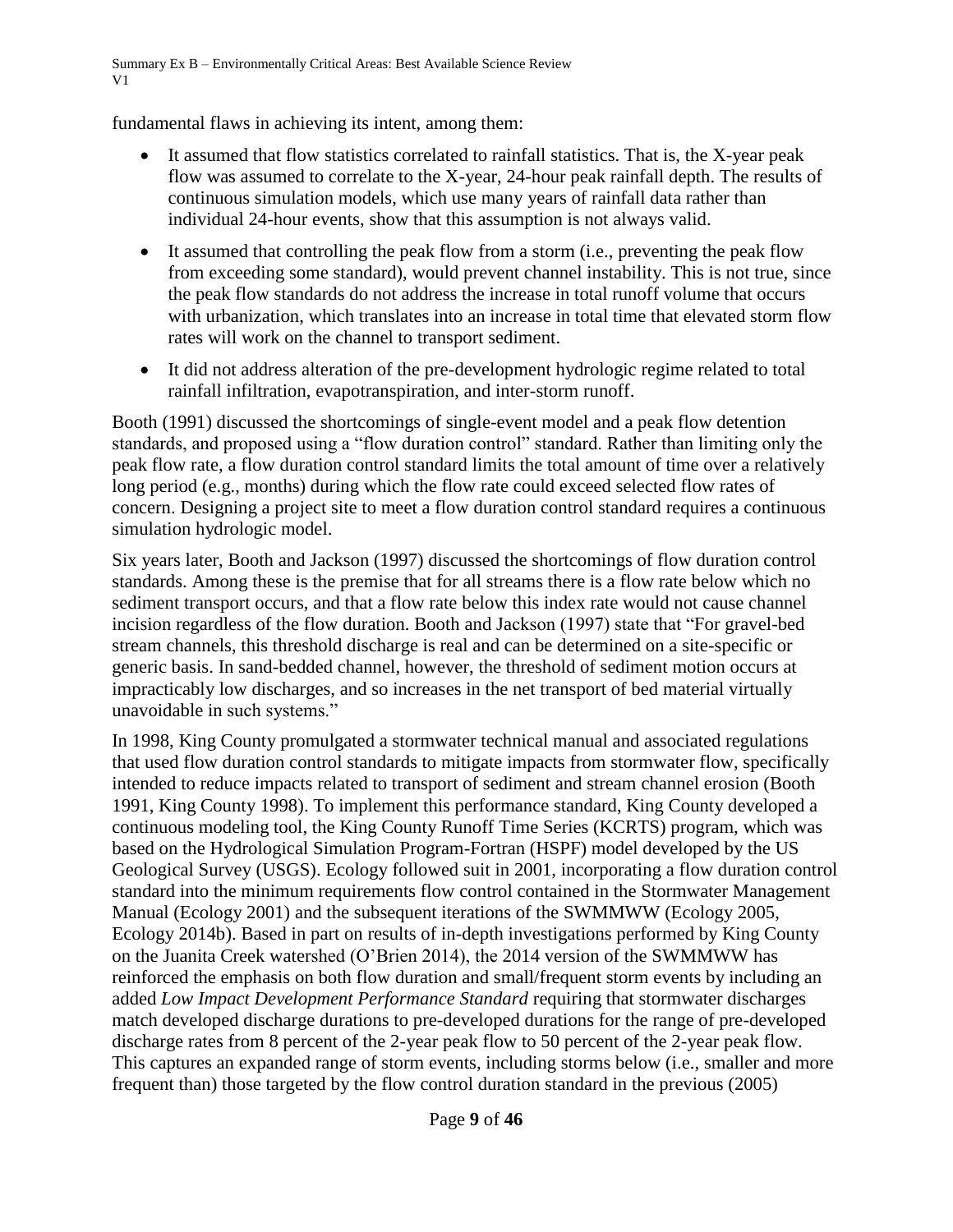fundamental flaws in achieving its intent, among them:

- It assumed that flow statistics correlated to rainfall statistics. That is, the X-year peak flow was assumed to correlate to the X-year, 24-hour peak rainfall depth. The results of continuous simulation models, which use many years of rainfall data rather than individual 24-hour events, show that this assumption is not always valid.
- It assumed that controlling the peak flow from a storm (i.e., preventing the peak flow from exceeding some standard), would prevent channel instability. This is not true, since the peak flow standards do not address the increase in total runoff volume that occurs with urbanization, which translates into an increase in total time that elevated storm flow rates will work on the channel to transport sediment.
- It did not address alteration of the pre-development hydrologic regime related to total rainfall infiltration, evapotranspiration, and inter-storm runoff.

Booth (1991) discussed the shortcomings of single-event model and a peak flow detention standards, and proposed using a "flow duration control" standard. Rather than limiting only the peak flow rate, a flow duration control standard limits the total amount of time over a relatively long period (e.g., months) during which the flow rate could exceed selected flow rates of concern. Designing a project site to meet a flow duration control standard requires a continuous simulation hydrologic model.

Six years later, Booth and Jackson (1997) discussed the shortcomings of flow duration control standards. Among these is the premise that for all streams there is a flow rate below which no sediment transport occurs, and that a flow rate below this index rate would not cause channel incision regardless of the flow duration. Booth and Jackson (1997) state that "For gravel-bed stream channels, this threshold discharge is real and can be determined on a site-specific or generic basis. In sand-bedded channel, however, the threshold of sediment motion occurs at impracticably low discharges, and so increases in the net transport of bed material virtually unavoidable in such systems."

In 1998, King County promulgated a stormwater technical manual and associated regulations that used flow duration control standards to mitigate impacts from stormwater flow, specifically intended to reduce impacts related to transport of sediment and stream channel erosion (Booth 1991, King County 1998). To implement this performance standard, King County developed a continuous modeling tool, the King County Runoff Time Series (KCRTS) program, which was based on the Hydrological Simulation Program-Fortran (HSPF) model developed by the US Geological Survey (USGS). Ecology followed suit in 2001, incorporating a flow duration control standard into the minimum requirements flow control contained in the Stormwater Management Manual (Ecology 2001) and the subsequent iterations of the SWMMWW (Ecology 2005, Ecology 2014b). Based in part on results of in-depth investigations performed by King County on the Juanita Creek watershed (O'Brien 2014), the 2014 version of the SWMMWW has reinforced the emphasis on both flow duration and small/frequent storm events by including an added *Low Impact Development Performance Standard* requiring that stormwater discharges match developed discharge durations to pre-developed durations for the range of pre-developed discharge rates from 8 percent of the 2-year peak flow to 50 percent of the 2-year peak flow. This captures an expanded range of storm events, including storms below (i.e., smaller and more frequent than) those targeted by the flow control duration standard in the previous (2005)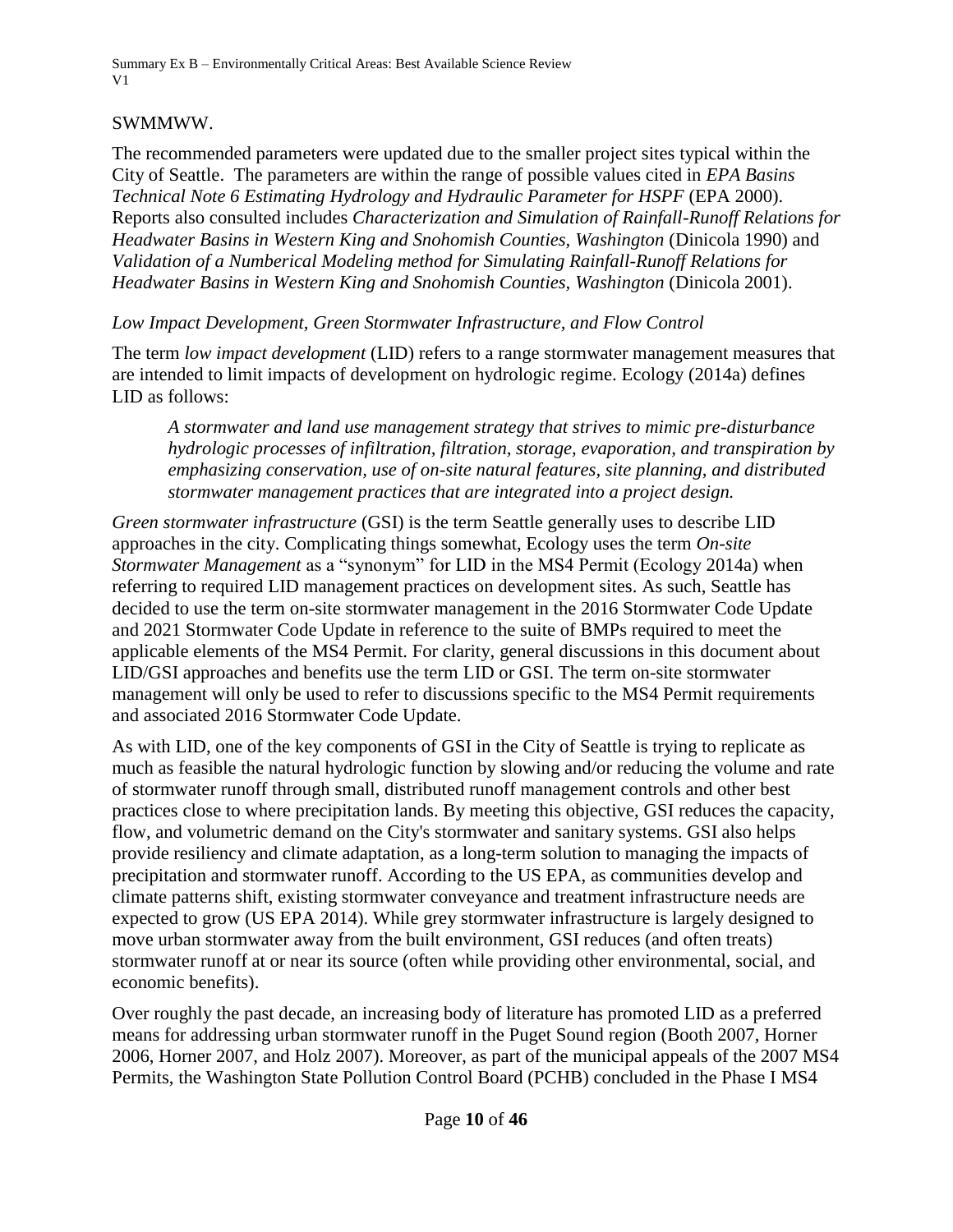### SWMMWW.

The recommended parameters were updated due to the smaller project sites typical within the City of Seattle. The parameters are within the range of possible values cited in *EPA Basins Technical Note 6 Estimating Hydrology and Hydraulic Parameter for HSPF* (EPA 2000). Reports also consulted includes *Characterization and Simulation of Rainfall-Runoff Relations for Headwater Basins in Western King and Snohomish Counties, Washington* (Dinicola 1990) and *Validation of a Numberical Modeling method for Simulating Rainfall-Runoff Relations for Headwater Basins in Western King and Snohomish Counties, Washington* (Dinicola 2001).

*Low Impact Development, Green Stormwater Infrastructure, and Flow Control*

The term *low impact development* (LID) refers to a range stormwater management measures that are intended to limit impacts of development on hydrologic regime. Ecology (2014a) defines LID as follows:

*A stormwater and land use management strategy that strives to mimic pre-disturbance hydrologic processes of infiltration, filtration, storage, evaporation, and transpiration by emphasizing conservation, use of on-site natural features, site planning, and distributed stormwater management practices that are integrated into a project design.*

*Green stormwater infrastructure* (GSI) is the term Seattle generally uses to describe LID approaches in the city. Complicating things somewhat, Ecology uses the term *On-site Stormwater Management* as a "synonym" for LID in the MS4 Permit (Ecology 2014a) when referring to required LID management practices on development sites. As such, Seattle has decided to use the term on-site stormwater management in the 2016 Stormwater Code Update and 2021 Stormwater Code Update in reference to the suite of BMPs required to meet the applicable elements of the MS4 Permit. For clarity, general discussions in this document about LID/GSI approaches and benefits use the term LID or GSI. The term on-site stormwater management will only be used to refer to discussions specific to the MS4 Permit requirements and associated 2016 Stormwater Code Update.

As with LID, one of the key components of GSI in the City of Seattle is trying to replicate as much as feasible the natural hydrologic function by slowing and/or reducing the volume and rate of stormwater runoff through small, distributed runoff management controls and other best practices close to where precipitation lands. By meeting this objective, GSI reduces the capacity, flow, and volumetric demand on the City's stormwater and sanitary systems. GSI also helps provide resiliency and climate adaptation, as a long-term solution to managing the impacts of precipitation and stormwater runoff. According to the US EPA, as communities develop and climate patterns shift, existing stormwater conveyance and treatment infrastructure needs are expected to grow (US EPA 2014). While grey stormwater infrastructure is largely designed to move urban stormwater away from the built environment, GSI reduces (and often treats) stormwater runoff at or near its source (often while providing other environmental, social, and economic benefits).

Over roughly the past decade, an increasing body of literature has promoted LID as a preferred means for addressing urban stormwater runoff in the Puget Sound region (Booth 2007, Horner 2006, Horner 2007, and Holz 2007). Moreover, as part of the municipal appeals of the 2007 MS4 Permits, the Washington State Pollution Control Board (PCHB) concluded in the Phase I MS4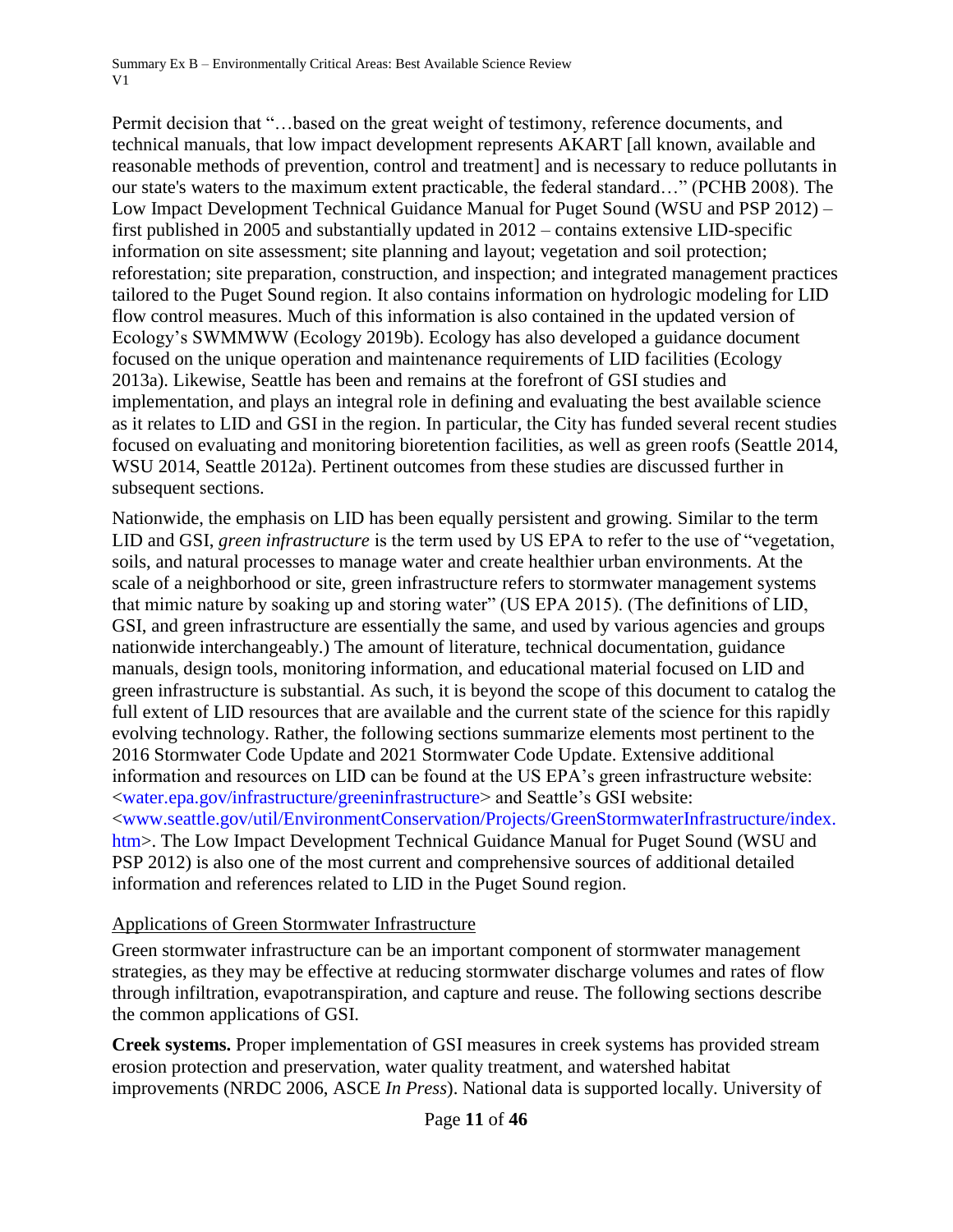Permit decision that "…based on the great weight of testimony, reference documents, and technical manuals, that low impact development represents AKART [all known, available and reasonable methods of prevention, control and treatment] and is necessary to reduce pollutants in our state's waters to the maximum extent practicable, the federal standard…" (PCHB 2008). The Low Impact Development Technical Guidance Manual for Puget Sound (WSU and PSP 2012) – first published in 2005 and substantially updated in 2012 – contains extensive LID-specific information on site assessment; site planning and layout; vegetation and soil protection; reforestation; site preparation, construction, and inspection; and integrated management practices tailored to the Puget Sound region. It also contains information on hydrologic modeling for LID flow control measures. Much of this information is also contained in the updated version of Ecology's SWMMWW (Ecology 2019b). Ecology has also developed a guidance document focused on the unique operation and maintenance requirements of LID facilities (Ecology 2013a). Likewise, Seattle has been and remains at the forefront of GSI studies and implementation, and plays an integral role in defining and evaluating the best available science as it relates to LID and GSI in the region. In particular, the City has funded several recent studies focused on evaluating and monitoring bioretention facilities, as well as green roofs (Seattle 2014, WSU 2014, Seattle 2012a). Pertinent outcomes from these studies are discussed further in subsequent sections.

Nationwide, the emphasis on LID has been equally persistent and growing. Similar to the term LID and GSI, *green infrastructure* is the term used by US EPA to refer to the use of "vegetation, soils, and natural processes to manage water and create healthier urban environments. At the scale of a neighborhood or site, green infrastructure refers to stormwater management systems that mimic nature by soaking up and storing water" (US EPA 2015). (The definitions of LID, GSI, and green infrastructure are essentially the same, and used by various agencies and groups nationwide interchangeably.) The amount of literature, technical documentation, guidance manuals, design tools, monitoring information, and educational material focused on LID and green infrastructure is substantial. As such, it is beyond the scope of this document to catalog the full extent of LID resources that are available and the current state of the science for this rapidly evolving technology. Rather, the following sections summarize elements most pertinent to the 2016 Stormwater Code Update and 2021 Stormwater Code Update. Extensive additional information and resources on LID can be found at the US EPA's green infrastructure website: [<water.epa.gov/infrastructure/greeninfrastructure>](http://water.epa.gov/infrastructure/greeninfrastructure/) and Seattle's GSI website: [<www.seattle.gov/util/EnvironmentConservation/Projects/GreenStormwaterInfrastructure/index.](http://www.seattle.gov/util/EnvironmentConservation/Projects/GreenStormwaterInfrastructure/index.htm) [htm>](http://www.seattle.gov/util/EnvironmentConservation/Projects/GreenStormwaterInfrastructure/index.htm). The Low Impact Development Technical Guidance Manual for Puget Sound (WSU and PSP 2012) is also one of the most current and comprehensive sources of additional detailed information and references related to LID in the Puget Sound region.

### Applications of Green Stormwater Infrastructure

Green stormwater infrastructure can be an important component of stormwater management strategies, as they may be effective at reducing stormwater discharge volumes and rates of flow through infiltration, evapotranspiration, and capture and reuse. The following sections describe the common applications of GSI.

**Creek systems.** Proper implementation of GSI measures in creek systems has provided stream erosion protection and preservation, water quality treatment, and watershed habitat improvements (NRDC 2006, ASCE *In Press*). National data is supported locally. University of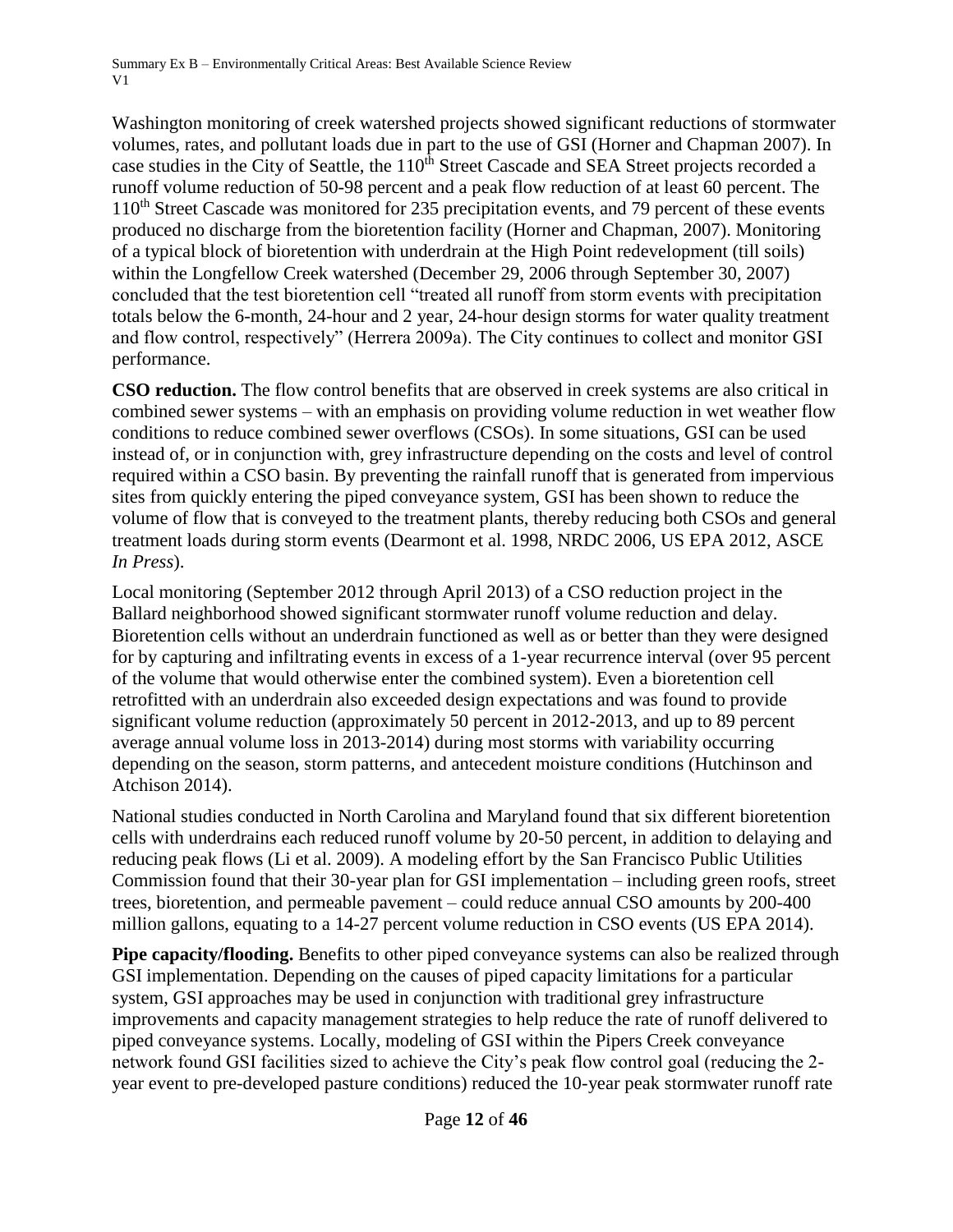Washington monitoring of creek watershed projects showed significant reductions of stormwater volumes, rates, and pollutant loads due in part to the use of GSI (Horner and Chapman 2007). In case studies in the City of Seattle, the 110<sup>th</sup> Street Cascade and SEA Street projects recorded a runoff volume reduction of 50-98 percent and a peak flow reduction of at least 60 percent. The 110<sup>th</sup> Street Cascade was monitored for 235 precipitation events, and 79 percent of these events produced no discharge from the bioretention facility (Horner and Chapman, 2007). Monitoring of a typical block of bioretention with underdrain at the High Point redevelopment (till soils) within the Longfellow Creek watershed (December 29, 2006 through September 30, 2007) concluded that the test bioretention cell "treated all runoff from storm events with precipitation totals below the 6-month, 24-hour and 2 year, 24-hour design storms for water quality treatment and flow control, respectively" (Herrera 2009a). The City continues to collect and monitor GSI performance.

**CSO reduction.** The flow control benefits that are observed in creek systems are also critical in combined sewer systems – with an emphasis on providing volume reduction in wet weather flow conditions to reduce combined sewer overflows (CSOs). In some situations, GSI can be used instead of, or in conjunction with, grey infrastructure depending on the costs and level of control required within a CSO basin. By preventing the rainfall runoff that is generated from impervious sites from quickly entering the piped conveyance system, GSI has been shown to reduce the volume of flow that is conveyed to the treatment plants, thereby reducing both CSOs and general treatment loads during storm events (Dearmont et al. 1998, NRDC 2006, US EPA 2012, ASCE *In Press*).

Local monitoring (September 2012 through April 2013) of a CSO reduction project in the Ballard neighborhood showed significant stormwater runoff volume reduction and delay. Bioretention cells without an underdrain functioned as well as or better than they were designed for by capturing and infiltrating events in excess of a 1-year recurrence interval (over 95 percent of the volume that would otherwise enter the combined system). Even a bioretention cell retrofitted with an underdrain also exceeded design expectations and was found to provide significant volume reduction (approximately 50 percent in 2012-2013, and up to 89 percent average annual volume loss in 2013-2014) during most storms with variability occurring depending on the season, storm patterns, and antecedent moisture conditions (Hutchinson and Atchison 2014).

National studies conducted in North Carolina and Maryland found that six different bioretention cells with underdrains each reduced runoff volume by 20-50 percent, in addition to delaying and reducing peak flows (Li et al. 2009). A modeling effort by the San Francisco Public Utilities Commission found that their 30-year plan for GSI implementation – including green roofs, street trees, bioretention, and permeable pavement – could reduce annual CSO amounts by 200-400 million gallons, equating to a 14-27 percent volume reduction in CSO events (US EPA 2014).

**Pipe capacity/flooding.** Benefits to other piped conveyance systems can also be realized through GSI implementation. Depending on the causes of piped capacity limitations for a particular system, GSI approaches may be used in conjunction with traditional grey infrastructure improvements and capacity management strategies to help reduce the rate of runoff delivered to piped conveyance systems. Locally, modeling of GSI within the Pipers Creek conveyance network found GSI facilities sized to achieve the City's peak flow control goal (reducing the 2 year event to pre-developed pasture conditions) reduced the 10-year peak stormwater runoff rate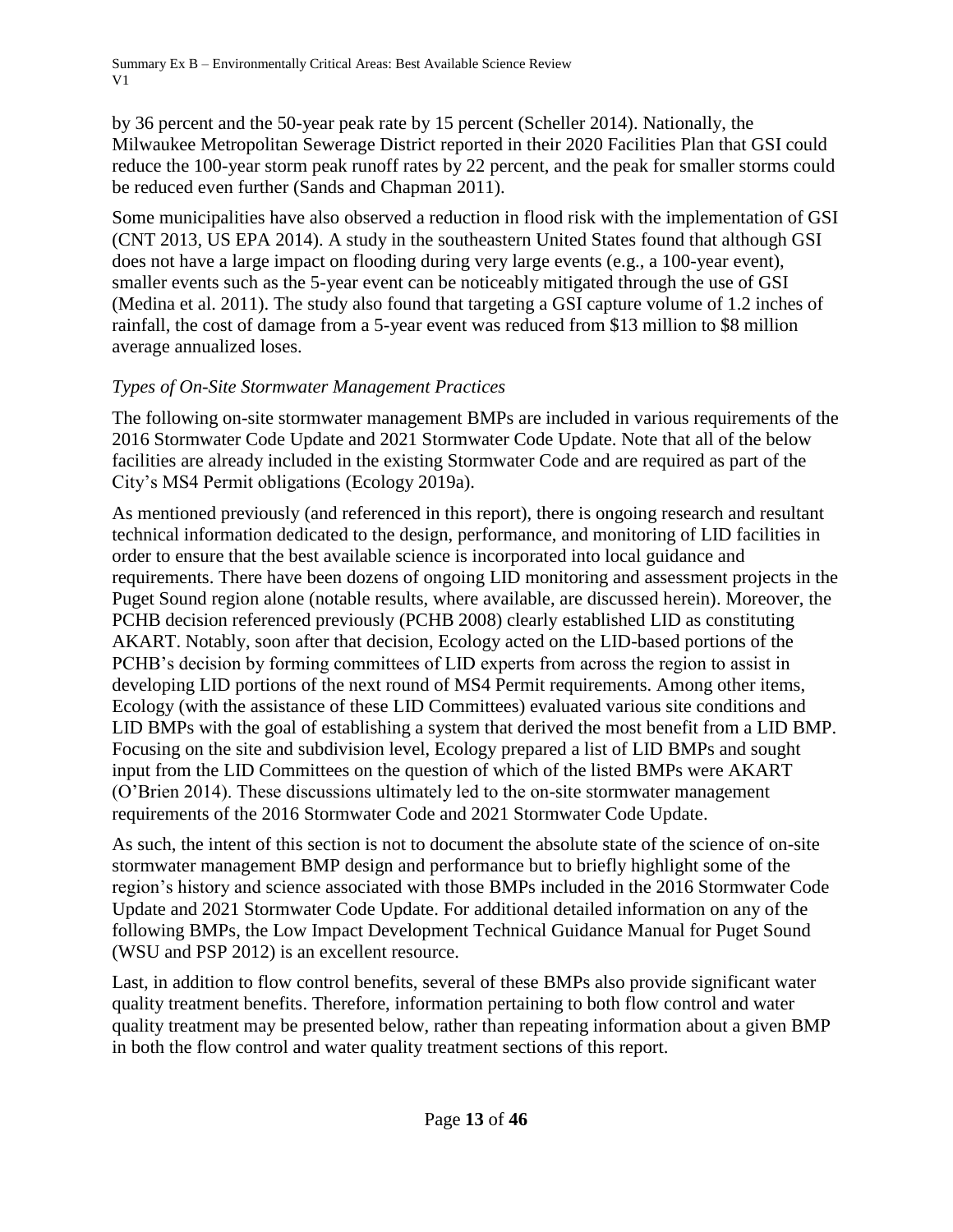by 36 percent and the 50-year peak rate by 15 percent (Scheller 2014). Nationally, the Milwaukee Metropolitan Sewerage District reported in their 2020 Facilities Plan that GSI could reduce the 100-year storm peak runoff rates by 22 percent, and the peak for smaller storms could be reduced even further (Sands and Chapman 2011).

Some municipalities have also observed a reduction in flood risk with the implementation of GSI (CNT 2013, US EPA 2014). A study in the southeastern United States found that although GSI does not have a large impact on flooding during very large events (e.g., a 100-year event), smaller events such as the 5-year event can be noticeably mitigated through the use of GSI (Medina et al. 2011). The study also found that targeting a GSI capture volume of 1.2 inches of rainfall, the cost of damage from a 5-year event was reduced from \$13 million to \$8 million average annualized loses.

# *Types of On-Site Stormwater Management Practices*

The following on-site stormwater management BMPs are included in various requirements of the 2016 Stormwater Code Update and 2021 Stormwater Code Update. Note that all of the below facilities are already included in the existing Stormwater Code and are required as part of the City's MS4 Permit obligations (Ecology 2019a).

As mentioned previously (and referenced in this report), there is ongoing research and resultant technical information dedicated to the design, performance, and monitoring of LID facilities in order to ensure that the best available science is incorporated into local guidance and requirements. There have been dozens of ongoing LID monitoring and assessment projects in the Puget Sound region alone (notable results, where available, are discussed herein). Moreover, the PCHB decision referenced previously (PCHB 2008) clearly established LID as constituting AKART. Notably, soon after that decision, Ecology acted on the LID-based portions of the PCHB's decision by forming committees of LID experts from across the region to assist in developing LID portions of the next round of MS4 Permit requirements. Among other items, Ecology (with the assistance of these LID Committees) evaluated various site conditions and LID BMPs with the goal of establishing a system that derived the most benefit from a LID BMP. Focusing on the site and subdivision level, Ecology prepared a list of LID BMPs and sought input from the LID Committees on the question of which of the listed BMPs were AKART (O'Brien 2014). These discussions ultimately led to the on-site stormwater management requirements of the 2016 Stormwater Code and 2021 Stormwater Code Update.

As such, the intent of this section is not to document the absolute state of the science of on-site stormwater management BMP design and performance but to briefly highlight some of the region's history and science associated with those BMPs included in the 2016 Stormwater Code Update and 2021 Stormwater Code Update. For additional detailed information on any of the following BMPs, the Low Impact Development Technical Guidance Manual for Puget Sound (WSU and PSP 2012) is an excellent resource.

Last, in addition to flow control benefits, several of these BMPs also provide significant water quality treatment benefits. Therefore, information pertaining to both flow control and water quality treatment may be presented below, rather than repeating information about a given BMP in both the flow control and water quality treatment sections of this report.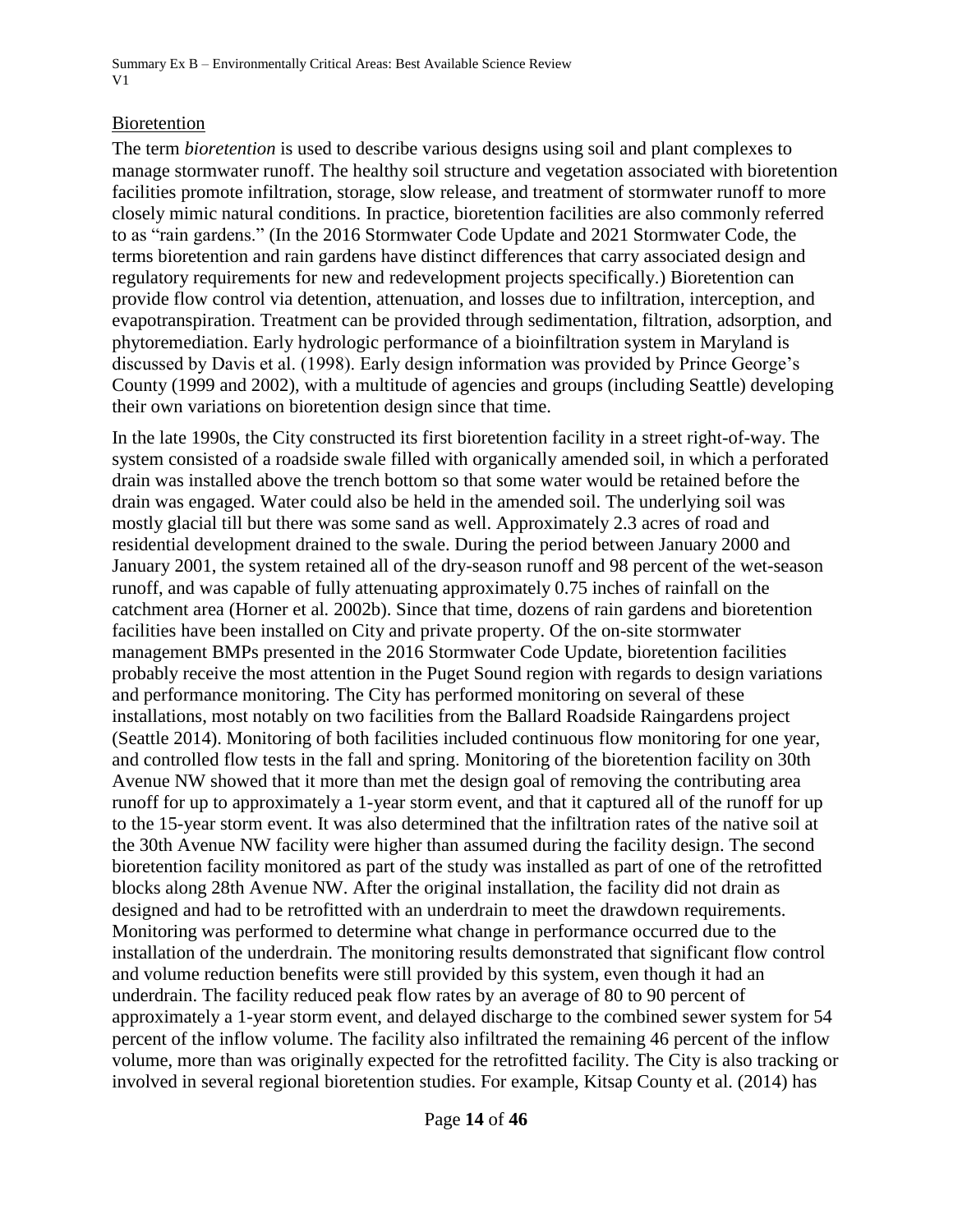#### Bioretention

The term *bioretention* is used to describe various designs using soil and plant complexes to manage stormwater runoff. The healthy soil structure and vegetation associated with bioretention facilities promote infiltration, storage, slow release, and treatment of stormwater runoff to more closely mimic natural conditions. In practice, bioretention facilities are also commonly referred to as "rain gardens." (In the 2016 Stormwater Code Update and 2021 Stormwater Code, the terms bioretention and rain gardens have distinct differences that carry associated design and regulatory requirements for new and redevelopment projects specifically.) Bioretention can provide flow control via detention, attenuation, and losses due to infiltration, interception, and evapotranspiration. Treatment can be provided through sedimentation, filtration, adsorption, and phytoremediation. Early hydrologic performance of a bioinfiltration system in Maryland is discussed by Davis et al. (1998). Early design information was provided by Prince George's County (1999 and 2002), with a multitude of agencies and groups (including Seattle) developing their own variations on bioretention design since that time.

In the late 1990s, the City constructed its first bioretention facility in a street right-of-way. The system consisted of a roadside swale filled with organically amended soil, in which a perforated drain was installed above the trench bottom so that some water would be retained before the drain was engaged. Water could also be held in the amended soil. The underlying soil was mostly glacial till but there was some sand as well. Approximately 2.3 acres of road and residential development drained to the swale. During the period between January 2000 and January 2001, the system retained all of the dry-season runoff and 98 percent of the wet-season runoff, and was capable of fully attenuating approximately 0.75 inches of rainfall on the catchment area (Horner et al*.* 2002b). Since that time, dozens of rain gardens and bioretention facilities have been installed on City and private property. Of the on-site stormwater management BMPs presented in the 2016 Stormwater Code Update, bioretention facilities probably receive the most attention in the Puget Sound region with regards to design variations and performance monitoring. The City has performed monitoring on several of these installations, most notably on two facilities from the Ballard Roadside Raingardens project (Seattle 2014). Monitoring of both facilities included continuous flow monitoring for one year, and controlled flow tests in the fall and spring. Monitoring of the bioretention facility on 30th Avenue NW showed that it more than met the design goal of removing the contributing area runoff for up to approximately a 1-year storm event, and that it captured all of the runoff for up to the 15-year storm event. It was also determined that the infiltration rates of the native soil at the 30th Avenue NW facility were higher than assumed during the facility design. The second bioretention facility monitored as part of the study was installed as part of one of the retrofitted blocks along 28th Avenue NW. After the original installation, the facility did not drain as designed and had to be retrofitted with an underdrain to meet the drawdown requirements. Monitoring was performed to determine what change in performance occurred due to the installation of the underdrain. The monitoring results demonstrated that significant flow control and volume reduction benefits were still provided by this system, even though it had an underdrain. The facility reduced peak flow rates by an average of 80 to 90 percent of approximately a 1-year storm event, and delayed discharge to the combined sewer system for 54 percent of the inflow volume. The facility also infiltrated the remaining 46 percent of the inflow volume, more than was originally expected for the retrofitted facility. The City is also tracking or involved in several regional bioretention studies. For example, Kitsap County et al. (2014) has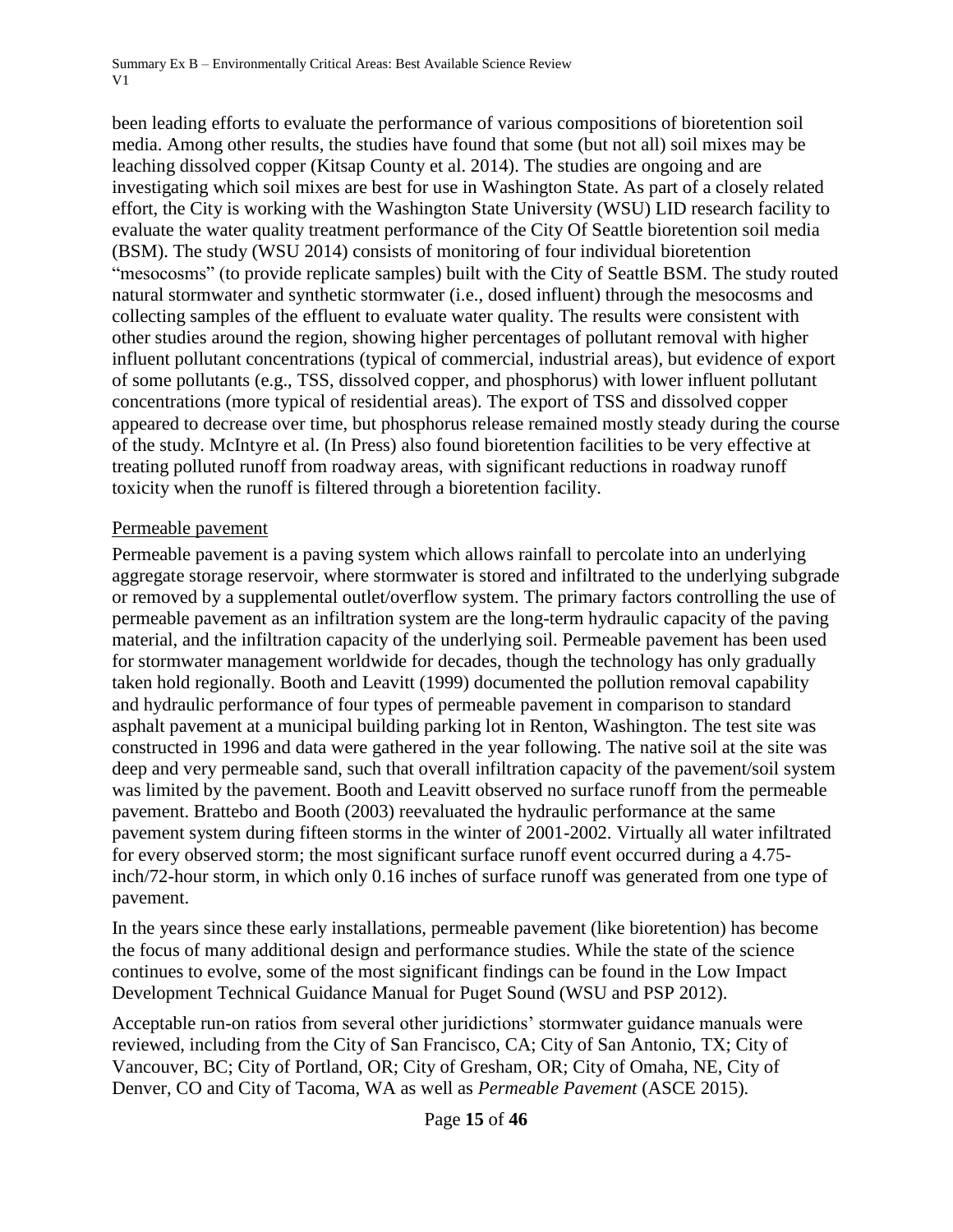been leading efforts to evaluate the performance of various compositions of bioretention soil media. Among other results, the studies have found that some (but not all) soil mixes may be leaching dissolved copper (Kitsap County et al. 2014). The studies are ongoing and are investigating which soil mixes are best for use in Washington State. As part of a closely related effort, the City is working with the Washington State University (WSU) LID research facility to evaluate the water quality treatment performance of the City Of Seattle bioretention soil media (BSM). The study (WSU 2014) consists of monitoring of four individual bioretention "mesocosms" (to provide replicate samples) built with the City of Seattle BSM. The study routed natural stormwater and synthetic stormwater (i.e., dosed influent) through the mesocosms and collecting samples of the effluent to evaluate water quality. The results were consistent with other studies around the region, showing higher percentages of pollutant removal with higher influent pollutant concentrations (typical of commercial, industrial areas), but evidence of export of some pollutants (e.g., TSS, dissolved copper, and phosphorus) with lower influent pollutant concentrations (more typical of residential areas). The export of TSS and dissolved copper appeared to decrease over time, but phosphorus release remained mostly steady during the course of the study. McIntyre et al. (In Press) also found bioretention facilities to be very effective at treating polluted runoff from roadway areas, with significant reductions in roadway runoff toxicity when the runoff is filtered through a bioretention facility.

#### Permeable pavement

Permeable pavement is a paving system which allows rainfall to percolate into an underlying aggregate storage reservoir, where stormwater is stored and infiltrated to the underlying subgrade or removed by a supplemental outlet/overflow system. The primary factors controlling the use of permeable pavement as an infiltration system are the long-term hydraulic capacity of the paving material, and the infiltration capacity of the underlying soil. Permeable pavement has been used for stormwater management worldwide for decades, though the technology has only gradually taken hold regionally. Booth and Leavitt (1999) documented the pollution removal capability and hydraulic performance of four types of permeable pavement in comparison to standard asphalt pavement at a municipal building parking lot in Renton, Washington. The test site was constructed in 1996 and data were gathered in the year following. The native soil at the site was deep and very permeable sand, such that overall infiltration capacity of the pavement/soil system was limited by the pavement. Booth and Leavitt observed no surface runoff from the permeable pavement. Brattebo and Booth (2003) reevaluated the hydraulic performance at the same pavement system during fifteen storms in the winter of 2001-2002. Virtually all water infiltrated for every observed storm; the most significant surface runoff event occurred during a 4.75 inch/72-hour storm, in which only 0.16 inches of surface runoff was generated from one type of pavement.

In the years since these early installations, permeable pavement (like bioretention) has become the focus of many additional design and performance studies. While the state of the science continues to evolve, some of the most significant findings can be found in the Low Impact Development Technical Guidance Manual for Puget Sound (WSU and PSP 2012).

Acceptable run-on ratios from several other juridictions' stormwater guidance manuals were reviewed, including from the City of San Francisco, CA; City of San Antonio, TX; City of Vancouver, BC; City of Portland, OR; City of Gresham, OR; City of Omaha, NE, City of Denver, CO and City of Tacoma, WA as well as *Permeable Pavement* (ASCE 2015).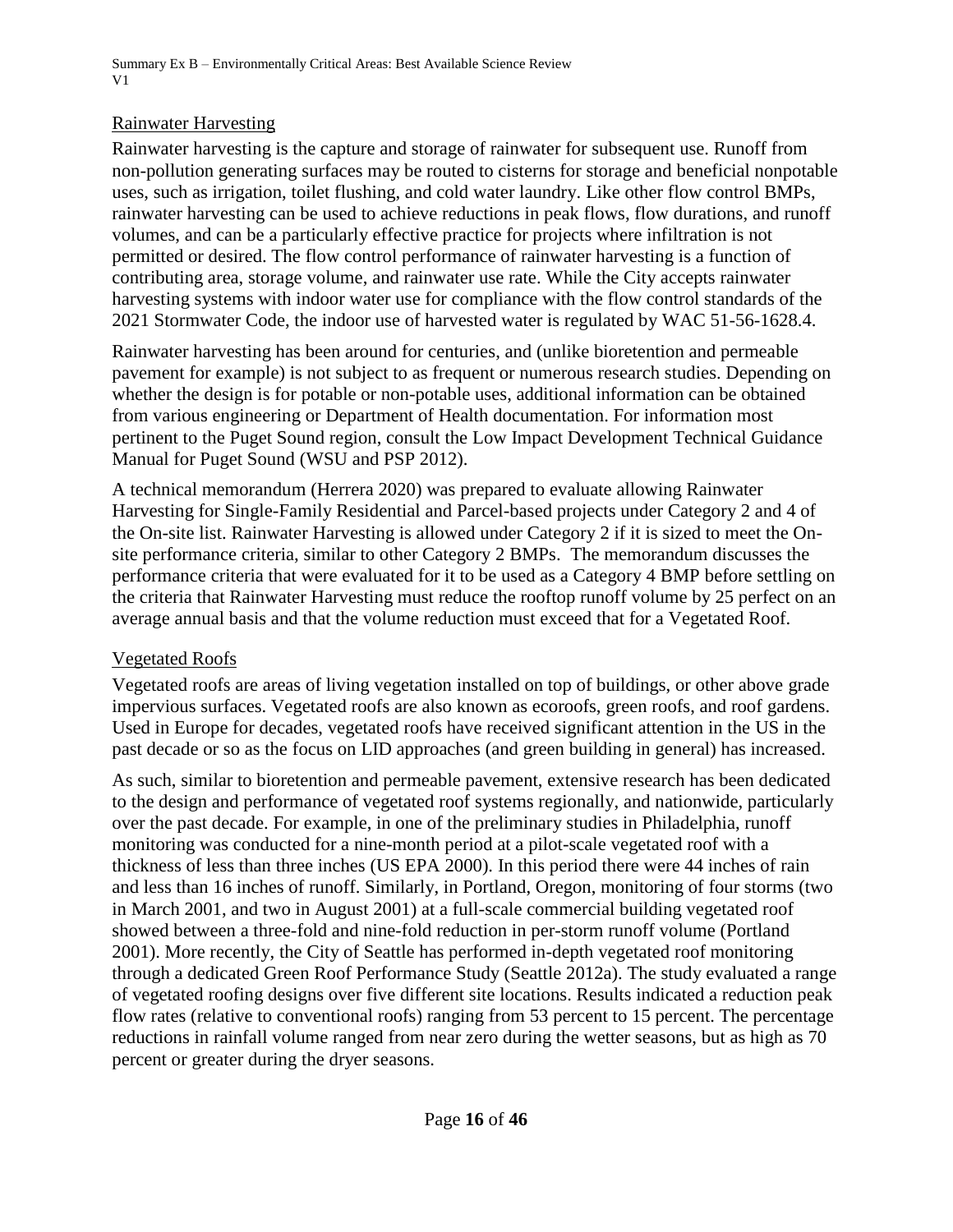### Rainwater Harvesting

Rainwater harvesting is the capture and storage of rainwater for subsequent use. Runoff from non-pollution generating surfaces may be routed to cisterns for storage and beneficial nonpotable uses, such as irrigation, toilet flushing, and cold water laundry. Like other flow control BMPs, rainwater harvesting can be used to achieve reductions in peak flows, flow durations, and runoff volumes, and can be a particularly effective practice for projects where infiltration is not permitted or desired. The flow control performance of rainwater harvesting is a function of contributing area, storage volume, and rainwater use rate. While the City accepts rainwater harvesting systems with indoor water use for compliance with the flow control standards of the 2021 Stormwater Code, the indoor use of harvested water is regulated by WAC 51-56-1628.4.

Rainwater harvesting has been around for centuries, and (unlike bioretention and permeable pavement for example) is not subject to as frequent or numerous research studies. Depending on whether the design is for potable or non-potable uses, additional information can be obtained from various engineering or Department of Health documentation. For information most pertinent to the Puget Sound region, consult the Low Impact Development Technical Guidance Manual for Puget Sound (WSU and PSP 2012).

A technical memorandum (Herrera 2020) was prepared to evaluate allowing Rainwater Harvesting for Single-Family Residential and Parcel-based projects under Category 2 and 4 of the On-site list. Rainwater Harvesting is allowed under Category 2 if it is sized to meet the Onsite performance criteria, similar to other Category 2 BMPs. The memorandum discusses the performance criteria that were evaluated for it to be used as a Category 4 BMP before settling on the criteria that Rainwater Harvesting must reduce the rooftop runoff volume by 25 perfect on an average annual basis and that the volume reduction must exceed that for a Vegetated Roof.

### Vegetated Roofs

Vegetated roofs are areas of living vegetation installed on top of buildings, or other above grade impervious surfaces. Vegetated roofs are also known as ecoroofs, green roofs, and roof gardens. Used in Europe for decades, vegetated roofs have received significant attention in the US in the past decade or so as the focus on LID approaches (and green building in general) has increased.

As such, similar to bioretention and permeable pavement, extensive research has been dedicated to the design and performance of vegetated roof systems regionally, and nationwide, particularly over the past decade. For example, in one of the preliminary studies in Philadelphia, runoff monitoring was conducted for a nine-month period at a pilot-scale vegetated roof with a thickness of less than three inches (US EPA 2000). In this period there were 44 inches of rain and less than 16 inches of runoff. Similarly, in Portland, Oregon, monitoring of four storms (two in March 2001, and two in August 2001) at a full-scale commercial building vegetated roof showed between a three-fold and nine-fold reduction in per-storm runoff volume (Portland 2001). More recently, the City of Seattle has performed in-depth vegetated roof monitoring through a dedicated Green Roof Performance Study (Seattle 2012a). The study evaluated a range of vegetated roofing designs over five different site locations. Results indicated a reduction peak flow rates (relative to conventional roofs) ranging from 53 percent to 15 percent. The percentage reductions in rainfall volume ranged from near zero during the wetter seasons, but as high as 70 percent or greater during the dryer seasons.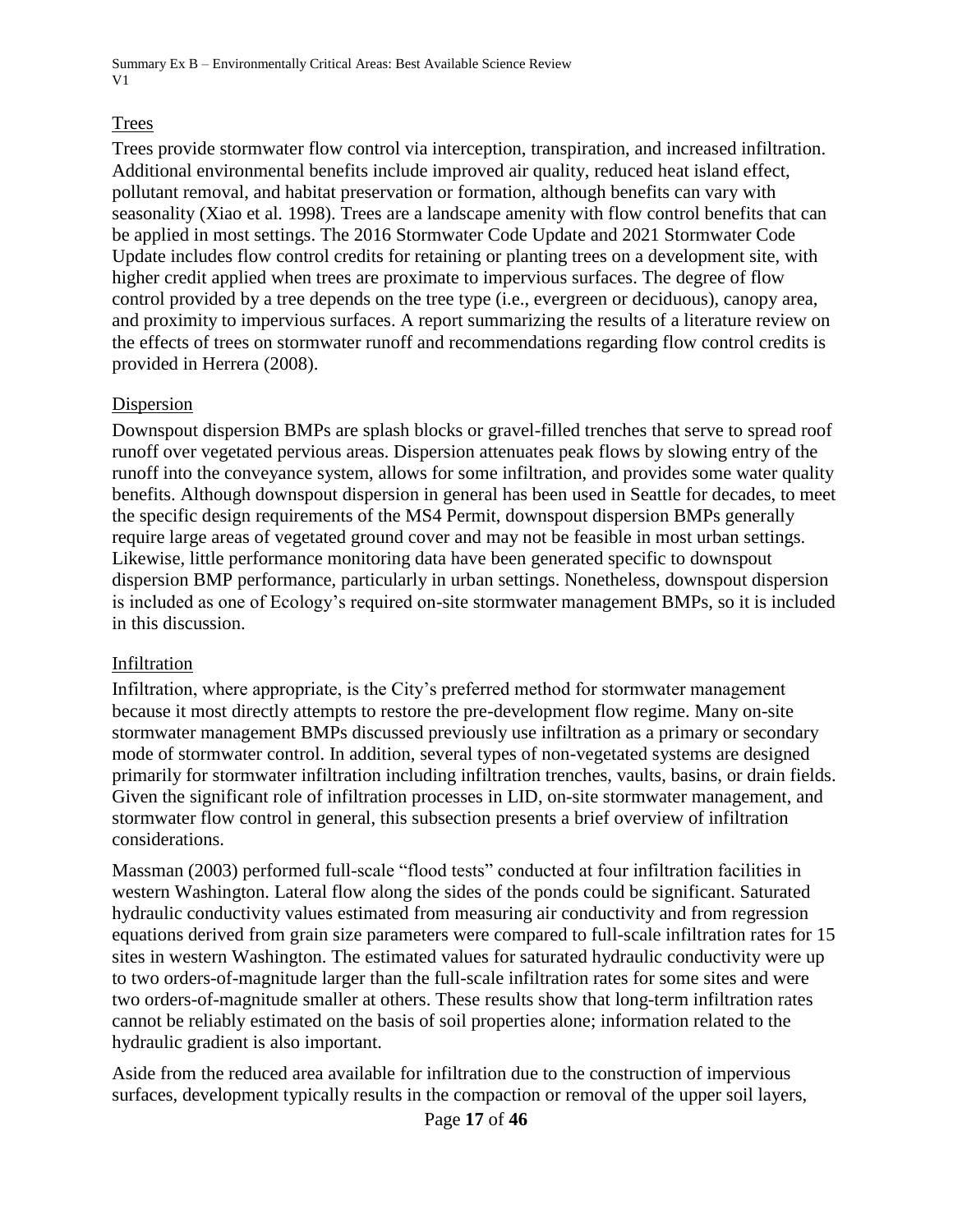### Trees

Trees provide stormwater flow control via interception, transpiration, and increased infiltration. Additional environmental benefits include improved air quality, reduced heat island effect, pollutant removal, and habitat preservation or formation, although benefits can vary with seasonality (Xiao et al*.* 1998). Trees are a landscape amenity with flow control benefits that can be applied in most settings. The 2016 Stormwater Code Update and 2021 Stormwater Code Update includes flow control credits for retaining or planting trees on a development site, with higher credit applied when trees are proximate to impervious surfaces. The degree of flow control provided by a tree depends on the tree type (i.e., evergreen or deciduous), canopy area, and proximity to impervious surfaces. A report summarizing the results of a literature review on the effects of trees on stormwater runoff and recommendations regarding flow control credits is provided in Herrera (2008).

### Dispersion

Downspout dispersion BMPs are splash blocks or gravel-filled trenches that serve to spread roof runoff over vegetated pervious areas. Dispersion attenuates peak flows by slowing entry of the runoff into the conveyance system, allows for some infiltration, and provides some water quality benefits. Although downspout dispersion in general has been used in Seattle for decades, to meet the specific design requirements of the MS4 Permit, downspout dispersion BMPs generally require large areas of vegetated ground cover and may not be feasible in most urban settings. Likewise, little performance monitoring data have been generated specific to downspout dispersion BMP performance, particularly in urban settings. Nonetheless, downspout dispersion is included as one of Ecology's required on-site stormwater management BMPs, so it is included in this discussion.

#### Infiltration

Infiltration, where appropriate, is the City's preferred method for stormwater management because it most directly attempts to restore the pre-development flow regime. Many on-site stormwater management BMPs discussed previously use infiltration as a primary or secondary mode of stormwater control. In addition, several types of non-vegetated systems are designed primarily for stormwater infiltration including infiltration trenches, vaults, basins, or drain fields. Given the significant role of infiltration processes in LID, on-site stormwater management, and stormwater flow control in general, this subsection presents a brief overview of infiltration considerations.

Massman (2003) performed full-scale "flood tests" conducted at four infiltration facilities in western Washington. Lateral flow along the sides of the ponds could be significant. Saturated hydraulic conductivity values estimated from measuring air conductivity and from regression equations derived from grain size parameters were compared to full-scale infiltration rates for 15 sites in western Washington. The estimated values for saturated hydraulic conductivity were up to two orders-of-magnitude larger than the full-scale infiltration rates for some sites and were two orders-of-magnitude smaller at others. These results show that long-term infiltration rates cannot be reliably estimated on the basis of soil properties alone; information related to the hydraulic gradient is also important.

Aside from the reduced area available for infiltration due to the construction of impervious surfaces, development typically results in the compaction or removal of the upper soil layers,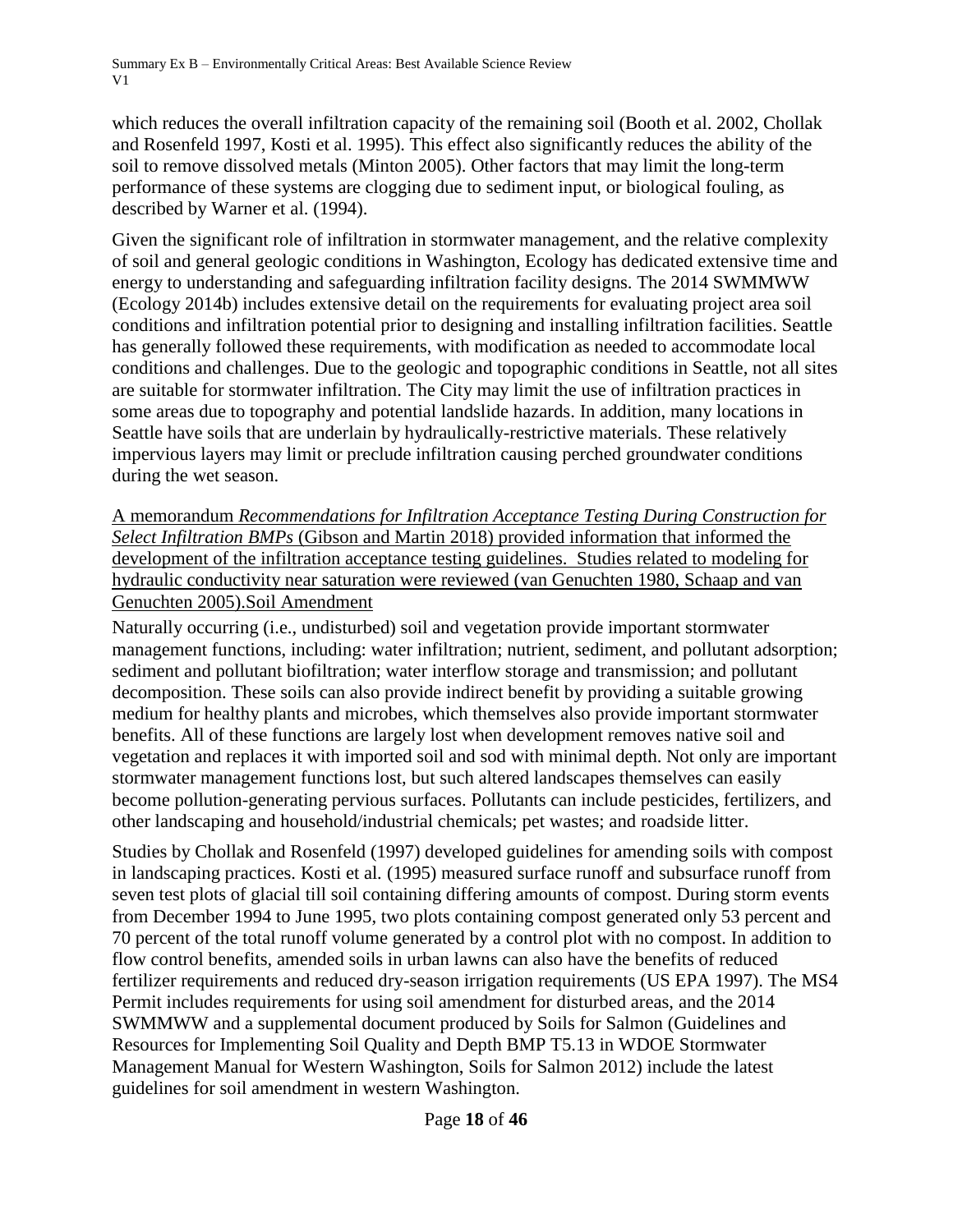which reduces the overall infiltration capacity of the remaining soil (Booth et al. 2002, Chollak and Rosenfeld 1997, Kosti et al. 1995). This effect also significantly reduces the ability of the soil to remove dissolved metals (Minton 2005). Other factors that may limit the long-term performance of these systems are clogging due to sediment input, or biological fouling, as described by Warner et al. (1994).

Given the significant role of infiltration in stormwater management, and the relative complexity of soil and general geologic conditions in Washington, Ecology has dedicated extensive time and energy to understanding and safeguarding infiltration facility designs. The 2014 SWMMWW (Ecology 2014b) includes extensive detail on the requirements for evaluating project area soil conditions and infiltration potential prior to designing and installing infiltration facilities. Seattle has generally followed these requirements, with modification as needed to accommodate local conditions and challenges. Due to the geologic and topographic conditions in Seattle, not all sites are suitable for stormwater infiltration. The City may limit the use of infiltration practices in some areas due to topography and potential landslide hazards. In addition, many locations in Seattle have soils that are underlain by hydraulically-restrictive materials. These relatively impervious layers may limit or preclude infiltration causing perched groundwater conditions during the wet season.

A memorandum *Recommendations for Infiltration Acceptance Testing During Construction for Select Infiltration BMPs* (Gibson and Martin 2018) provided information that informed the development of the infiltration acceptance testing guidelines. Studies related to modeling for hydraulic conductivity near saturation were reviewed (van Genuchten 1980, Schaap and van Genuchten 2005).Soil Amendment

Naturally occurring (i.e., undisturbed) soil and vegetation provide important stormwater management functions, including: water infiltration; nutrient, sediment, and pollutant adsorption; sediment and pollutant biofiltration; water interflow storage and transmission; and pollutant decomposition. These soils can also provide indirect benefit by providing a suitable growing medium for healthy plants and microbes, which themselves also provide important stormwater benefits. All of these functions are largely lost when development removes native soil and vegetation and replaces it with imported soil and sod with minimal depth. Not only are important stormwater management functions lost, but such altered landscapes themselves can easily become pollution-generating pervious surfaces. Pollutants can include pesticides, fertilizers, and other landscaping and household/industrial chemicals; pet wastes; and roadside litter.

Studies by Chollak and Rosenfeld (1997) developed guidelines for amending soils with compost in landscaping practices. Kosti et al*.* (1995) measured surface runoff and subsurface runoff from seven test plots of glacial till soil containing differing amounts of compost. During storm events from December 1994 to June 1995, two plots containing compost generated only 53 percent and 70 percent of the total runoff volume generated by a control plot with no compost. In addition to flow control benefits, amended soils in urban lawns can also have the benefits of reduced fertilizer requirements and reduced dry-season irrigation requirements (US EPA 1997). The MS4 Permit includes requirements for using soil amendment for disturbed areas, and the 2014 SWMMWW and a supplemental document produced by Soils for Salmon (Guidelines and Resources for Implementing Soil Quality and Depth BMP T5.13 in WDOE Stormwater Management Manual for Western Washington, Soils for Salmon 2012) include the latest guidelines for soil amendment in western Washington.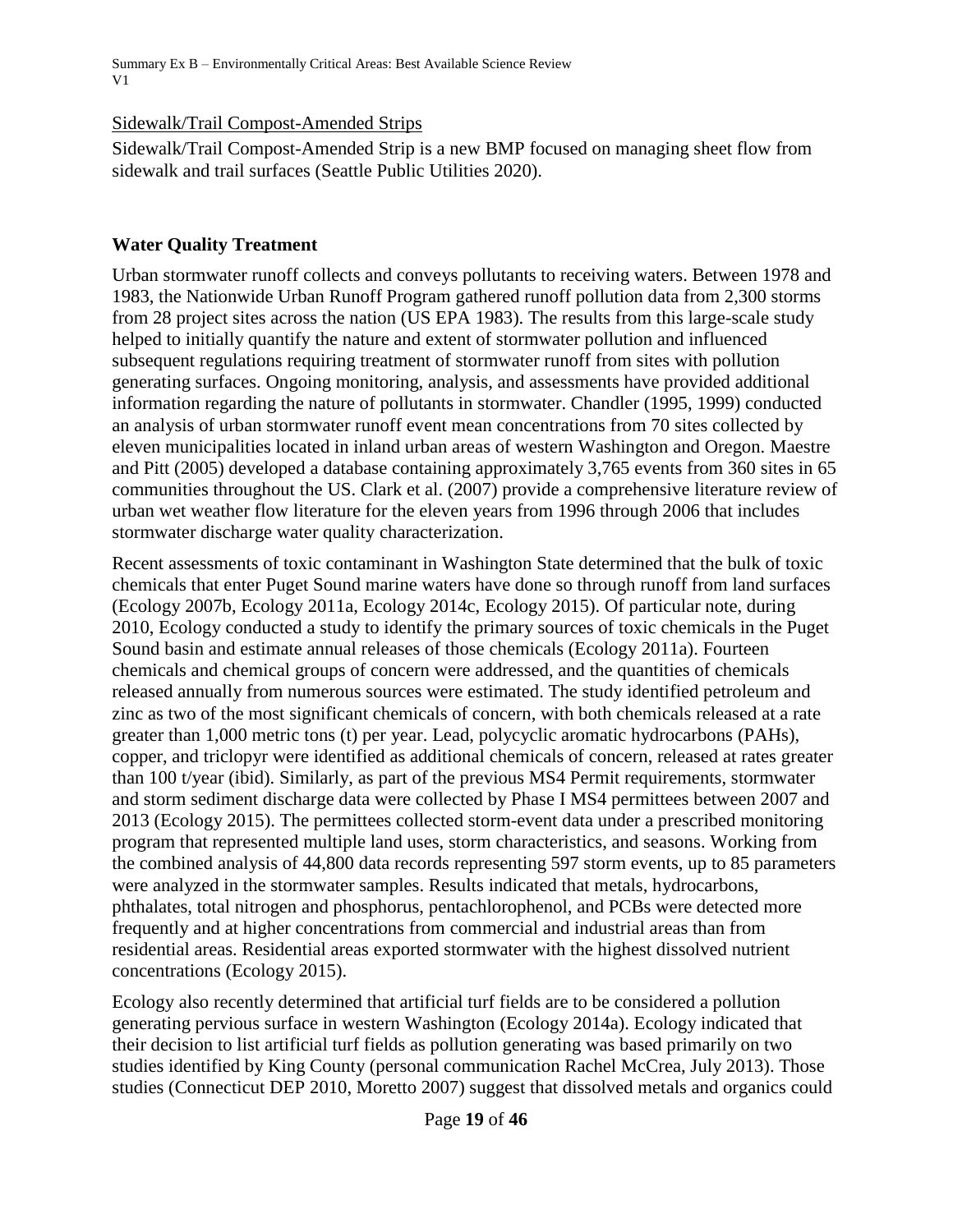### Sidewalk/Trail Compost-Amended Strips

Sidewalk/Trail Compost-Amended Strip is a new BMP focused on managing sheet flow from sidewalk and trail surfaces (Seattle Public Utilities 2020).

### **Water Quality Treatment**

Urban stormwater runoff collects and conveys pollutants to receiving waters. Between 1978 and 1983, the Nationwide Urban Runoff Program gathered runoff pollution data from 2,300 storms from 28 project sites across the nation (US EPA 1983). The results from this large-scale study helped to initially quantify the nature and extent of stormwater pollution and influenced subsequent regulations requiring treatment of stormwater runoff from sites with pollution generating surfaces. Ongoing monitoring, analysis, and assessments have provided additional information regarding the nature of pollutants in stormwater. Chandler (1995, 1999) conducted an analysis of urban stormwater runoff event mean concentrations from 70 sites collected by eleven municipalities located in inland urban areas of western Washington and Oregon. Maestre and Pitt (2005) developed a database containing approximately 3,765 events from 360 sites in 65 communities throughout the US. Clark et al. (2007) provide a comprehensive literature review of urban wet weather flow literature for the eleven years from 1996 through 2006 that includes stormwater discharge water quality characterization.

Recent assessments of toxic contaminant in Washington State determined that the bulk of toxic chemicals that enter Puget Sound marine waters have done so through runoff from land surfaces (Ecology 2007b, Ecology 2011a, Ecology 2014c, Ecology 2015). Of particular note, during 2010, Ecology conducted a study to identify the primary sources of toxic chemicals in the Puget Sound basin and estimate annual releases of those chemicals (Ecology 2011a). Fourteen chemicals and chemical groups of concern were addressed, and the quantities of chemicals released annually from numerous sources were estimated. The study identified petroleum and zinc as two of the most significant chemicals of concern, with both chemicals released at a rate greater than 1,000 metric tons (t) per year. Lead, polycyclic aromatic hydrocarbons (PAHs), copper, and triclopyr were identified as additional chemicals of concern, released at rates greater than 100 t/year (ibid). Similarly, as part of the previous MS4 Permit requirements, stormwater and storm sediment discharge data were collected by Phase I MS4 permittees between 2007 and 2013 (Ecology 2015). The permittees collected storm-event data under a prescribed monitoring program that represented multiple land uses, storm characteristics, and seasons. Working from the combined analysis of 44,800 data records representing 597 storm events, up to 85 parameters were analyzed in the stormwater samples. Results indicated that metals, hydrocarbons, phthalates, total nitrogen and phosphorus, pentachlorophenol, and PCBs were detected more frequently and at higher concentrations from commercial and industrial areas than from residential areas. Residential areas exported stormwater with the highest dissolved nutrient concentrations (Ecology 2015).

Ecology also recently determined that artificial turf fields are to be considered a pollution generating pervious surface in western Washington (Ecology 2014a). Ecology indicated that their decision to list artificial turf fields as pollution generating was based primarily on two studies identified by King County (personal communication Rachel McCrea, July 2013). Those studies (Connecticut DEP 2010, Moretto 2007) suggest that dissolved metals and organics could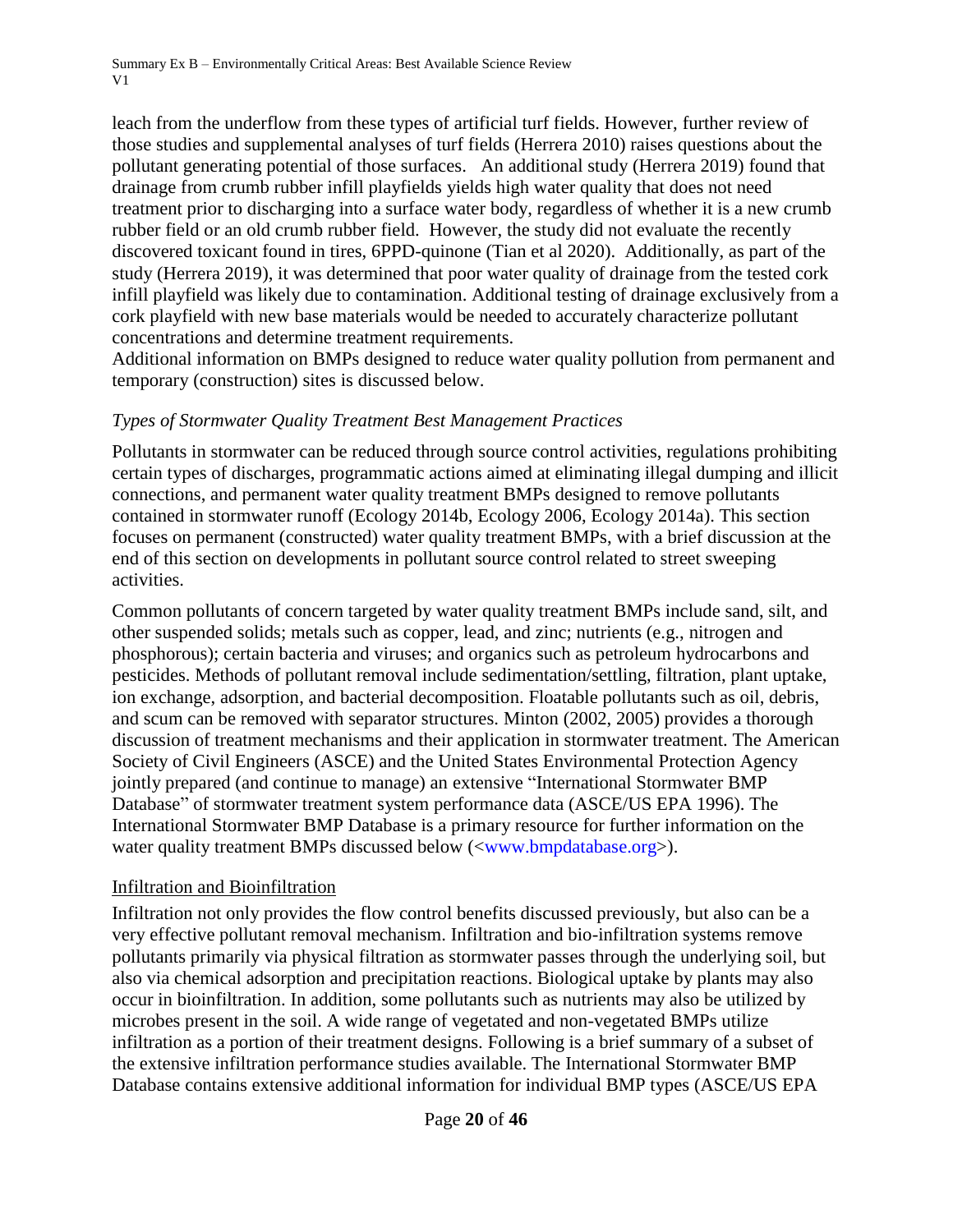leach from the underflow from these types of artificial turf fields. However, further review of those studies and supplemental analyses of turf fields (Herrera 2010) raises questions about the pollutant generating potential of those surfaces. An additional study (Herrera 2019) found that drainage from crumb rubber infill playfields yields high water quality that does not need treatment prior to discharging into a surface water body, regardless of whether it is a new crumb rubber field or an old crumb rubber field. However, the study did not evaluate the recently discovered toxicant found in tires, 6PPD-quinone (Tian et al 2020). Additionally, as part of the study (Herrera 2019), it was determined that poor water quality of drainage from the tested cork infill playfield was likely due to contamination. Additional testing of drainage exclusively from a cork playfield with new base materials would be needed to accurately characterize pollutant concentrations and determine treatment requirements.

Additional information on BMPs designed to reduce water quality pollution from permanent and temporary (construction) sites is discussed below.

#### *Types of Stormwater Quality Treatment Best Management Practices*

Pollutants in stormwater can be reduced through source control activities, regulations prohibiting certain types of discharges, programmatic actions aimed at eliminating illegal dumping and illicit connections, and permanent water quality treatment BMPs designed to remove pollutants contained in stormwater runoff (Ecology 2014b, Ecology 2006, Ecology 2014a). This section focuses on permanent (constructed) water quality treatment BMPs, with a brief discussion at the end of this section on developments in pollutant source control related to street sweeping activities.

Common pollutants of concern targeted by water quality treatment BMPs include sand, silt, and other suspended solids; metals such as copper, lead, and zinc; nutrients (e.g., nitrogen and phosphorous); certain bacteria and viruses; and organics such as petroleum hydrocarbons and pesticides. Methods of pollutant removal include sedimentation/settling, filtration, plant uptake, ion exchange, adsorption, and bacterial decomposition. Floatable pollutants such as oil, debris, and scum can be removed with separator structures. Minton (2002, 2005) provides a thorough discussion of treatment mechanisms and their application in stormwater treatment. The American Society of Civil Engineers (ASCE) and the United States Environmental Protection Agency jointly prepared (and continue to manage) an extensive "International Stormwater BMP Database" of stormwater treatment system performance data (ASCE/US EPA 1996). The International Stormwater BMP Database is a primary resource for further information on the water quality treatment BMPs discussed below ([<www.bmpdatabase.org>](http://www.bmpdatabase.org/)).

#### Infiltration and Bioinfiltration

Infiltration not only provides the flow control benefits discussed previously, but also can be a very effective pollutant removal mechanism. Infiltration and bio-infiltration systems remove pollutants primarily via physical filtration as stormwater passes through the underlying soil, but also via chemical adsorption and precipitation reactions. Biological uptake by plants may also occur in bioinfiltration. In addition, some pollutants such as nutrients may also be utilized by microbes present in the soil. A wide range of vegetated and non-vegetated BMPs utilize infiltration as a portion of their treatment designs. Following is a brief summary of a subset of the extensive infiltration performance studies available. The International Stormwater BMP Database contains extensive additional information for individual BMP types (ASCE/US EPA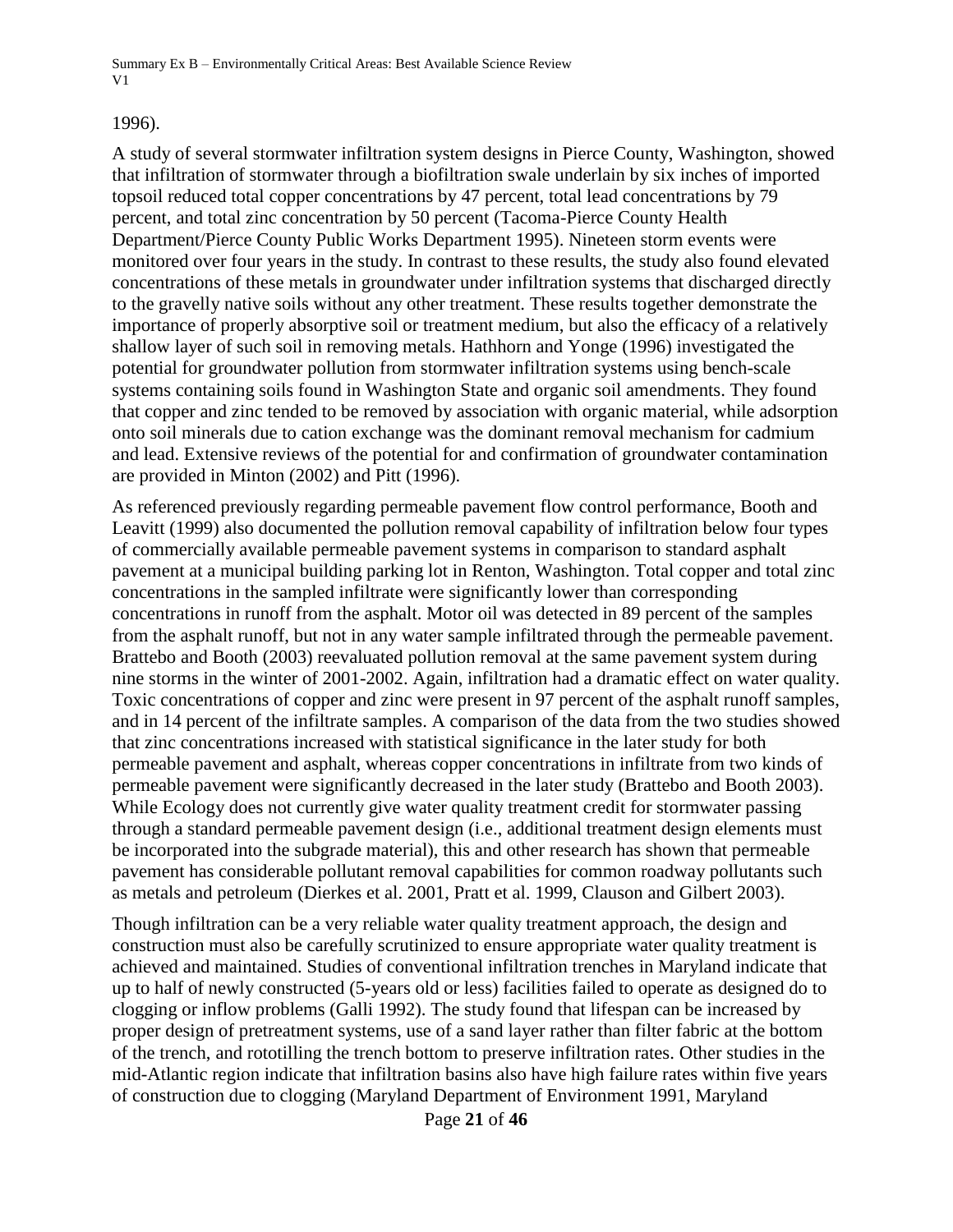#### 1996).

A study of several stormwater infiltration system designs in Pierce County, Washington, showed that infiltration of stormwater through a biofiltration swale underlain by six inches of imported topsoil reduced total copper concentrations by 47 percent, total lead concentrations by 79 percent, and total zinc concentration by 50 percent (Tacoma-Pierce County Health Department/Pierce County Public Works Department 1995). Nineteen storm events were monitored over four years in the study. In contrast to these results, the study also found elevated concentrations of these metals in groundwater under infiltration systems that discharged directly to the gravelly native soils without any other treatment. These results together demonstrate the importance of properly absorptive soil or treatment medium, but also the efficacy of a relatively shallow layer of such soil in removing metals. Hathhorn and Yonge (1996) investigated the potential for groundwater pollution from stormwater infiltration systems using bench-scale systems containing soils found in Washington State and organic soil amendments. They found that copper and zinc tended to be removed by association with organic material, while adsorption onto soil minerals due to cation exchange was the dominant removal mechanism for cadmium and lead. Extensive reviews of the potential for and confirmation of groundwater contamination are provided in Minton (2002) and Pitt (1996).

As referenced previously regarding permeable pavement flow control performance, Booth and Leavitt (1999) also documented the pollution removal capability of infiltration below four types of commercially available permeable pavement systems in comparison to standard asphalt pavement at a municipal building parking lot in Renton, Washington. Total copper and total zinc concentrations in the sampled infiltrate were significantly lower than corresponding concentrations in runoff from the asphalt. Motor oil was detected in 89 percent of the samples from the asphalt runoff, but not in any water sample infiltrated through the permeable pavement. Brattebo and Booth (2003) reevaluated pollution removal at the same pavement system during nine storms in the winter of 2001-2002. Again, infiltration had a dramatic effect on water quality. Toxic concentrations of copper and zinc were present in 97 percent of the asphalt runoff samples, and in 14 percent of the infiltrate samples. A comparison of the data from the two studies showed that zinc concentrations increased with statistical significance in the later study for both permeable pavement and asphalt, whereas copper concentrations in infiltrate from two kinds of permeable pavement were significantly decreased in the later study (Brattebo and Booth 2003). While Ecology does not currently give water quality treatment credit for stormwater passing through a standard permeable pavement design (i.e., additional treatment design elements must be incorporated into the subgrade material), this and other research has shown that permeable pavement has considerable pollutant removal capabilities for common roadway pollutants such as metals and petroleum (Dierkes et al. 2001, Pratt et al. 1999, Clauson and Gilbert 2003).

Though infiltration can be a very reliable water quality treatment approach, the design and construction must also be carefully scrutinized to ensure appropriate water quality treatment is achieved and maintained. Studies of conventional infiltration trenches in Maryland indicate that up to half of newly constructed (5-years old or less) facilities failed to operate as designed do to clogging or inflow problems (Galli 1992). The study found that lifespan can be increased by proper design of pretreatment systems, use of a sand layer rather than filter fabric at the bottom of the trench, and rototilling the trench bottom to preserve infiltration rates. Other studies in the mid-Atlantic region indicate that infiltration basins also have high failure rates within five years of construction due to clogging (Maryland Department of Environment 1991, Maryland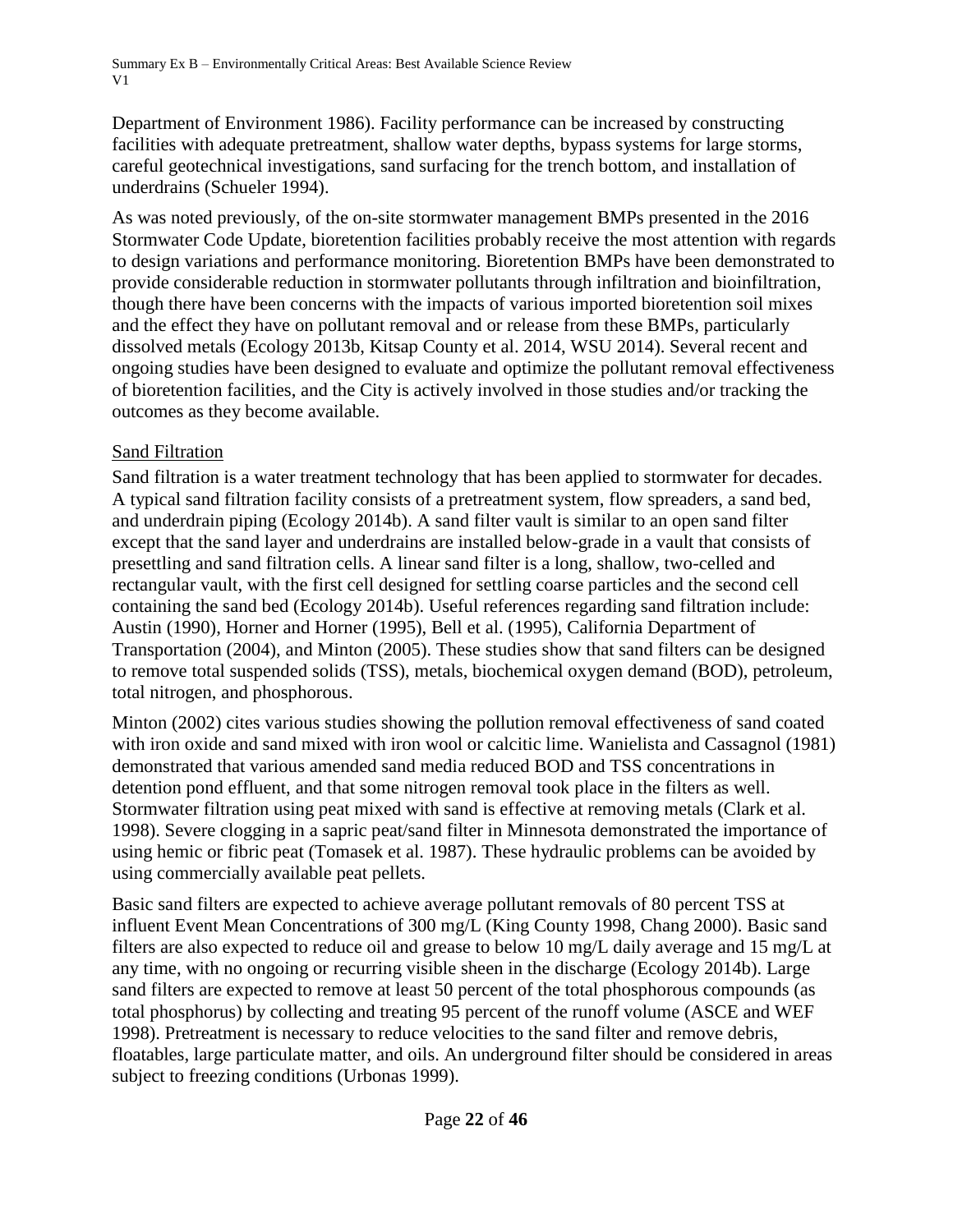Department of Environment 1986). Facility performance can be increased by constructing facilities with adequate pretreatment, shallow water depths, bypass systems for large storms, careful geotechnical investigations, sand surfacing for the trench bottom, and installation of underdrains (Schueler 1994).

As was noted previously, of the on-site stormwater management BMPs presented in the 2016 Stormwater Code Update, bioretention facilities probably receive the most attention with regards to design variations and performance monitoring. Bioretention BMPs have been demonstrated to provide considerable reduction in stormwater pollutants through infiltration and bioinfiltration, though there have been concerns with the impacts of various imported bioretention soil mixes and the effect they have on pollutant removal and or release from these BMPs, particularly dissolved metals (Ecology 2013b, Kitsap County et al. 2014, WSU 2014). Several recent and ongoing studies have been designed to evaluate and optimize the pollutant removal effectiveness of bioretention facilities, and the City is actively involved in those studies and/or tracking the outcomes as they become available.

## Sand Filtration

Sand filtration is a water treatment technology that has been applied to stormwater for decades. A typical sand filtration facility consists of a pretreatment system, flow spreaders, a sand bed, and underdrain piping (Ecology 2014b). A sand filter vault is similar to an open sand filter except that the sand layer and underdrains are installed below-grade in a vault that consists of presettling and sand filtration cells. A linear sand filter is a long, shallow, two-celled and rectangular vault, with the first cell designed for settling coarse particles and the second cell containing the sand bed (Ecology 2014b). Useful references regarding sand filtration include: Austin (1990), Horner and Horner (1995), Bell et al. (1995), California Department of Transportation (2004), and Minton (2005). These studies show that sand filters can be designed to remove total suspended solids (TSS), metals, biochemical oxygen demand (BOD), petroleum, total nitrogen, and phosphorous.

Minton (2002) cites various studies showing the pollution removal effectiveness of sand coated with iron oxide and sand mixed with iron wool or calcitic lime. Wanielista and Cassagnol (1981) demonstrated that various amended sand media reduced BOD and TSS concentrations in detention pond effluent, and that some nitrogen removal took place in the filters as well. Stormwater filtration using peat mixed with sand is effective at removing metals (Clark et al. 1998). Severe clogging in a sapric peat/sand filter in Minnesota demonstrated the importance of using hemic or fibric peat (Tomasek et al. 1987). These hydraulic problems can be avoided by using commercially available peat pellets.

Basic sand filters are expected to achieve average pollutant removals of 80 percent TSS at influent Event Mean Concentrations of 300 mg/L (King County 1998, Chang 2000). Basic sand filters are also expected to reduce oil and grease to below 10 mg/L daily average and 15 mg/L at any time, with no ongoing or recurring visible sheen in the discharge (Ecology 2014b). Large sand filters are expected to remove at least 50 percent of the total phosphorous compounds (as total phosphorus) by collecting and treating 95 percent of the runoff volume (ASCE and WEF 1998). Pretreatment is necessary to reduce velocities to the sand filter and remove debris, floatables, large particulate matter, and oils. An underground filter should be considered in areas subject to freezing conditions (Urbonas 1999).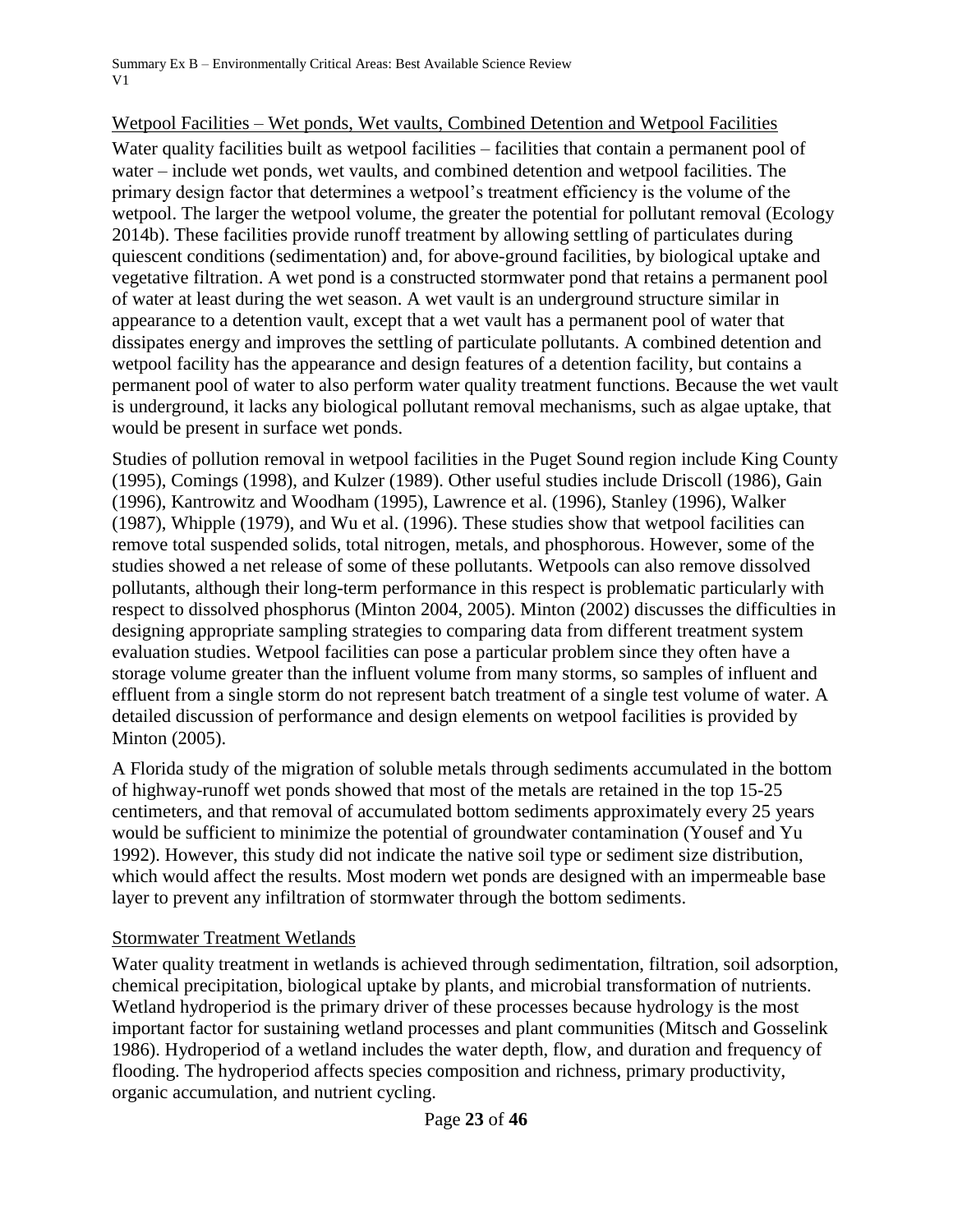### Wetpool Facilities – Wet ponds, Wet vaults, Combined Detention and Wetpool Facilities

Water quality facilities built as wetpool facilities – facilities that contain a permanent pool of water – include wet ponds, wet vaults, and combined detention and wetpool facilities. The primary design factor that determines a wetpool's treatment efficiency is the volume of the wetpool. The larger the wetpool volume, the greater the potential for pollutant removal (Ecology 2014b). These facilities provide runoff treatment by allowing settling of particulates during quiescent conditions (sedimentation) and, for above-ground facilities, by biological uptake and vegetative filtration. A wet pond is a constructed stormwater pond that retains a permanent pool of water at least during the wet season. A wet vault is an underground structure similar in appearance to a detention vault, except that a wet vault has a permanent pool of water that dissipates energy and improves the settling of particulate pollutants. A combined detention and wetpool facility has the appearance and design features of a detention facility, but contains a permanent pool of water to also perform water quality treatment functions. Because the wet vault is underground, it lacks any biological pollutant removal mechanisms, such as algae uptake, that would be present in surface wet ponds.

Studies of pollution removal in wetpool facilities in the Puget Sound region include King County (1995), Comings (1998), and Kulzer (1989). Other useful studies include Driscoll (1986), Gain (1996), Kantrowitz and Woodham (1995), Lawrence et al. (1996), Stanley (1996), Walker (1987), Whipple (1979), and Wu et al. (1996). These studies show that wetpool facilities can remove total suspended solids, total nitrogen, metals, and phosphorous. However, some of the studies showed a net release of some of these pollutants. Wetpools can also remove dissolved pollutants, although their long-term performance in this respect is problematic particularly with respect to dissolved phosphorus (Minton 2004, 2005). Minton (2002) discusses the difficulties in designing appropriate sampling strategies to comparing data from different treatment system evaluation studies. Wetpool facilities can pose a particular problem since they often have a storage volume greater than the influent volume from many storms, so samples of influent and effluent from a single storm do not represent batch treatment of a single test volume of water. A detailed discussion of performance and design elements on wetpool facilities is provided by Minton (2005).

A Florida study of the migration of soluble metals through sediments accumulated in the bottom of highway-runoff wet ponds showed that most of the metals are retained in the top 15-25 centimeters, and that removal of accumulated bottom sediments approximately every 25 years would be sufficient to minimize the potential of groundwater contamination (Yousef and Yu 1992). However, this study did not indicate the native soil type or sediment size distribution, which would affect the results. Most modern wet ponds are designed with an impermeable base layer to prevent any infiltration of stormwater through the bottom sediments.

#### Stormwater Treatment Wetlands

Water quality treatment in wetlands is achieved through sedimentation, filtration, soil adsorption, chemical precipitation, biological uptake by plants, and microbial transformation of nutrients. Wetland hydroperiod is the primary driver of these processes because hydrology is the most important factor for sustaining wetland processes and plant communities (Mitsch and Gosselink 1986). Hydroperiod of a wetland includes the water depth, flow, and duration and frequency of flooding. The hydroperiod affects species composition and richness, primary productivity, organic accumulation, and nutrient cycling.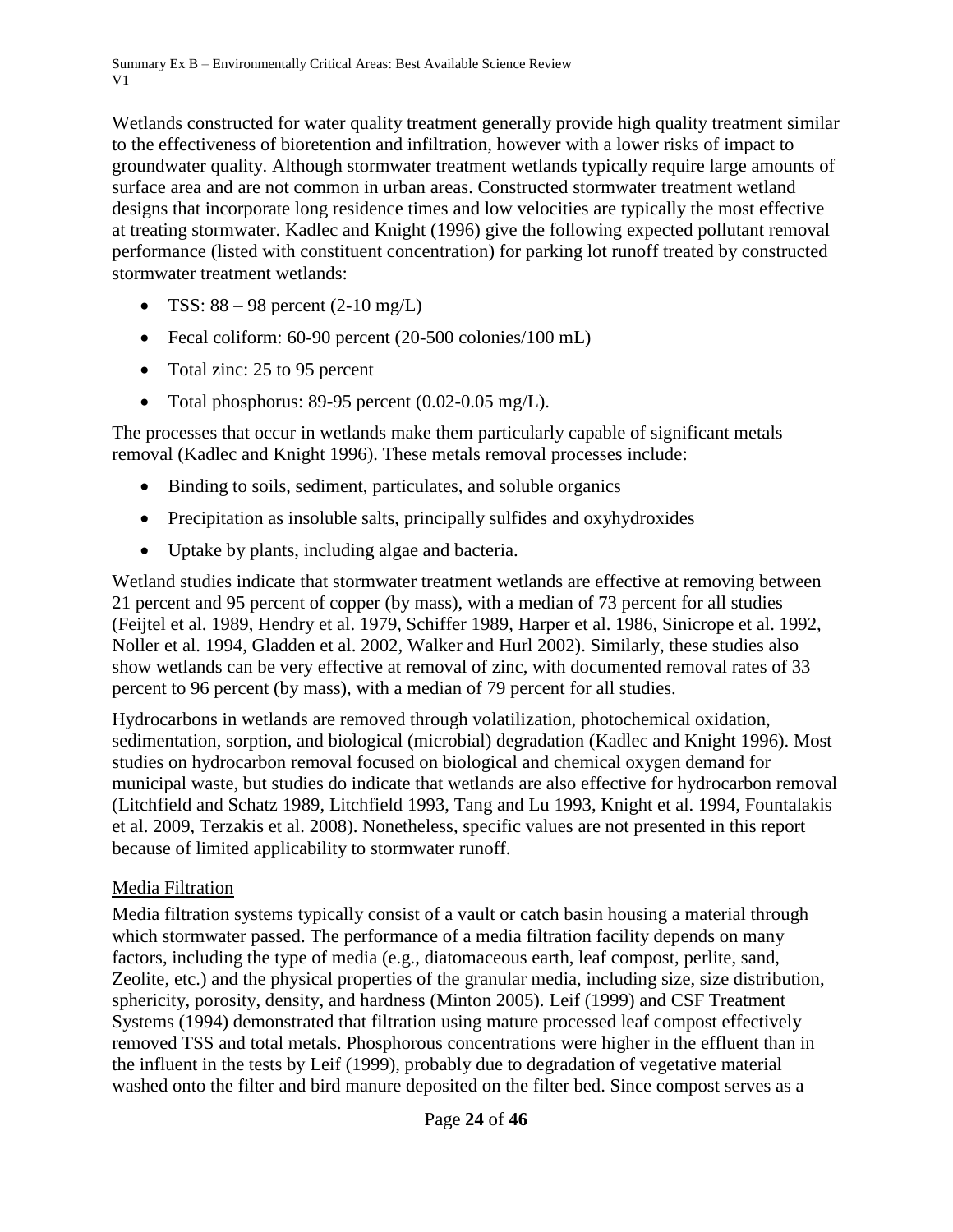Wetlands constructed for water quality treatment generally provide high quality treatment similar to the effectiveness of bioretention and infiltration, however with a lower risks of impact to groundwater quality. Although stormwater treatment wetlands typically require large amounts of surface area and are not common in urban areas. Constructed stormwater treatment wetland designs that incorporate long residence times and low velocities are typically the most effective at treating stormwater. Kadlec and Knight (1996) give the following expected pollutant removal performance (listed with constituent concentration) for parking lot runoff treated by constructed stormwater treatment wetlands:

- TSS:  $88 98$  percent  $(2-10 \text{ mg/L})$
- Fecal coliform: 60-90 percent (20-500 colonies/100 mL)
- Total zinc: 25 to 95 percent
- Total phosphorus: 89-95 percent (0.02-0.05 mg/L).

The processes that occur in wetlands make them particularly capable of significant metals removal (Kadlec and Knight 1996). These metals removal processes include:

- Binding to soils, sediment, particulates, and soluble organics
- Precipitation as insoluble salts, principally sulfides and oxyhydroxides
- Uptake by plants, including algae and bacteria.

Wetland studies indicate that stormwater treatment wetlands are effective at removing between 21 percent and 95 percent of copper (by mass), with a median of 73 percent for all studies (Feijtel et al. 1989, Hendry et al. 1979, Schiffer 1989, Harper et al. 1986, Sinicrope et al. 1992, Noller et al. 1994, Gladden et al. 2002, Walker and Hurl 2002). Similarly, these studies also show wetlands can be very effective at removal of zinc, with documented removal rates of 33 percent to 96 percent (by mass), with a median of 79 percent for all studies.

Hydrocarbons in wetlands are removed through volatilization, photochemical oxidation, sedimentation, sorption, and biological (microbial) degradation (Kadlec and Knight 1996). Most studies on hydrocarbon removal focused on biological and chemical oxygen demand for municipal waste, but studies do indicate that wetlands are also effective for hydrocarbon removal (Litchfield and Schatz 1989, Litchfield 1993, Tang and Lu 1993, Knight et al. 1994, Fountalakis et al. 2009, Terzakis et al. 2008). Nonetheless, specific values are not presented in this report because of limited applicability to stormwater runoff.

### Media Filtration

Media filtration systems typically consist of a vault or catch basin housing a material through which stormwater passed. The performance of a media filtration facility depends on many factors, including the type of media (e.g., diatomaceous earth, leaf compost, perlite, sand, Zeolite, etc.) and the physical properties of the granular media, including size, size distribution, sphericity, porosity, density, and hardness (Minton 2005). Leif (1999) and CSF Treatment Systems (1994) demonstrated that filtration using mature processed leaf compost effectively removed TSS and total metals. Phosphorous concentrations were higher in the effluent than in the influent in the tests by Leif (1999), probably due to degradation of vegetative material washed onto the filter and bird manure deposited on the filter bed. Since compost serves as a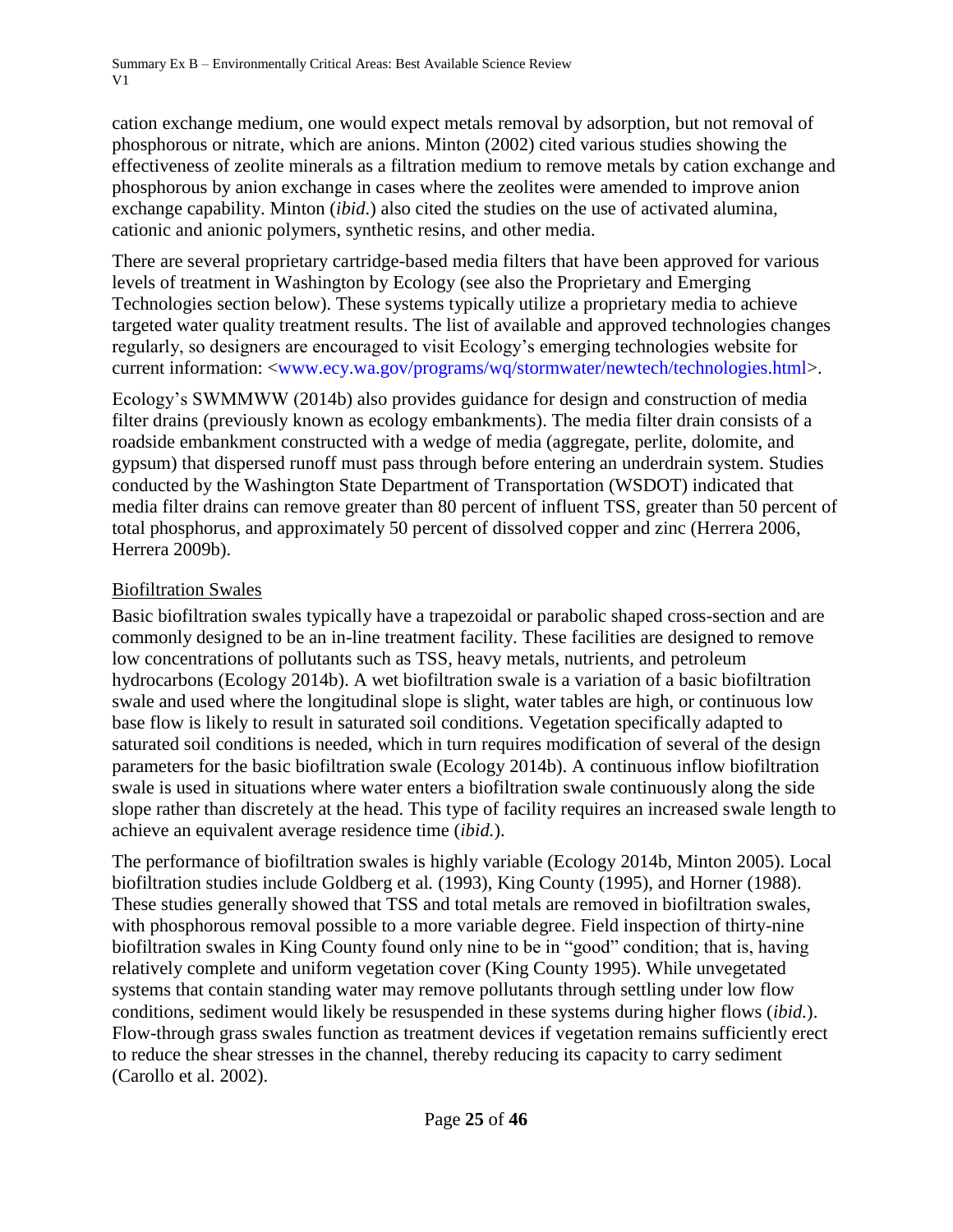cation exchange medium, one would expect metals removal by adsorption, but not removal of phosphorous or nitrate, which are anions. Minton (2002) cited various studies showing the effectiveness of zeolite minerals as a filtration medium to remove metals by cation exchange and phosphorous by anion exchange in cases where the zeolites were amended to improve anion exchange capability. Minton (*ibid*.) also cited the studies on the use of activated alumina, cationic and anionic polymers, synthetic resins, and other media.

There are several proprietary cartridge-based media filters that have been approved for various levels of treatment in Washington by Ecology (see also the Proprietary and Emerging Technologies section below). These systems typically utilize a proprietary media to achieve targeted water quality treatment results. The list of available and approved technologies changes regularly, so designers are encouraged to visit Ecology's emerging technologies website for current information: [<www.ecy.wa.gov/programs/wq/stormwater/newtech/technologies.html>](http://www.ecy.wa.gov/programs/wq/stormwater/newtech/technologies.html).

Ecology's SWMMWW (2014b) also provides guidance for design and construction of media filter drains (previously known as ecology embankments). The media filter drain consists of a roadside embankment constructed with a wedge of media (aggregate, perlite, dolomite, and gypsum) that dispersed runoff must pass through before entering an underdrain system. Studies conducted by the Washington State Department of Transportation (WSDOT) indicated that media filter drains can remove greater than 80 percent of influent TSS, greater than 50 percent of total phosphorus, and approximately 50 percent of dissolved copper and zinc (Herrera 2006, Herrera 2009b).

# Biofiltration Swales

Basic biofiltration swales typically have a trapezoidal or parabolic shaped cross-section and are commonly designed to be an in-line treatment facility. These facilities are designed to remove low concentrations of pollutants such as TSS, heavy metals, nutrients, and petroleum hydrocarbons (Ecology 2014b). A wet biofiltration swale is a variation of a basic biofiltration swale and used where the longitudinal slope is slight, water tables are high, or continuous low base flow is likely to result in saturated soil conditions. Vegetation specifically adapted to saturated soil conditions is needed, which in turn requires modification of several of the design parameters for the basic biofiltration swale (Ecology 2014b). A continuous inflow biofiltration swale is used in situations where water enters a biofiltration swale continuously along the side slope rather than discretely at the head. This type of facility requires an increased swale length to achieve an equivalent average residence time (*ibid.*).

The performance of biofiltration swales is highly variable (Ecology 2014b, Minton 2005). Local biofiltration studies include Goldberg et al*.* (1993), King County (1995), and Horner (1988). These studies generally showed that TSS and total metals are removed in biofiltration swales, with phosphorous removal possible to a more variable degree. Field inspection of thirty-nine biofiltration swales in King County found only nine to be in "good" condition; that is, having relatively complete and uniform vegetation cover (King County 1995). While unvegetated systems that contain standing water may remove pollutants through settling under low flow conditions, sediment would likely be resuspended in these systems during higher flows (*ibid.*). Flow-through grass swales function as treatment devices if vegetation remains sufficiently erect to reduce the shear stresses in the channel, thereby reducing its capacity to carry sediment (Carollo et al. 2002).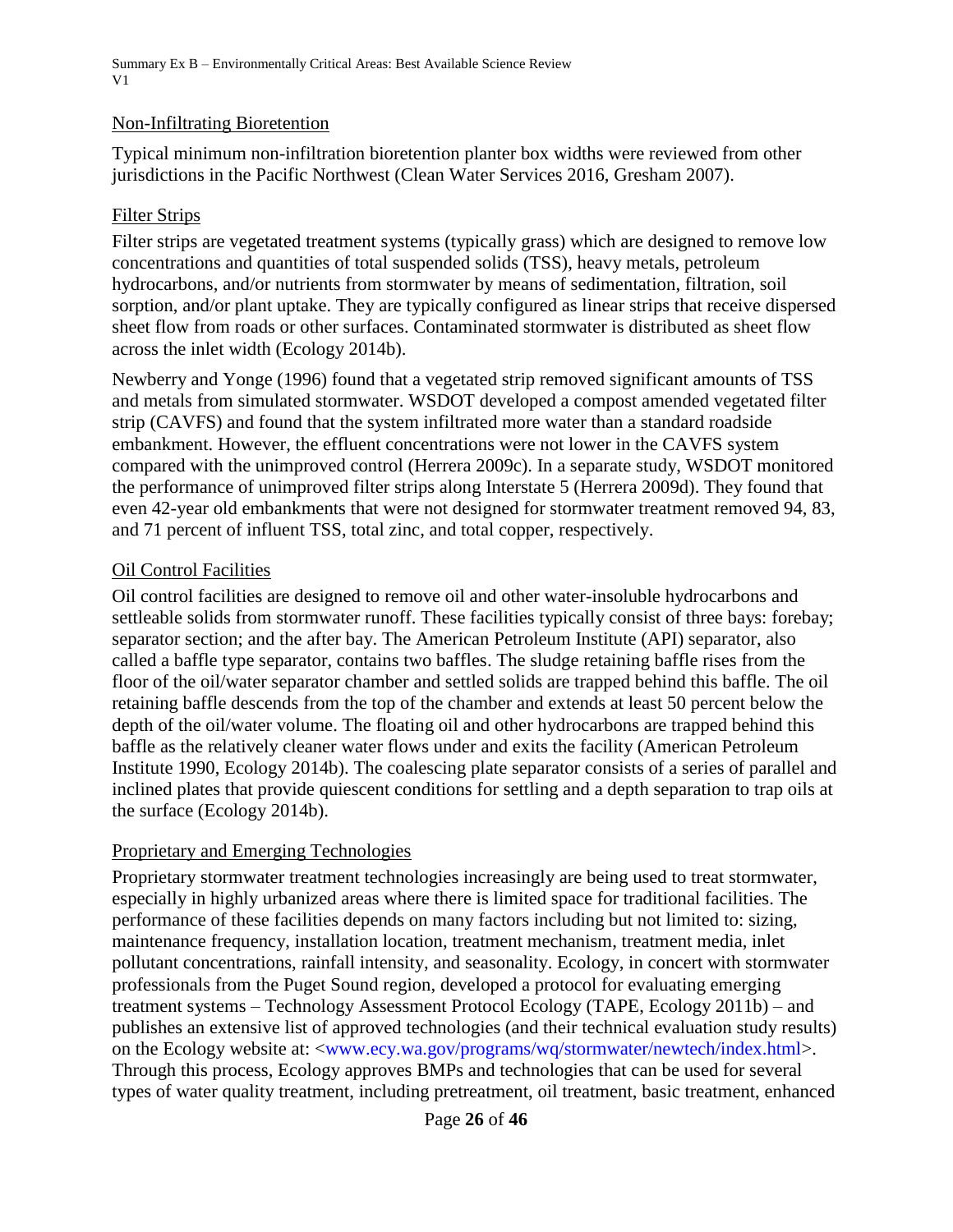#### Non-Infiltrating Bioretention

Typical minimum non-infiltration bioretention planter box widths were reviewed from other jurisdictions in the Pacific Northwest (Clean Water Services 2016, Gresham 2007).

#### Filter Strips

Filter strips are vegetated treatment systems (typically grass) which are designed to remove low concentrations and quantities of total suspended solids (TSS), heavy metals, petroleum hydrocarbons, and/or nutrients from stormwater by means of sedimentation, filtration, soil sorption, and/or plant uptake. They are typically configured as linear strips that receive dispersed sheet flow from roads or other surfaces. Contaminated stormwater is distributed as sheet flow across the inlet width (Ecology 2014b).

Newberry and Yonge (1996) found that a vegetated strip removed significant amounts of TSS and metals from simulated stormwater. WSDOT developed a compost amended vegetated filter strip (CAVFS) and found that the system infiltrated more water than a standard roadside embankment. However, the effluent concentrations were not lower in the CAVFS system compared with the unimproved control (Herrera 2009c). In a separate study, WSDOT monitored the performance of unimproved filter strips along Interstate 5 (Herrera 2009d). They found that even 42-year old embankments that were not designed for stormwater treatment removed 94, 83, and 71 percent of influent TSS, total zinc, and total copper, respectively.

#### Oil Control Facilities

Oil control facilities are designed to remove oil and other water-insoluble hydrocarbons and settleable solids from stormwater runoff. These facilities typically consist of three bays: forebay; separator section; and the after bay. The American Petroleum Institute (API) separator, also called a baffle type separator, contains two baffles. The sludge retaining baffle rises from the floor of the oil/water separator chamber and settled solids are trapped behind this baffle. The oil retaining baffle descends from the top of the chamber and extends at least 50 percent below the depth of the oil/water volume. The floating oil and other hydrocarbons are trapped behind this baffle as the relatively cleaner water flows under and exits the facility (American Petroleum Institute 1990, Ecology 2014b). The coalescing plate separator consists of a series of parallel and inclined plates that provide quiescent conditions for settling and a depth separation to trap oils at the surface (Ecology 2014b).

#### Proprietary and Emerging Technologies

Proprietary stormwater treatment technologies increasingly are being used to treat stormwater, especially in highly urbanized areas where there is limited space for traditional facilities. The performance of these facilities depends on many factors including but not limited to: sizing, maintenance frequency, installation location, treatment mechanism, treatment media, inlet pollutant concentrations, rainfall intensity, and seasonality. Ecology, in concert with stormwater professionals from the Puget Sound region, developed a protocol for evaluating emerging treatment systems – Technology Assessment Protocol Ecology (TAPE, Ecology 2011b) – and publishes an extensive list of approved technologies (and their technical evaluation study results) on the Ecology website at: [<www.ecy.wa.gov/programs/wq/stormwater/newtech/index.html>](http://www.ecy.wa.gov/programs/wq/stormwater/newtech/index.html). Through this process, Ecology approves BMPs and technologies that can be used for several types of water quality treatment, including pretreatment, oil treatment, basic treatment, enhanced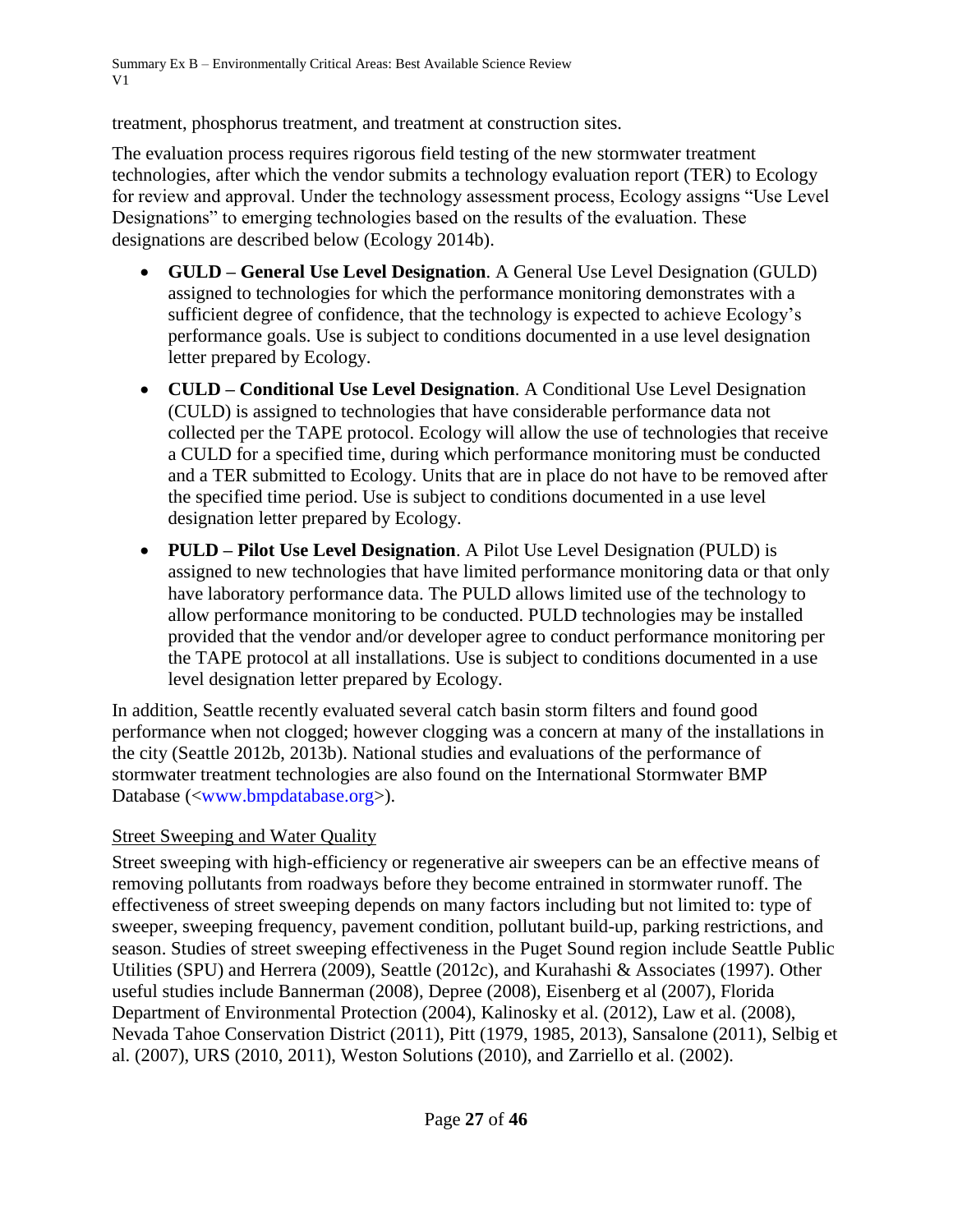treatment, phosphorus treatment, and treatment at construction sites.

The evaluation process requires rigorous field testing of the new stormwater treatment technologies, after which the vendor submits a technology evaluation report (TER) to Ecology for review and approval. Under the technology assessment process, Ecology assigns "Use Level Designations" to emerging technologies based on the results of the evaluation. These designations are described below (Ecology 2014b).

- **GULD – General Use Level Designation**. A General Use Level Designation (GULD) assigned to technologies for which the performance monitoring demonstrates with a sufficient degree of confidence, that the technology is expected to achieve Ecology's performance goals. Use is subject to conditions documented in a use level designation letter prepared by Ecology.
- **CULD – Conditional Use Level Designation**. A Conditional Use Level Designation (CULD) is assigned to technologies that have considerable performance data not collected per the TAPE protocol. Ecology will allow the use of technologies that receive a CULD for a specified time, during which performance monitoring must be conducted and a TER submitted to Ecology. Units that are in place do not have to be removed after the specified time period. Use is subject to conditions documented in a use level designation letter prepared by Ecology.
- **PULD – Pilot Use Level Designation**. A Pilot Use Level Designation (PULD) is assigned to new technologies that have limited performance monitoring data or that only have laboratory performance data. The PULD allows limited use of the technology to allow performance monitoring to be conducted. PULD technologies may be installed provided that the vendor and/or developer agree to conduct performance monitoring per the TAPE protocol at all installations. Use is subject to conditions documented in a use level designation letter prepared by Ecology.

In addition, Seattle recently evaluated several catch basin storm filters and found good performance when not clogged; however clogging was a concern at many of the installations in the city (Seattle 2012b, 2013b). National studies and evaluations of the performance of stormwater treatment technologies are also found on the International Stormwater BMP Database ([<www.bmpdatabase.org>](http://www.bmpdatabase.org/)).

# Street Sweeping and Water Quality

Street sweeping with high-efficiency or regenerative air sweepers can be an effective means of removing pollutants from roadways before they become entrained in stormwater runoff. The effectiveness of street sweeping depends on many factors including but not limited to: type of sweeper, sweeping frequency, pavement condition, pollutant build-up, parking restrictions, and season. Studies of street sweeping effectiveness in the Puget Sound region include Seattle Public Utilities (SPU) and Herrera (2009), Seattle (2012c), and Kurahashi & Associates (1997). Other useful studies include Bannerman (2008), Depree (2008), Eisenberg et al (2007), Florida Department of Environmental Protection (2004), Kalinosky et al. (2012), Law et al. (2008), Nevada Tahoe Conservation District (2011), Pitt (1979, 1985, 2013), Sansalone (2011), Selbig et al. (2007), URS (2010, 2011), Weston Solutions (2010), and Zarriello et al. (2002).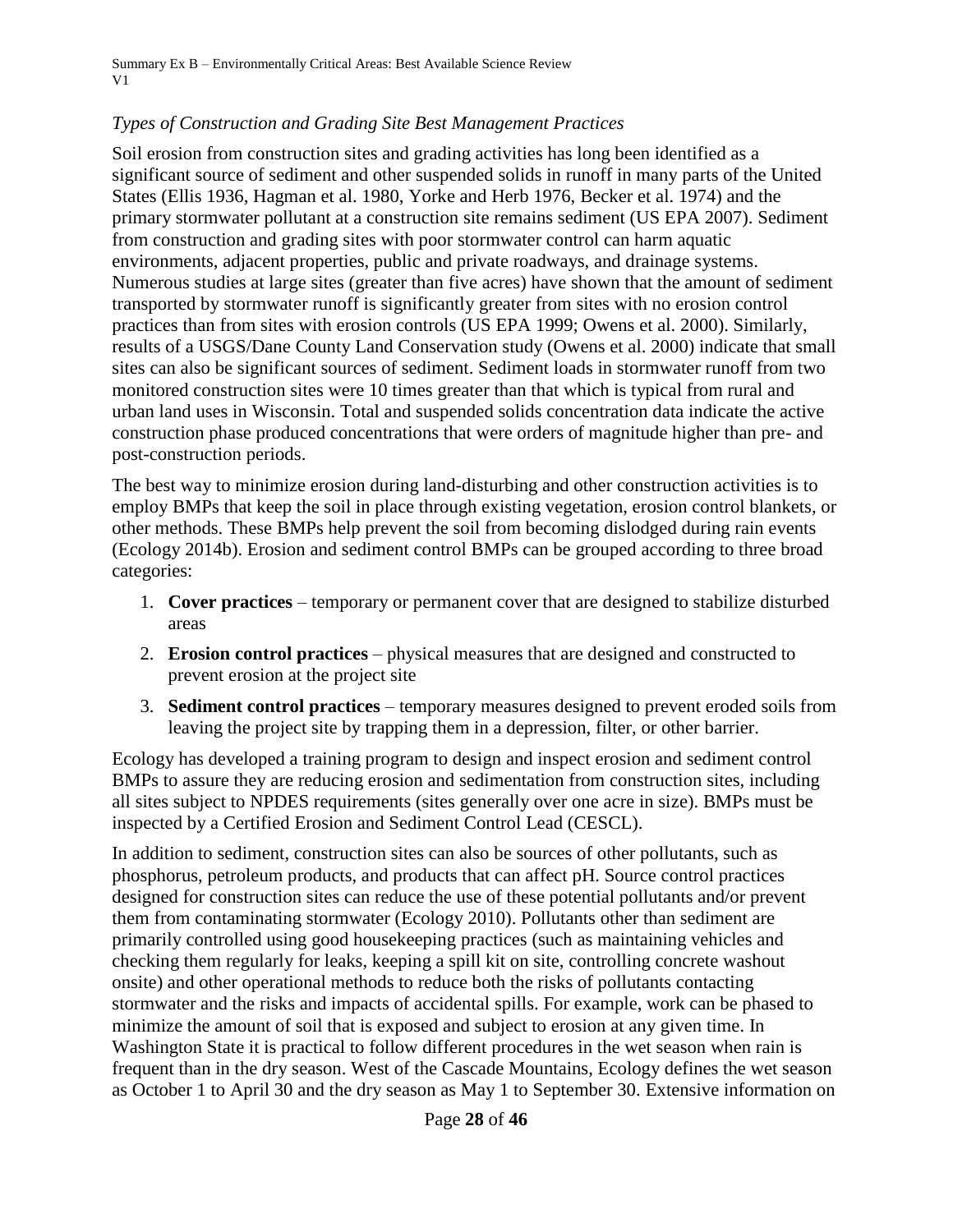### *Types of Construction and Grading Site Best Management Practices*

Soil erosion from construction sites and grading activities has long been identified as a significant source of sediment and other suspended solids in runoff in many parts of the United States (Ellis 1936, Hagman et al. 1980, Yorke and Herb 1976, Becker et al. 1974) and the primary stormwater pollutant at a construction site remains sediment (US EPA 2007). Sediment from construction and grading sites with poor stormwater control can harm aquatic environments, adjacent properties, public and private roadways, and drainage systems. Numerous studies at large sites (greater than five acres) have shown that the amount of sediment transported by stormwater runoff is significantly greater from sites with no erosion control practices than from sites with erosion controls (US EPA 1999; Owens et al. 2000). Similarly, results of a USGS/Dane County Land Conservation study (Owens et al. 2000) indicate that small sites can also be significant sources of sediment. Sediment loads in stormwater runoff from two monitored construction sites were 10 times greater than that which is typical from rural and urban land uses in Wisconsin. Total and suspended solids concentration data indicate the active construction phase produced concentrations that were orders of magnitude higher than pre- and post-construction periods.

The best way to minimize erosion during land-disturbing and other construction activities is to employ BMPs that keep the soil in place through existing vegetation, erosion control blankets, or other methods. These BMPs help prevent the soil from becoming dislodged during rain events (Ecology 2014b). Erosion and sediment control BMPs can be grouped according to three broad categories:

- 1. **Cover practices** temporary or permanent cover that are designed to stabilize disturbed areas
- 2. **Erosion control practices** physical measures that are designed and constructed to prevent erosion at the project site
- 3. **Sediment control practices** temporary measures designed to prevent eroded soils from leaving the project site by trapping them in a depression, filter, or other barrier.

Ecology has developed a training program to design and inspect erosion and sediment control BMPs to assure they are reducing erosion and sedimentation from construction sites, including all sites subject to NPDES requirements (sites generally over one acre in size). BMPs must be inspected by a Certified Erosion and Sediment Control Lead (CESCL).

In addition to sediment, construction sites can also be sources of other pollutants, such as phosphorus, petroleum products, and products that can affect pH. Source control practices designed for construction sites can reduce the use of these potential pollutants and/or prevent them from contaminating stormwater (Ecology 2010). Pollutants other than sediment are primarily controlled using good housekeeping practices (such as maintaining vehicles and checking them regularly for leaks, keeping a spill kit on site, controlling concrete washout onsite) and other operational methods to reduce both the risks of pollutants contacting stormwater and the risks and impacts of accidental spills. For example, work can be phased to minimize the amount of soil that is exposed and subject to erosion at any given time. In Washington State it is practical to follow different procedures in the wet season when rain is frequent than in the dry season. West of the Cascade Mountains, Ecology defines the wet season as October 1 to April 30 and the dry season as May 1 to September 30. Extensive information on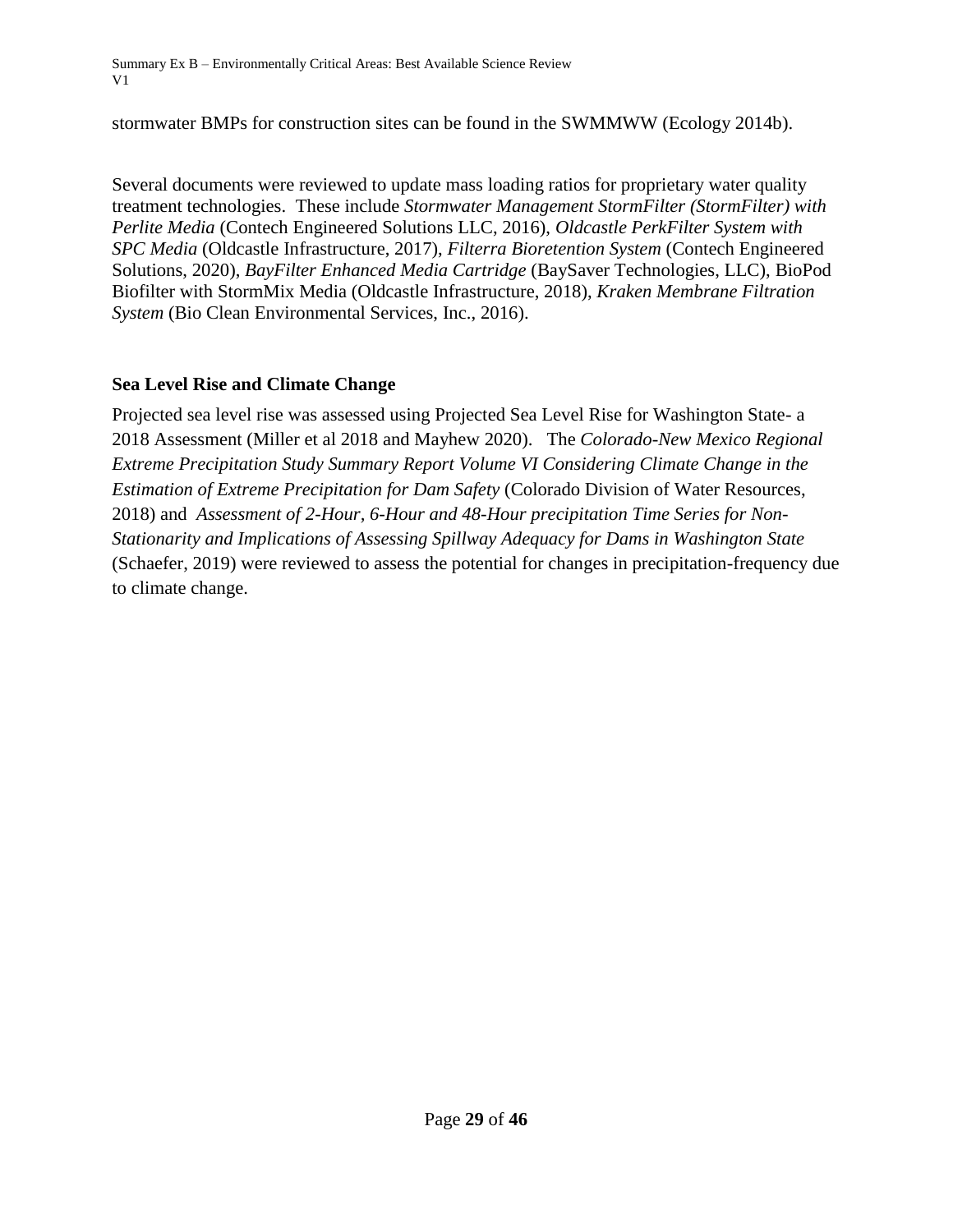stormwater BMPs for construction sites can be found in the SWMMWW (Ecology 2014b).

Several documents were reviewed to update mass loading ratios for proprietary water quality treatment technologies. These include *Stormwater Management StormFilter (StormFilter) with Perlite Media* (Contech Engineered Solutions LLC, 2016), *Oldcastle PerkFilter System with SPC Media* (Oldcastle Infrastructure, 2017), *Filterra Bioretention System* (Contech Engineered Solutions, 2020), *BayFilter Enhanced Media Cartridge* (BaySaver Technologies, LLC), BioPod Biofilter with StormMix Media (Oldcastle Infrastructure, 2018), *Kraken Membrane Filtration System* (Bio Clean Environmental Services, Inc., 2016).

### **Sea Level Rise and Climate Change**

Projected sea level rise was assessed using Projected Sea Level Rise for Washington State- a 2018 Assessment (Miller et al 2018 and Mayhew 2020). The *Colorado-New Mexico Regional Extreme Precipitation Study Summary Report Volume VI Considering Climate Change in the Estimation of Extreme Precipitation for Dam Safety* (Colorado Division of Water Resources, 2018) and *Assessment of 2-Hour, 6-Hour and 48-Hour precipitation Time Series for Non-Stationarity and Implications of Assessing Spillway Adequacy for Dams in Washington State* (Schaefer, 2019) were reviewed to assess the potential for changes in precipitation-frequency due to climate change.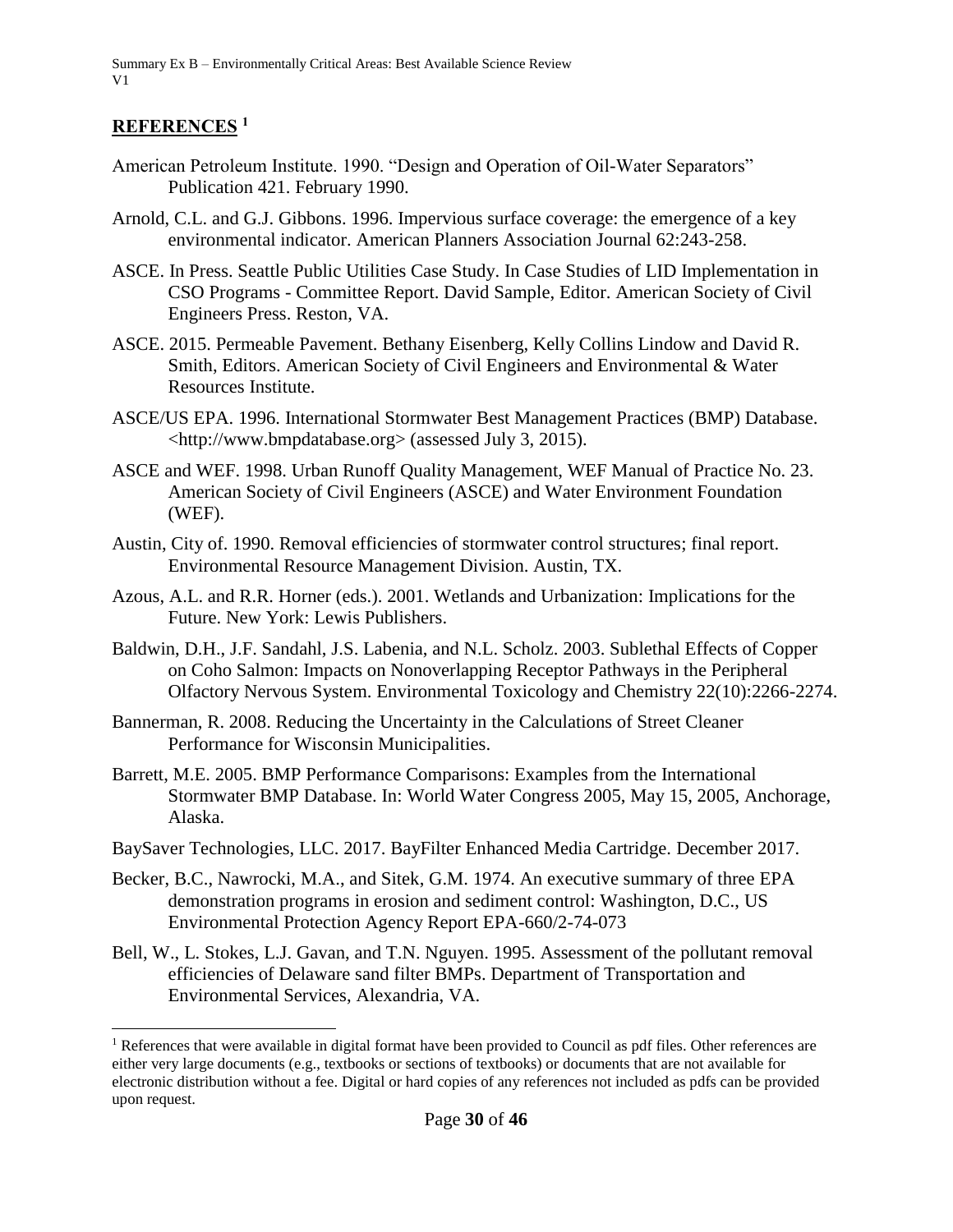### **REFERENCES <sup>1</sup>**

 $\overline{\phantom{a}}$ 

- American Petroleum Institute. 1990. "Design and Operation of Oil-Water Separators" Publication 421. February 1990.
- Arnold, C.L. and G.J. Gibbons. 1996. Impervious surface coverage: the emergence of a key environmental indicator. American Planners Association Journal 62:243-258.
- ASCE. In Press. Seattle Public Utilities Case Study. In Case Studies of LID Implementation in CSO Programs - Committee Report. David Sample, Editor. American Society of Civil Engineers Press. Reston, VA.
- ASCE. 2015. Permeable Pavement. Bethany Eisenberg, Kelly Collins Lindow and David R. Smith, Editors. American Society of Civil Engineers and Environmental & Water Resources Institute.
- ASCE/US EPA. 1996. International Stormwater Best Management Practices (BMP) Database. <http://www.bmpdatabase.org> (assessed July 3, 2015).
- ASCE and WEF. 1998. Urban Runoff Quality Management, WEF Manual of Practice No. 23. American Society of Civil Engineers (ASCE) and Water Environment Foundation (WEF).
- Austin, City of. 1990. Removal efficiencies of stormwater control structures; final report. Environmental Resource Management Division. Austin, TX.
- Azous, A.L. and R.R. Horner (eds.). 2001. Wetlands and Urbanization: Implications for the Future. New York: Lewis Publishers.
- Baldwin, D.H., J.F. Sandahl, J.S. Labenia, and N.L. Scholz. 2003. Sublethal Effects of Copper on Coho Salmon: Impacts on Nonoverlapping Receptor Pathways in the Peripheral Olfactory Nervous System. Environmental Toxicology and Chemistry 22(10):2266-2274.
- Bannerman, R. 2008. Reducing the Uncertainty in the Calculations of Street Cleaner Performance for Wisconsin Municipalities.
- Barrett, M.E. 2005. BMP Performance Comparisons: Examples from the International Stormwater BMP Database. In: World Water Congress 2005, May 15, 2005, Anchorage, Alaska.
- BaySaver Technologies, LLC. 2017. BayFilter Enhanced Media Cartridge. December 2017.
- Becker, B.C., Nawrocki, M.A., and Sitek, G.M. 1974. An executive summary of three EPA demonstration programs in erosion and sediment control: Washington, D.C., US Environmental Protection Agency Report EPA-660/2-74-073
- Bell, W., L. Stokes, L.J. Gavan, and T.N. Nguyen. 1995. Assessment of the pollutant removal efficiencies of Delaware sand filter BMPs. Department of Transportation and Environmental Services, Alexandria, VA.

 $<sup>1</sup>$  References that were available in digital format have been provided to Council as pdf files. Other references are</sup> either very large documents (e.g., textbooks or sections of textbooks) or documents that are not available for electronic distribution without a fee. Digital or hard copies of any references not included as pdfs can be provided upon request.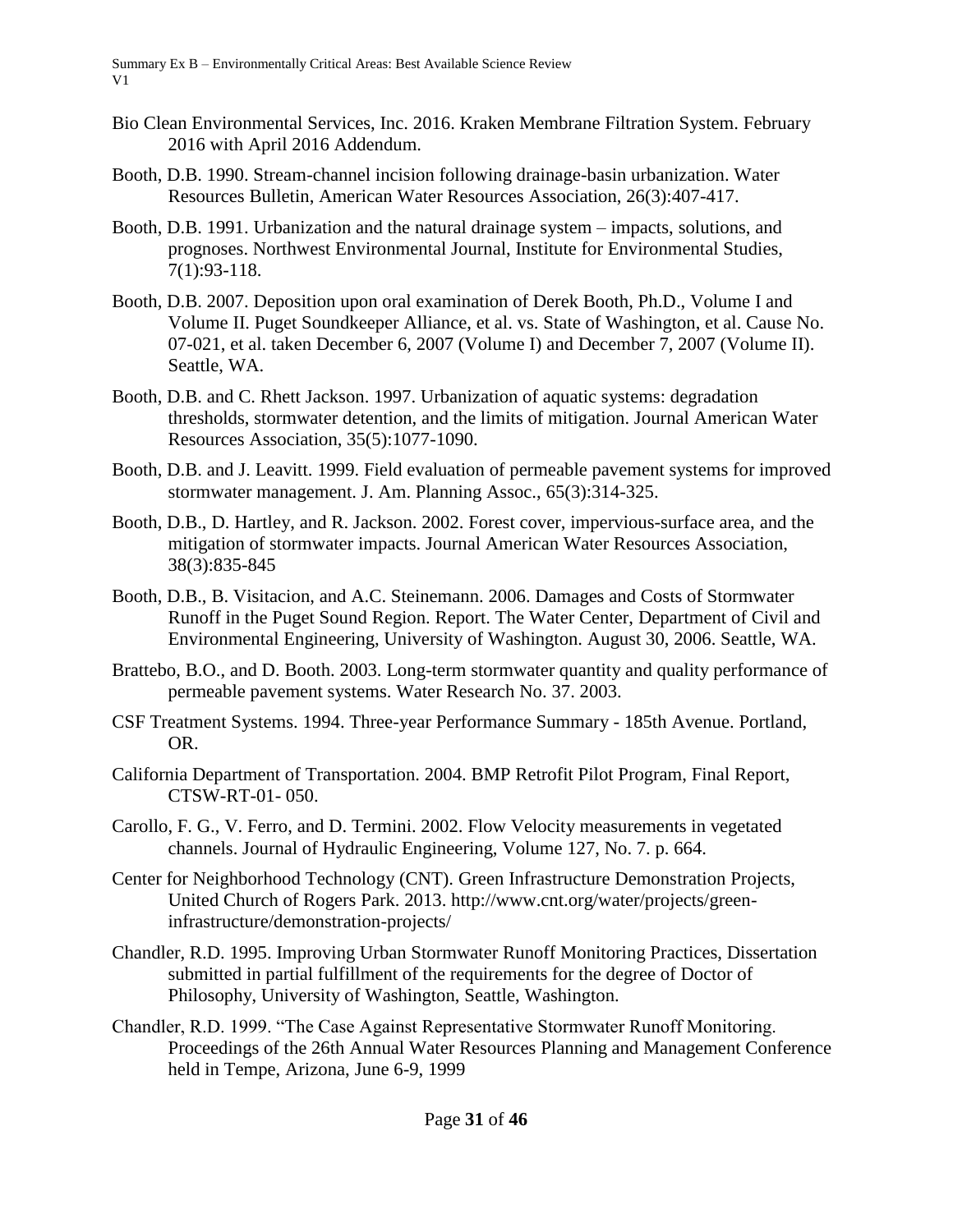- Bio Clean Environmental Services, Inc. 2016. Kraken Membrane Filtration System. February 2016 with April 2016 Addendum.
- Booth, D.B. 1990. Stream-channel incision following drainage-basin urbanization. Water Resources Bulletin, American Water Resources Association, 26(3):407-417.
- Booth, D.B. 1991. Urbanization and the natural drainage system impacts, solutions, and prognoses. Northwest Environmental Journal, Institute for Environmental Studies, 7(1):93-118.
- Booth, D.B. 2007. Deposition upon oral examination of Derek Booth, Ph.D., Volume I and Volume II. Puget Soundkeeper Alliance, et al. vs. State of Washington, et al. Cause No. 07-021, et al. taken December 6, 2007 (Volume I) and December 7, 2007 (Volume II). Seattle, WA.
- Booth, D.B. and C. Rhett Jackson. 1997. Urbanization of aquatic systems: degradation thresholds, stormwater detention, and the limits of mitigation. Journal American Water Resources Association, 35(5):1077-1090.
- Booth, D.B. and J. Leavitt. 1999. Field evaluation of permeable pavement systems for improved stormwater management. J. Am. Planning Assoc., 65(3):314-325.
- Booth, D.B., D. Hartley, and R. Jackson. 2002. Forest cover, impervious-surface area, and the mitigation of stormwater impacts. Journal American Water Resources Association, 38(3):835-845
- Booth, D.B., B. Visitacion, and A.C. Steinemann. 2006. Damages and Costs of Stormwater Runoff in the Puget Sound Region. Report. The Water Center, Department of Civil and Environmental Engineering, University of Washington. August 30, 2006. Seattle, WA.
- Brattebo, B.O., and D. Booth. 2003. Long-term stormwater quantity and quality performance of permeable pavement systems. Water Research No. 37. 2003.
- CSF Treatment Systems. 1994. Three-year Performance Summary 185th Avenue. Portland, OR.
- California Department of Transportation. 2004. BMP Retrofit Pilot Program, Final Report, CTSW-RT-01- 050.
- Carollo, F. G., V. Ferro, and D. Termini. 2002. Flow Velocity measurements in vegetated channels. Journal of Hydraulic Engineering, Volume 127, No. 7. p. 664.
- Center for Neighborhood Technology (CNT). Green Infrastructure Demonstration Projects, United Church of Rogers Park. 2013. http://www.cnt.org/water/projects/greeninfrastructure/demonstration-projects/
- Chandler, R.D. 1995. Improving Urban Stormwater Runoff Monitoring Practices, Dissertation submitted in partial fulfillment of the requirements for the degree of Doctor of Philosophy, University of Washington, Seattle, Washington.
- Chandler, R.D. 1999. "The Case Against Representative Stormwater Runoff Monitoring. Proceedings of the 26th Annual Water Resources Planning and Management Conference held in Tempe, Arizona, June 6-9, 1999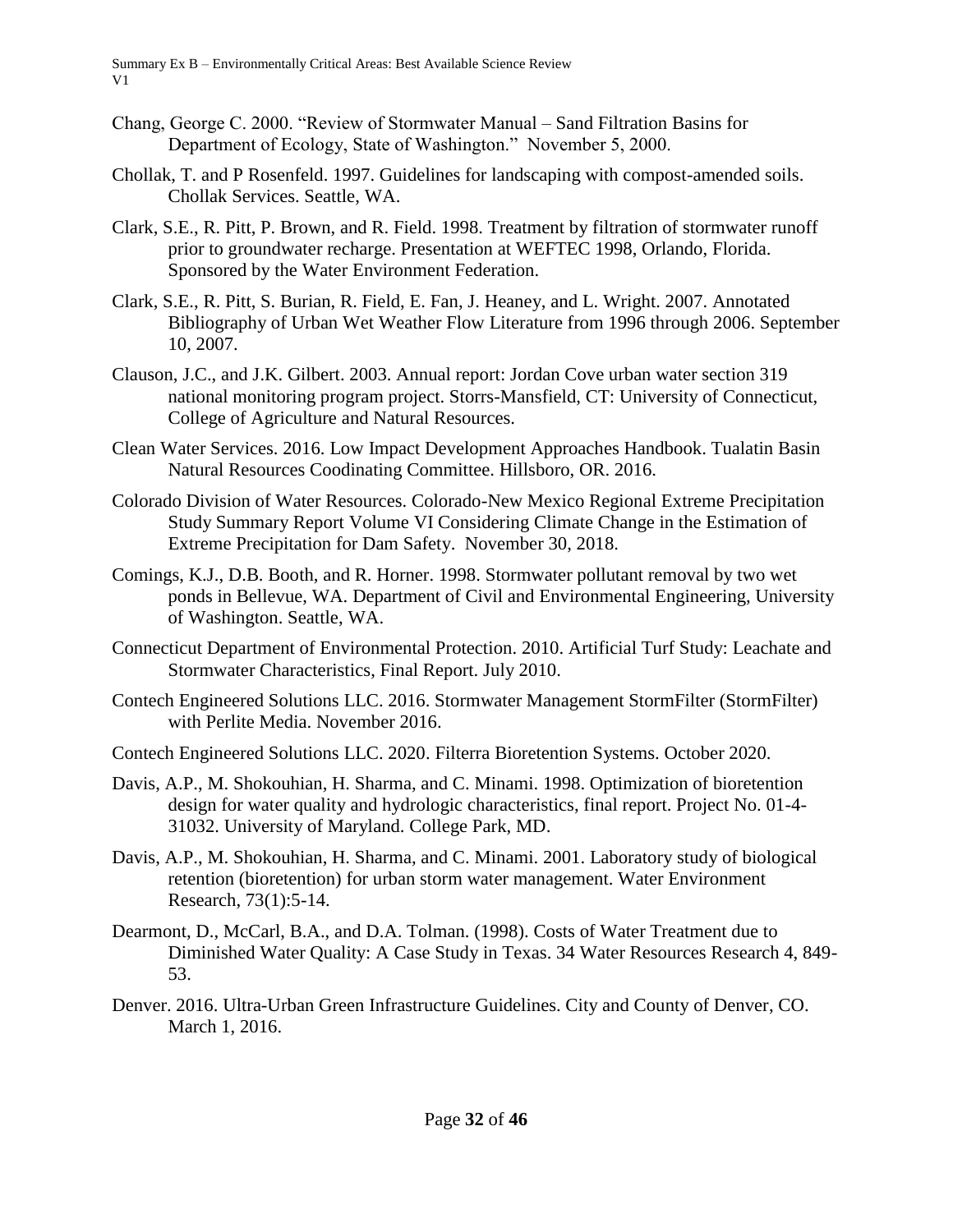- Chang, George C. 2000. "Review of Stormwater Manual Sand Filtration Basins for Department of Ecology, State of Washington." November 5, 2000.
- Chollak, T. and P Rosenfeld. 1997. Guidelines for landscaping with compost-amended soils. Chollak Services. Seattle, WA.
- Clark, S.E., R. Pitt, P. Brown, and R. Field. 1998. Treatment by filtration of stormwater runoff prior to groundwater recharge. Presentation at WEFTEC 1998, Orlando, Florida. Sponsored by the Water Environment Federation.
- Clark, S.E., R. Pitt, S. Burian, R. Field, E. Fan, J. Heaney, and L. Wright. 2007. Annotated Bibliography of Urban Wet Weather Flow Literature from 1996 through 2006. September 10, 2007.
- Clauson, J.C., and J.K. Gilbert. 2003. Annual report: Jordan Cove urban water section 319 national monitoring program project. Storrs-Mansfield, CT: University of Connecticut, College of Agriculture and Natural Resources.
- Clean Water Services. 2016. Low Impact Development Approaches Handbook. Tualatin Basin Natural Resources Coodinating Committee. Hillsboro, OR. 2016.
- Colorado Division of Water Resources. Colorado-New Mexico Regional Extreme Precipitation Study Summary Report Volume VI Considering Climate Change in the Estimation of Extreme Precipitation for Dam Safety. November 30, 2018.
- Comings, K.J., D.B. Booth, and R. Horner. 1998. Stormwater pollutant removal by two wet ponds in Bellevue, WA. Department of Civil and Environmental Engineering, University of Washington. Seattle, WA.
- Connecticut Department of Environmental Protection. 2010. Artificial Turf Study: Leachate and Stormwater Characteristics, Final Report. July 2010.
- Contech Engineered Solutions LLC. 2016. Stormwater Management StormFilter (StormFilter) with Perlite Media. November 2016.
- Contech Engineered Solutions LLC. 2020. Filterra Bioretention Systems. October 2020.
- Davis, A.P., M. Shokouhian, H. Sharma, and C. Minami. 1998. Optimization of bioretention design for water quality and hydrologic characteristics, final report. Project No. 01-4- 31032. University of Maryland. College Park, MD.
- Davis, A.P., M. Shokouhian, H. Sharma, and C. Minami. 2001. Laboratory study of biological retention (bioretention) for urban storm water management. Water Environment Research, 73(1):5-14.
- Dearmont, D., McCarl, B.A., and D.A. Tolman. (1998). Costs of Water Treatment due to Diminished Water Quality: A Case Study in Texas. 34 Water Resources Research 4, 849- 53.
- Denver. 2016. Ultra-Urban Green Infrastructure Guidelines. City and County of Denver, CO. March 1, 2016.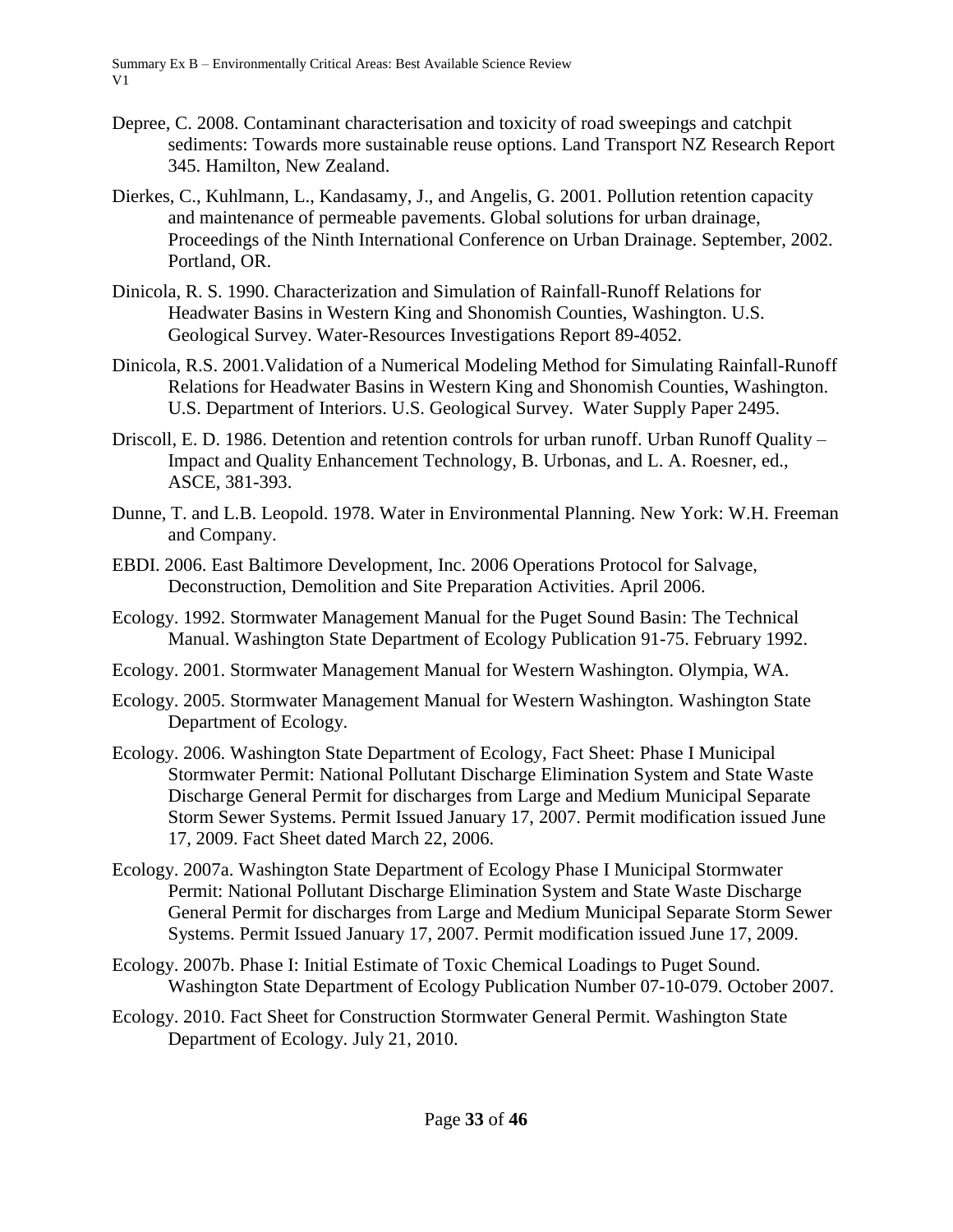- Depree, C. 2008. Contaminant characterisation and toxicity of road sweepings and catchpit sediments: Towards more sustainable reuse options. Land Transport NZ Research Report 345. Hamilton, New Zealand.
- Dierkes, C., Kuhlmann, L., Kandasamy, J., and Angelis, G. 2001. Pollution retention capacity and maintenance of permeable pavements. Global solutions for urban drainage, Proceedings of the Ninth International Conference on Urban Drainage. September, 2002. Portland, OR.
- Dinicola, R. S. 1990. Characterization and Simulation of Rainfall-Runoff Relations for Headwater Basins in Western King and Shonomish Counties, Washington. U.S. Geological Survey. Water-Resources Investigations Report 89-4052.
- Dinicola, R.S. 2001.Validation of a Numerical Modeling Method for Simulating Rainfall-Runoff Relations for Headwater Basins in Western King and Shonomish Counties, Washington. U.S. Department of Interiors. U.S. Geological Survey. Water Supply Paper 2495.
- Driscoll, E. D. 1986. Detention and retention controls for urban runoff. Urban Runoff Quality Impact and Quality Enhancement Technology, B. Urbonas, and L. A. Roesner, ed., ASCE, 381-393.
- Dunne, T. and L.B. Leopold. 1978. Water in Environmental Planning. New York: W.H. Freeman and Company.
- EBDI. 2006. East Baltimore Development, Inc. 2006 Operations Protocol for Salvage, Deconstruction, Demolition and Site Preparation Activities. April 2006.
- Ecology. 1992. Stormwater Management Manual for the Puget Sound Basin: The Technical Manual. Washington State Department of Ecology Publication 91-75. February 1992.
- Ecology. 2001. Stormwater Management Manual for Western Washington. Olympia, WA.
- Ecology. 2005. Stormwater Management Manual for Western Washington. Washington State Department of Ecology.
- Ecology. 2006. Washington State Department of Ecology, Fact Sheet: Phase I Municipal Stormwater Permit: National Pollutant Discharge Elimination System and State Waste Discharge General Permit for discharges from Large and Medium Municipal Separate Storm Sewer Systems. Permit Issued January 17, 2007. Permit modification issued June 17, 2009. Fact Sheet dated March 22, 2006.
- Ecology. 2007a. Washington State Department of Ecology Phase I Municipal Stormwater Permit: National Pollutant Discharge Elimination System and State Waste Discharge General Permit for discharges from Large and Medium Municipal Separate Storm Sewer Systems. Permit Issued January 17, 2007. Permit modification issued June 17, 2009.
- Ecology. 2007b. Phase I: Initial Estimate of Toxic Chemical Loadings to Puget Sound. Washington State Department of Ecology Publication Number 07-10-079. October 2007.
- Ecology. 2010. Fact Sheet for Construction Stormwater General Permit. Washington State Department of Ecology. July 21, 2010.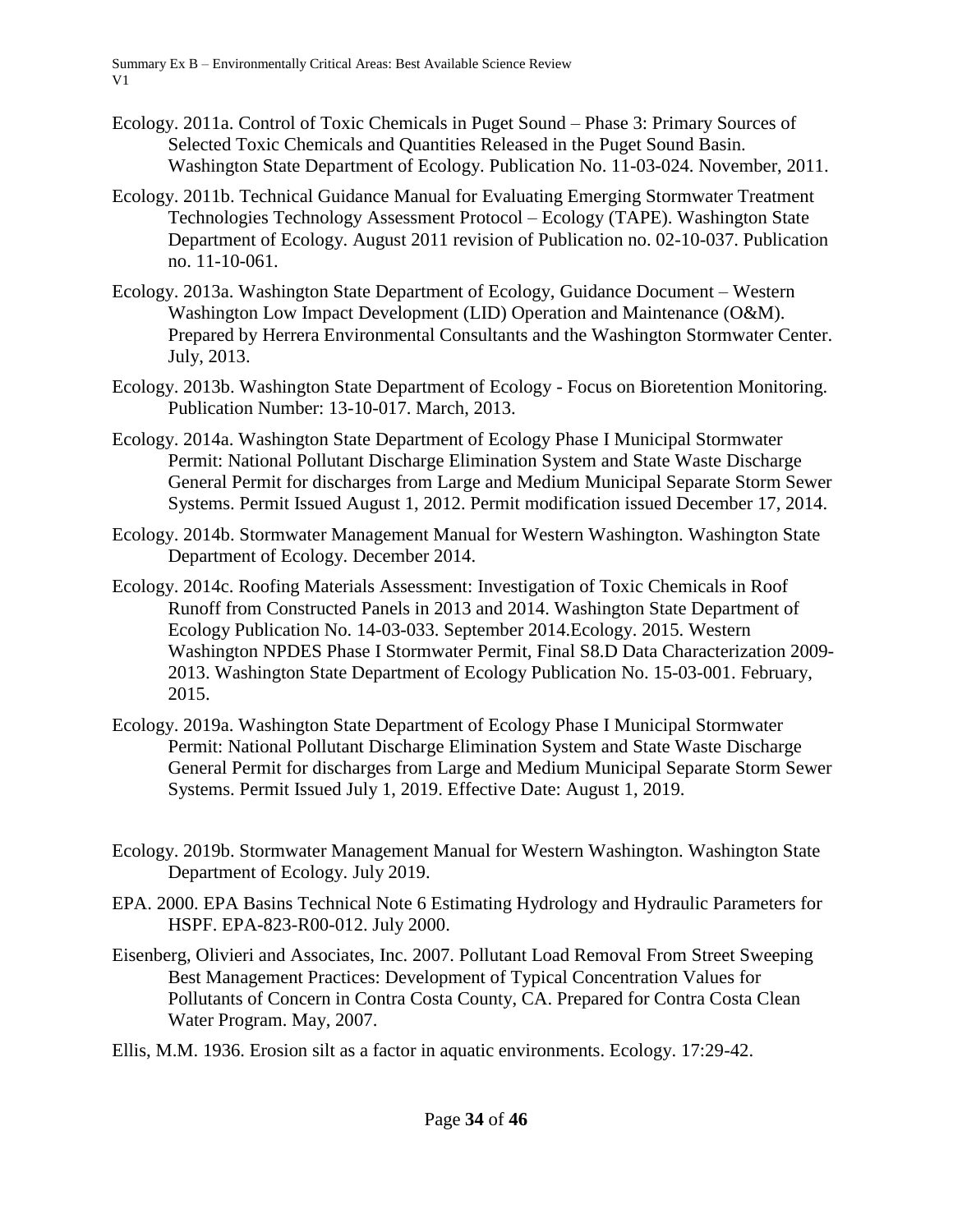- Ecology. 2011a. Control of Toxic Chemicals in Puget Sound Phase 3: Primary Sources of Selected Toxic Chemicals and Quantities Released in the Puget Sound Basin. Washington State Department of Ecology. Publication No. 11-03-024. November, 2011.
- Ecology. 2011b. Technical Guidance Manual for Evaluating Emerging Stormwater Treatment Technologies Technology Assessment Protocol – Ecology (TAPE). Washington State Department of Ecology. August 2011 revision of Publication no. 02-10-037. Publication no. 11-10-061.
- Ecology. 2013a. Washington State Department of Ecology, Guidance Document Western Washington Low Impact Development (LID) Operation and Maintenance (O&M). Prepared by Herrera Environmental Consultants and the Washington Stormwater Center. July, 2013.
- Ecology. 2013b. Washington State Department of Ecology Focus on Bioretention Monitoring. Publication Number: 13-10-017. March, 2013.
- Ecology. 2014a. Washington State Department of Ecology Phase I Municipal Stormwater Permit: National Pollutant Discharge Elimination System and State Waste Discharge General Permit for discharges from Large and Medium Municipal Separate Storm Sewer Systems. Permit Issued August 1, 2012. Permit modification issued December 17, 2014.
- Ecology. 2014b. Stormwater Management Manual for Western Washington. Washington State Department of Ecology. December 2014.
- Ecology. 2014c. Roofing Materials Assessment: Investigation of Toxic Chemicals in Roof Runoff from Constructed Panels in 2013 and 2014. Washington State Department of Ecology Publication No. 14-03-033. September 2014.Ecology. 2015. Western Washington NPDES Phase I Stormwater Permit, Final S8.D Data Characterization 2009- 2013. Washington State Department of Ecology Publication No. 15-03-001. February, 2015.
- Ecology. 2019a. Washington State Department of Ecology Phase I Municipal Stormwater Permit: National Pollutant Discharge Elimination System and State Waste Discharge General Permit for discharges from Large and Medium Municipal Separate Storm Sewer Systems. Permit Issued July 1, 2019. Effective Date: August 1, 2019.
- Ecology. 2019b. Stormwater Management Manual for Western Washington. Washington State Department of Ecology. July 2019.
- EPA. 2000. EPA Basins Technical Note 6 Estimating Hydrology and Hydraulic Parameters for HSPF. EPA-823-R00-012. July 2000.
- Eisenberg, Olivieri and Associates, Inc. 2007. Pollutant Load Removal From Street Sweeping Best Management Practices: Development of Typical Concentration Values for Pollutants of Concern in Contra Costa County, CA. Prepared for Contra Costa Clean Water Program. May, 2007.
- Ellis, M.M. 1936. Erosion silt as a factor in aquatic environments. Ecology. 17:29-42.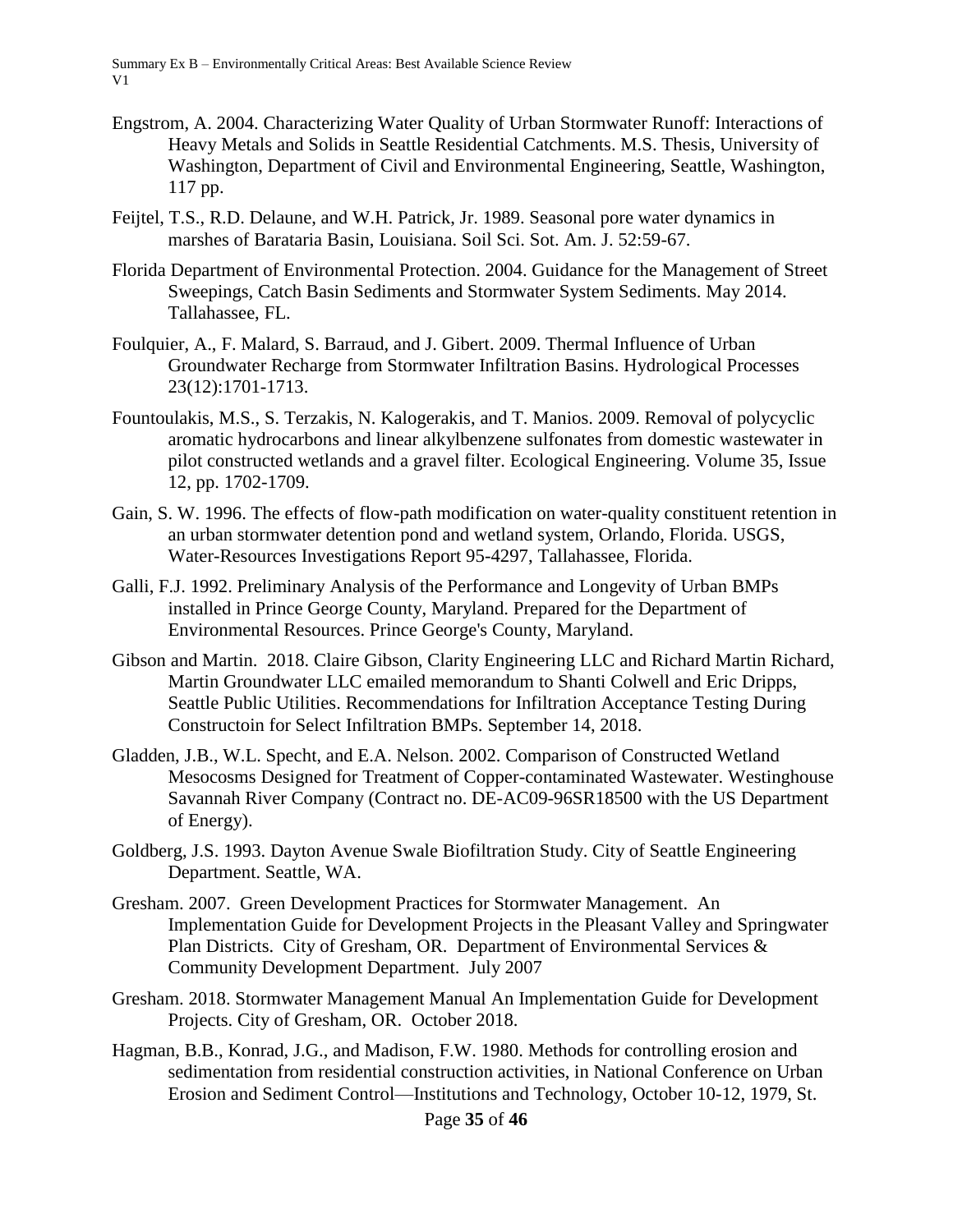- Engstrom, A. 2004. Characterizing Water Quality of Urban Stormwater Runoff: Interactions of Heavy Metals and Solids in Seattle Residential Catchments. M.S. Thesis, University of Washington, Department of Civil and Environmental Engineering, Seattle, Washington, 117 pp.
- Feijtel, T.S., R.D. Delaune, and W.H. Patrick, Jr. 1989. Seasonal pore water dynamics in marshes of Barataria Basin, Louisiana. Soil Sci. Sot. Am. J. 52:59-67.
- Florida Department of Environmental Protection. 2004. Guidance for the Management of Street Sweepings, Catch Basin Sediments and Stormwater System Sediments. May 2014. Tallahassee, FL.
- Foulquier, A., F. Malard, S. Barraud, and J. Gibert. 2009. Thermal Influence of Urban Groundwater Recharge from Stormwater Infiltration Basins. Hydrological Processes 23(12):1701-1713.
- Fountoulakis, M.S., S. Terzakis, N. Kalogerakis, and T. Manios. 2009. Removal of polycyclic aromatic hydrocarbons and linear alkylbenzene sulfonates from domestic wastewater in pilot constructed wetlands and a gravel filter. Ecological Engineering. Volume 35, Issue 12, pp. 1702-1709.
- Gain, S. W. 1996. The effects of flow-path modification on water-quality constituent retention in an urban stormwater detention pond and wetland system, Orlando, Florida. USGS, Water-Resources Investigations Report 95-4297, Tallahassee, Florida.
- Galli, F.J. 1992. Preliminary Analysis of the Performance and Longevity of Urban BMPs installed in Prince George County, Maryland. Prepared for the Department of Environmental Resources. Prince George's County, Maryland.
- Gibson and Martin. 2018. Claire Gibson, Clarity Engineering LLC and Richard Martin Richard, Martin Groundwater LLC emailed memorandum to Shanti Colwell and Eric Dripps, Seattle Public Utilities. Recommendations for Infiltration Acceptance Testing During Constructoin for Select Infiltration BMPs. September 14, 2018.
- Gladden, J.B., W.L. Specht, and E.A. Nelson. 2002. Comparison of Constructed Wetland Mesocosms Designed for Treatment of Copper-contaminated Wastewater. Westinghouse Savannah River Company (Contract no. DE-AC09-96SR18500 with the US Department of Energy).
- Goldberg, J.S. 1993. Dayton Avenue Swale Biofiltration Study. City of Seattle Engineering Department. Seattle, WA.
- Gresham. 2007. Green Development Practices for Stormwater Management. An Implementation Guide for Development Projects in the Pleasant Valley and Springwater Plan Districts. City of Gresham, OR. Department of Environmental Services & Community Development Department. July 2007
- Gresham. 2018. Stormwater Management Manual An Implementation Guide for Development Projects. City of Gresham, OR. October 2018.
- Hagman, B.B., Konrad, J.G., and Madison, F.W. 1980. Methods for controlling erosion and sedimentation from residential construction activities, in National Conference on Urban Erosion and Sediment Control—Institutions and Technology, October 10-12, 1979, St.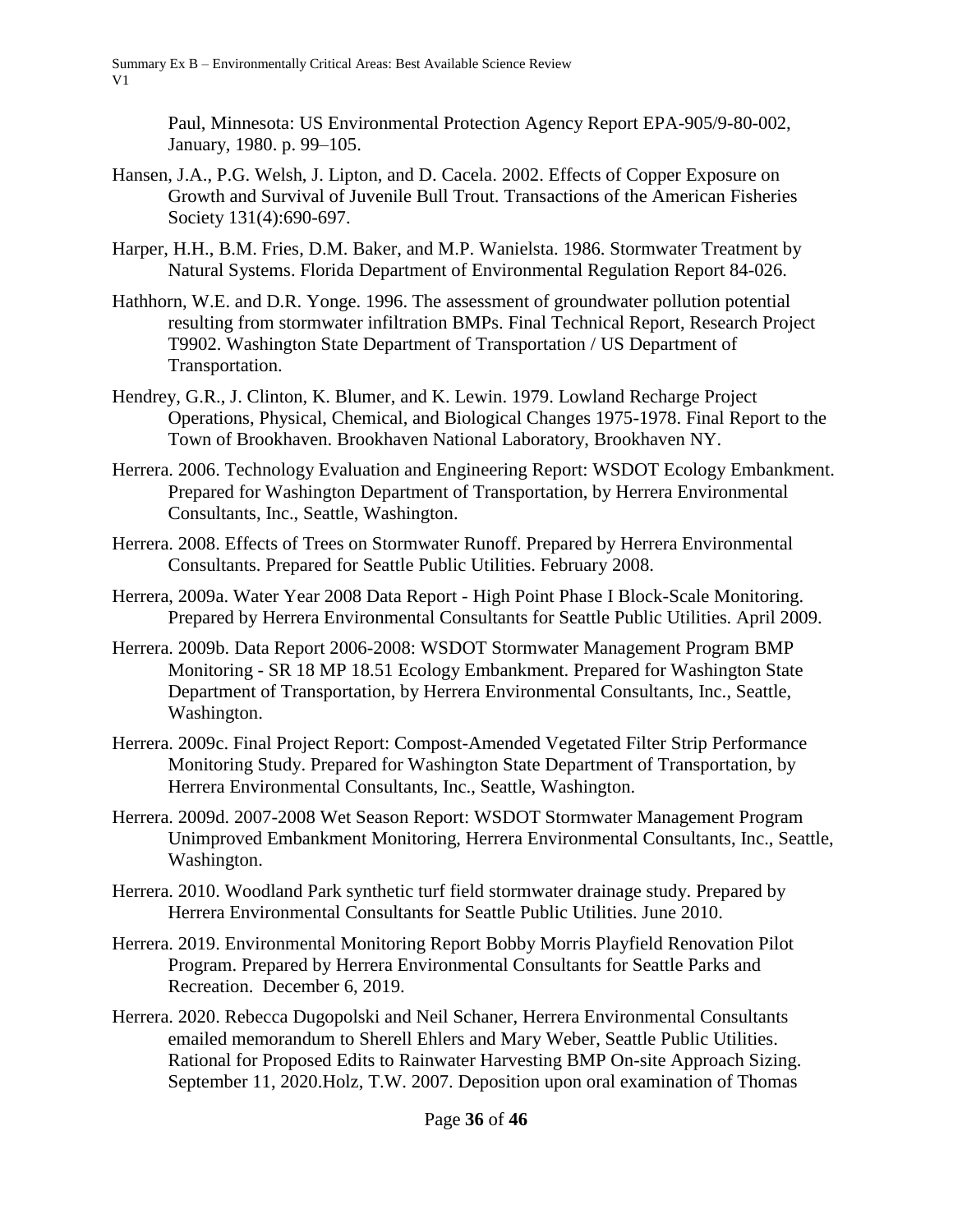> Paul, Minnesota: US Environmental Protection Agency Report EPA-905/9-80-002, January, 1980. p. 99–105.

- Hansen, J.A., P.G. Welsh, J. Lipton, and D. Cacela. 2002. Effects of Copper Exposure on Growth and Survival of Juvenile Bull Trout. Transactions of the American Fisheries Society 131(4):690-697.
- Harper, H.H., B.M. Fries, D.M. Baker, and M.P. Wanielsta. 1986. Stormwater Treatment by Natural Systems. Florida Department of Environmental Regulation Report 84-026.
- Hathhorn, W.E. and D.R. Yonge. 1996. The assessment of groundwater pollution potential resulting from stormwater infiltration BMPs. Final Technical Report, Research Project T9902. Washington State Department of Transportation / US Department of Transportation.
- Hendrey, G.R., J. Clinton, K. Blumer, and K. Lewin. 1979. Lowland Recharge Project Operations, Physical, Chemical, and Biological Changes 1975-1978. Final Report to the Town of Brookhaven. Brookhaven National Laboratory, Brookhaven NY.
- Herrera. 2006. Technology Evaluation and Engineering Report: WSDOT Ecology Embankment. Prepared for Washington Department of Transportation, by Herrera Environmental Consultants, Inc., Seattle, Washington.
- Herrera. 2008. Effects of Trees on Stormwater Runoff. Prepared by Herrera Environmental Consultants. Prepared for Seattle Public Utilities. February 2008.
- Herrera, 2009a. Water Year 2008 Data Report High Point Phase I Block-Scale Monitoring. Prepared by Herrera Environmental Consultants for Seattle Public Utilities. April 2009.
- Herrera. 2009b. Data Report 2006-2008: WSDOT Stormwater Management Program BMP Monitoring - SR 18 MP 18.51 Ecology Embankment. Prepared for Washington State Department of Transportation, by Herrera Environmental Consultants, Inc., Seattle, Washington.
- Herrera. 2009c. Final Project Report: Compost-Amended Vegetated Filter Strip Performance Monitoring Study. Prepared for Washington State Department of Transportation, by Herrera Environmental Consultants, Inc., Seattle, Washington.
- Herrera. 2009d. 2007-2008 Wet Season Report: WSDOT Stormwater Management Program Unimproved Embankment Monitoring, Herrera Environmental Consultants, Inc., Seattle, Washington.
- Herrera. 2010. Woodland Park synthetic turf field stormwater drainage study. Prepared by Herrera Environmental Consultants for Seattle Public Utilities. June 2010.
- Herrera. 2019. Environmental Monitoring Report Bobby Morris Playfield Renovation Pilot Program. Prepared by Herrera Environmental Consultants for Seattle Parks and Recreation. December 6, 2019.
- Herrera. 2020. Rebecca Dugopolski and Neil Schaner, Herrera Environmental Consultants emailed memorandum to Sherell Ehlers and Mary Weber, Seattle Public Utilities. Rational for Proposed Edits to Rainwater Harvesting BMP On-site Approach Sizing. September 11, 2020.Holz, T.W. 2007. Deposition upon oral examination of Thomas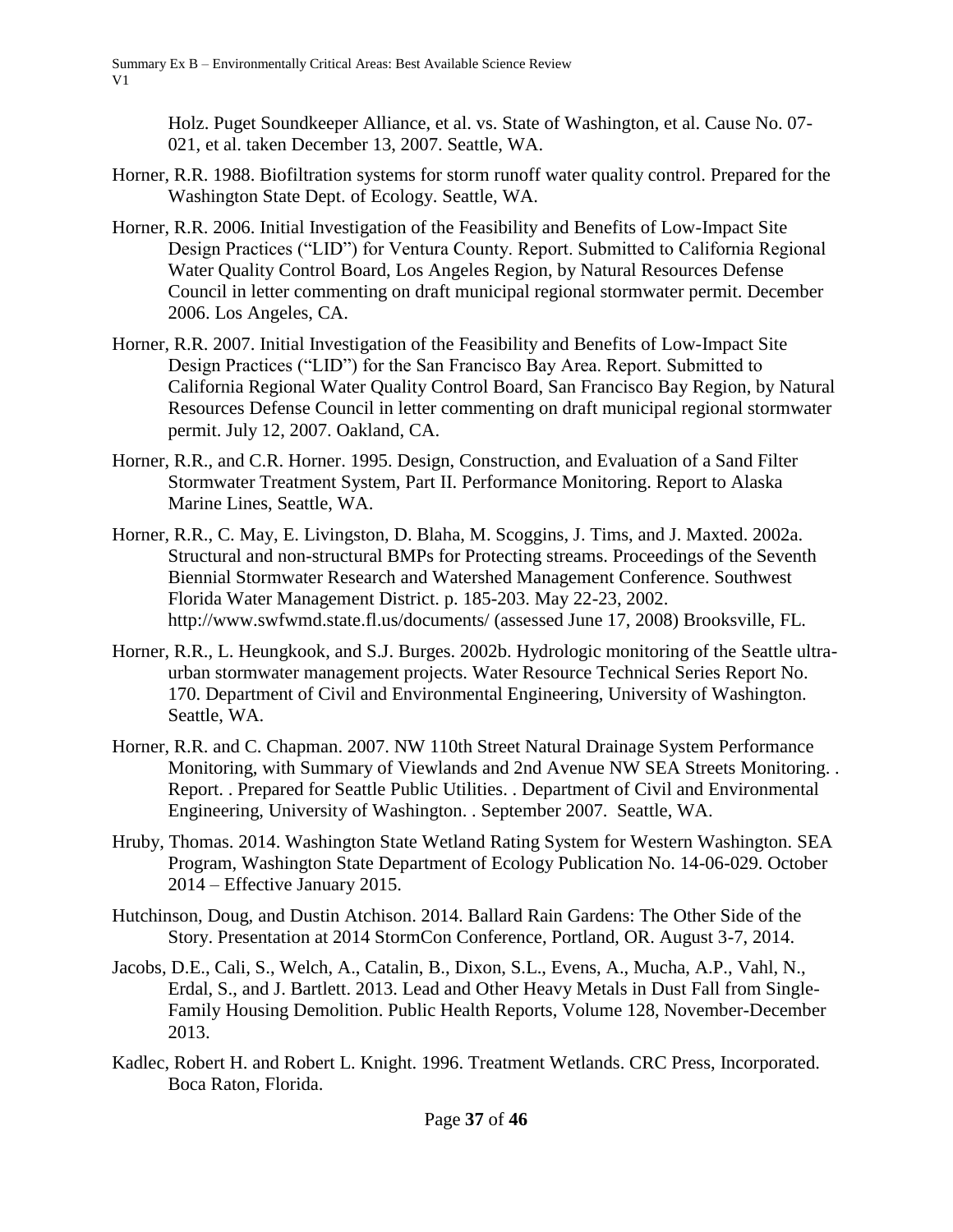Holz. Puget Soundkeeper Alliance, et al. vs. State of Washington, et al. Cause No. 07- 021, et al. taken December 13, 2007. Seattle, WA.

- Horner, R.R. 1988. Biofiltration systems for storm runoff water quality control. Prepared for the Washington State Dept. of Ecology. Seattle, WA.
- Horner, R.R. 2006. Initial Investigation of the Feasibility and Benefits of Low-Impact Site Design Practices ("LID") for Ventura County. Report. Submitted to California Regional Water Quality Control Board, Los Angeles Region, by Natural Resources Defense Council in letter commenting on draft municipal regional stormwater permit. December 2006. Los Angeles, CA.
- Horner, R.R. 2007. Initial Investigation of the Feasibility and Benefits of Low-Impact Site Design Practices ("LID") for the San Francisco Bay Area. Report. Submitted to California Regional Water Quality Control Board, San Francisco Bay Region, by Natural Resources Defense Council in letter commenting on draft municipal regional stormwater permit. July 12, 2007. Oakland, CA.
- Horner, R.R., and C.R. Horner. 1995. Design, Construction, and Evaluation of a Sand Filter Stormwater Treatment System, Part II. Performance Monitoring. Report to Alaska Marine Lines, Seattle, WA.
- Horner, R.R., C. May, E. Livingston, D. Blaha, M. Scoggins, J. Tims, and J. Maxted. 2002a. Structural and non-structural BMPs for Protecting streams. Proceedings of the Seventh Biennial Stormwater Research and Watershed Management Conference. Southwest Florida Water Management District. p. 185-203. May 22-23, 2002. http://www.swfwmd.state.fl.us/documents/ (assessed June 17, 2008) Brooksville, FL.
- Horner, R.R., L. Heungkook, and S.J. Burges. 2002b. Hydrologic monitoring of the Seattle ultraurban stormwater management projects. Water Resource Technical Series Report No. 170. Department of Civil and Environmental Engineering, University of Washington. Seattle, WA.
- Horner, R.R. and C. Chapman. 2007. NW 110th Street Natural Drainage System Performance Monitoring, with Summary of Viewlands and 2nd Avenue NW SEA Streets Monitoring. . Report. . Prepared for Seattle Public Utilities. . Department of Civil and Environmental Engineering, University of Washington. . September 2007. Seattle, WA.
- Hruby, Thomas. 2014. Washington State Wetland Rating System for Western Washington. SEA Program, Washington State Department of Ecology Publication No. 14-06-029. October 2014 – Effective January 2015.
- Hutchinson, Doug, and Dustin Atchison. 2014. Ballard Rain Gardens: The Other Side of the Story. Presentation at 2014 StormCon Conference, Portland, OR. August 3-7, 2014.
- Jacobs, D.E., Cali, S., Welch, A., Catalin, B., Dixon, S.L., Evens, A., Mucha, A.P., Vahl, N., Erdal, S., and J. Bartlett. 2013. Lead and Other Heavy Metals in Dust Fall from Single-Family Housing Demolition. Public Health Reports, Volume 128, November-December 2013.
- Kadlec, Robert H. and Robert L. Knight. 1996. Treatment Wetlands. CRC Press, Incorporated. Boca Raton, Florida.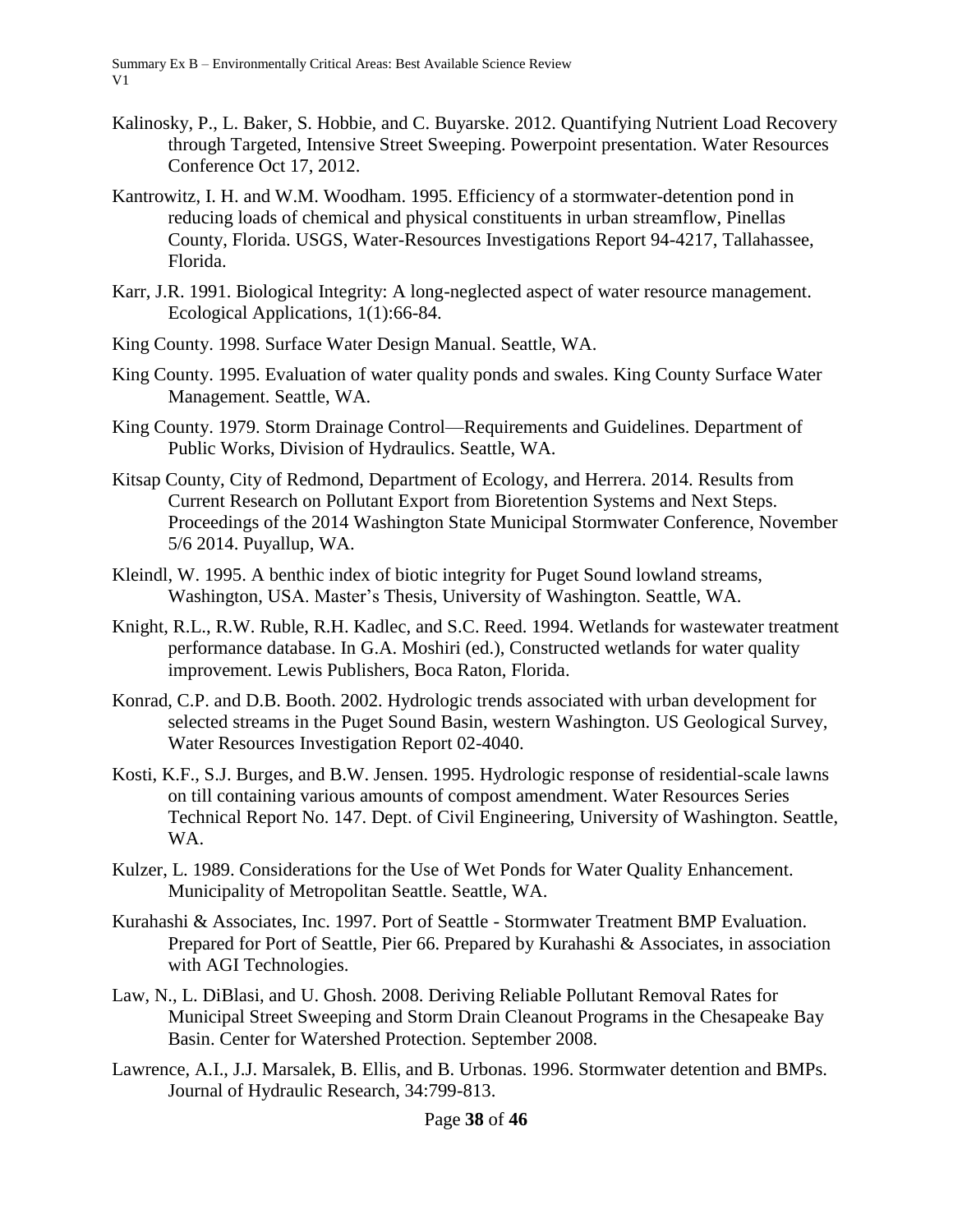- Kalinosky, P., L. Baker, S. Hobbie, and C. Buyarske. 2012. Quantifying Nutrient Load Recovery through Targeted, Intensive Street Sweeping. Powerpoint presentation. Water Resources Conference Oct 17, 2012.
- Kantrowitz, I. H. and W.M. Woodham. 1995. Efficiency of a stormwater-detention pond in reducing loads of chemical and physical constituents in urban streamflow, Pinellas County, Florida. USGS, Water-Resources Investigations Report 94-4217, Tallahassee, Florida.
- Karr, J.R. 1991. Biological Integrity: A long-neglected aspect of water resource management. Ecological Applications, 1(1):66-84.
- King County. 1998. Surface Water Design Manual. Seattle, WA.
- King County. 1995. Evaluation of water quality ponds and swales. King County Surface Water Management. Seattle, WA.
- King County. 1979. Storm Drainage Control—Requirements and Guidelines. Department of Public Works, Division of Hydraulics. Seattle, WA.
- Kitsap County, City of Redmond, Department of Ecology, and Herrera. 2014. Results from Current Research on Pollutant Export from Bioretention Systems and Next Steps. Proceedings of the 2014 Washington State Municipal Stormwater Conference, November 5/6 2014. Puyallup, WA.
- Kleindl, W. 1995. A benthic index of biotic integrity for Puget Sound lowland streams, Washington, USA. Master's Thesis, University of Washington. Seattle, WA.
- Knight, R.L., R.W. Ruble, R.H. Kadlec, and S.C. Reed. 1994. Wetlands for wastewater treatment performance database. In G.A. Moshiri (ed.), Constructed wetlands for water quality improvement. Lewis Publishers, Boca Raton, Florida.
- Konrad, C.P. and D.B. Booth. 2002. Hydrologic trends associated with urban development for selected streams in the Puget Sound Basin, western Washington. US Geological Survey, Water Resources Investigation Report 02-4040.
- Kosti, K.F., S.J. Burges, and B.W. Jensen. 1995. Hydrologic response of residential-scale lawns on till containing various amounts of compost amendment. Water Resources Series Technical Report No. 147. Dept. of Civil Engineering, University of Washington. Seattle, WA.
- Kulzer, L. 1989. Considerations for the Use of Wet Ponds for Water Quality Enhancement. Municipality of Metropolitan Seattle. Seattle, WA.
- Kurahashi & Associates, Inc. 1997. Port of Seattle Stormwater Treatment BMP Evaluation. Prepared for Port of Seattle, Pier 66. Prepared by Kurahashi & Associates, in association with AGI Technologies.
- Law, N., L. DiBlasi, and U. Ghosh. 2008. Deriving Reliable Pollutant Removal Rates for Municipal Street Sweeping and Storm Drain Cleanout Programs in the Chesapeake Bay Basin. Center for Watershed Protection. September 2008.
- Lawrence, A.I., J.J. Marsalek, B. Ellis, and B. Urbonas. 1996. Stormwater detention and BMPs. Journal of Hydraulic Research, 34:799-813.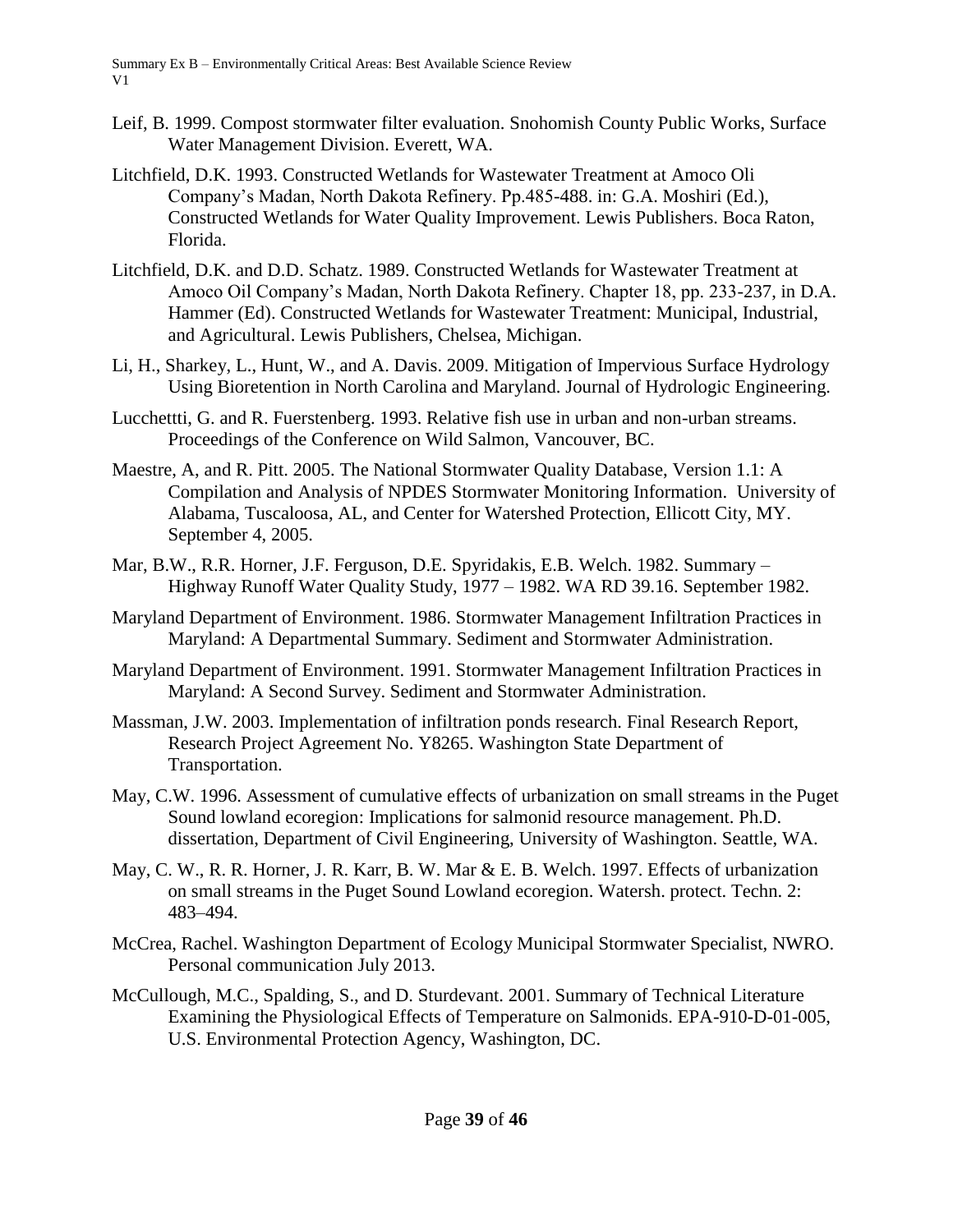- Leif, B. 1999. Compost stormwater filter evaluation. Snohomish County Public Works, Surface Water Management Division. Everett, WA.
- Litchfield, D.K. 1993. Constructed Wetlands for Wastewater Treatment at Amoco Oli Company's Madan, North Dakota Refinery. Pp.485-488. in: G.A. Moshiri (Ed.), Constructed Wetlands for Water Quality Improvement. Lewis Publishers. Boca Raton, Florida.
- Litchfield, D.K. and D.D. Schatz. 1989. Constructed Wetlands for Wastewater Treatment at Amoco Oil Company's Madan, North Dakota Refinery. Chapter 18, pp. 233-237, in D.A. Hammer (Ed). Constructed Wetlands for Wastewater Treatment: Municipal, Industrial, and Agricultural. Lewis Publishers, Chelsea, Michigan.
- Li, H., Sharkey, L., Hunt, W., and A. Davis. 2009. Mitigation of Impervious Surface Hydrology Using Bioretention in North Carolina and Maryland. Journal of Hydrologic Engineering.
- Lucchettti, G. and R. Fuerstenberg. 1993. Relative fish use in urban and non-urban streams. Proceedings of the Conference on Wild Salmon, Vancouver, BC.
- Maestre, A, and R. Pitt. 2005. The National Stormwater Quality Database, Version 1.1: A Compilation and Analysis of NPDES Stormwater Monitoring Information. University of Alabama, Tuscaloosa, AL, and Center for Watershed Protection, Ellicott City, MY. September 4, 2005.
- Mar, B.W., R.R. Horner, J.F. Ferguson, D.E. Spyridakis, E.B. Welch. 1982. Summary Highway Runoff Water Quality Study, 1977 – 1982. WA RD 39.16. September 1982.
- Maryland Department of Environment. 1986. Stormwater Management Infiltration Practices in Maryland: A Departmental Summary. Sediment and Stormwater Administration.
- Maryland Department of Environment. 1991. Stormwater Management Infiltration Practices in Maryland: A Second Survey. Sediment and Stormwater Administration.
- Massman, J.W. 2003. Implementation of infiltration ponds research. Final Research Report, Research Project Agreement No. Y8265. Washington State Department of Transportation.
- May, C.W. 1996. Assessment of cumulative effects of urbanization on small streams in the Puget Sound lowland ecoregion: Implications for salmonid resource management. Ph.D. dissertation, Department of Civil Engineering, University of Washington. Seattle, WA.
- May, C. W., R. R. Horner, J. R. Karr, B. W. Mar & E. B. Welch. 1997. Effects of urbanization on small streams in the Puget Sound Lowland ecoregion. Watersh. protect. Techn. 2: 483–494.
- McCrea, Rachel. Washington Department of Ecology Municipal Stormwater Specialist, NWRO. Personal communication July 2013.
- McCullough, M.C., Spalding, S., and D. Sturdevant. 2001. Summary of Technical Literature Examining the Physiological Effects of Temperature on Salmonids. EPA-910-D-01-005, U.S. Environmental Protection Agency, Washington, DC.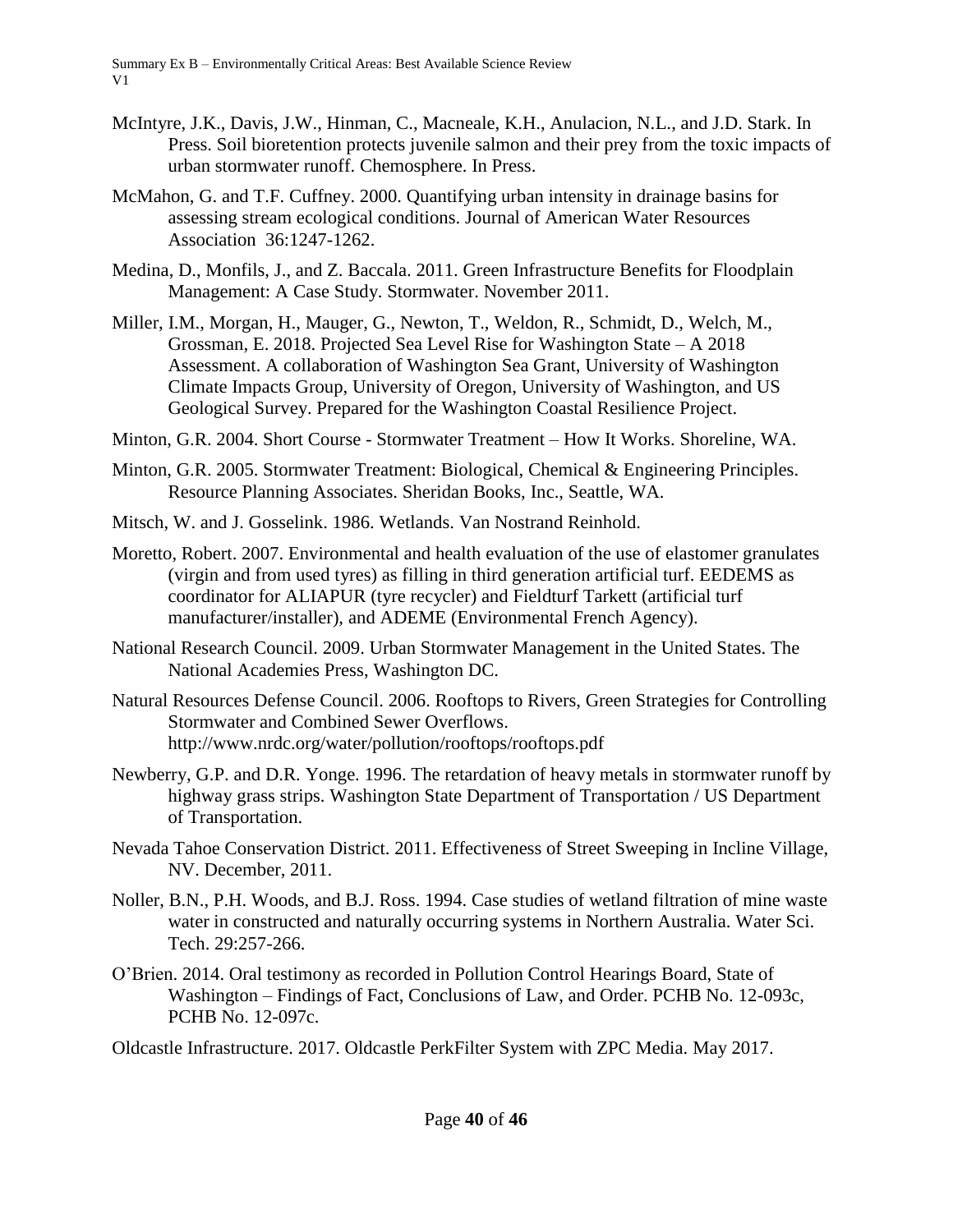- McIntyre, J.K., Davis, J.W., Hinman, C., Macneale, K.H., Anulacion, N.L., and J.D. Stark. In Press. Soil bioretention protects juvenile salmon and their prey from the toxic impacts of urban stormwater runoff. Chemosphere. In Press.
- McMahon, G. and T.F. Cuffney. 2000. Quantifying urban intensity in drainage basins for assessing stream ecological conditions. Journal of American Water Resources Association 36:1247-1262.
- Medina, D., Monfils, J., and Z. Baccala. 2011. Green Infrastructure Benefits for Floodplain Management: A Case Study. Stormwater. November 2011.
- Miller, I.M., Morgan, H., Mauger, G., Newton, T., Weldon, R., Schmidt, D., Welch, M., Grossman, E. 2018. Projected Sea Level Rise for Washington State – A 2018 Assessment. A collaboration of Washington Sea Grant, University of Washington Climate Impacts Group, University of Oregon, University of Washington, and US Geological Survey. Prepared for the Washington Coastal Resilience Project.
- Minton, G.R. 2004. Short Course Stormwater Treatment How It Works. Shoreline, WA.
- Minton, G.R. 2005. Stormwater Treatment: Biological, Chemical & Engineering Principles. Resource Planning Associates. Sheridan Books, Inc., Seattle, WA.
- Mitsch, W. and J. Gosselink. 1986. Wetlands. Van Nostrand Reinhold.
- Moretto, Robert. 2007. Environmental and health evaluation of the use of elastomer granulates (virgin and from used tyres) as filling in third generation artificial turf. EEDEMS as coordinator for ALIAPUR (tyre recycler) and Fieldturf Tarkett (artificial turf manufacturer/installer), and ADEME (Environmental French Agency).
- National Research Council. 2009. Urban Stormwater Management in the United States. The National Academies Press, Washington DC.
- Natural Resources Defense Council. 2006. Rooftops to Rivers, Green Strategies for Controlling Stormwater and Combined Sewer Overflows. http://www.nrdc.org/water/pollution/rooftops/rooftops.pdf
- Newberry, G.P. and D.R. Yonge. 1996. The retardation of heavy metals in stormwater runoff by highway grass strips. Washington State Department of Transportation / US Department of Transportation.
- Nevada Tahoe Conservation District. 2011. Effectiveness of Street Sweeping in Incline Village, NV. December, 2011.
- Noller, B.N., P.H. Woods, and B.J. Ross. 1994. Case studies of wetland filtration of mine waste water in constructed and naturally occurring systems in Northern Australia. Water Sci. Tech. 29:257-266.
- O'Brien. 2014. Oral testimony as recorded in Pollution Control Hearings Board, State of Washington – Findings of Fact, Conclusions of Law, and Order. PCHB No. 12-093c, PCHB No. 12-097c.

Oldcastle Infrastructure. 2017. Oldcastle PerkFilter System with ZPC Media. May 2017.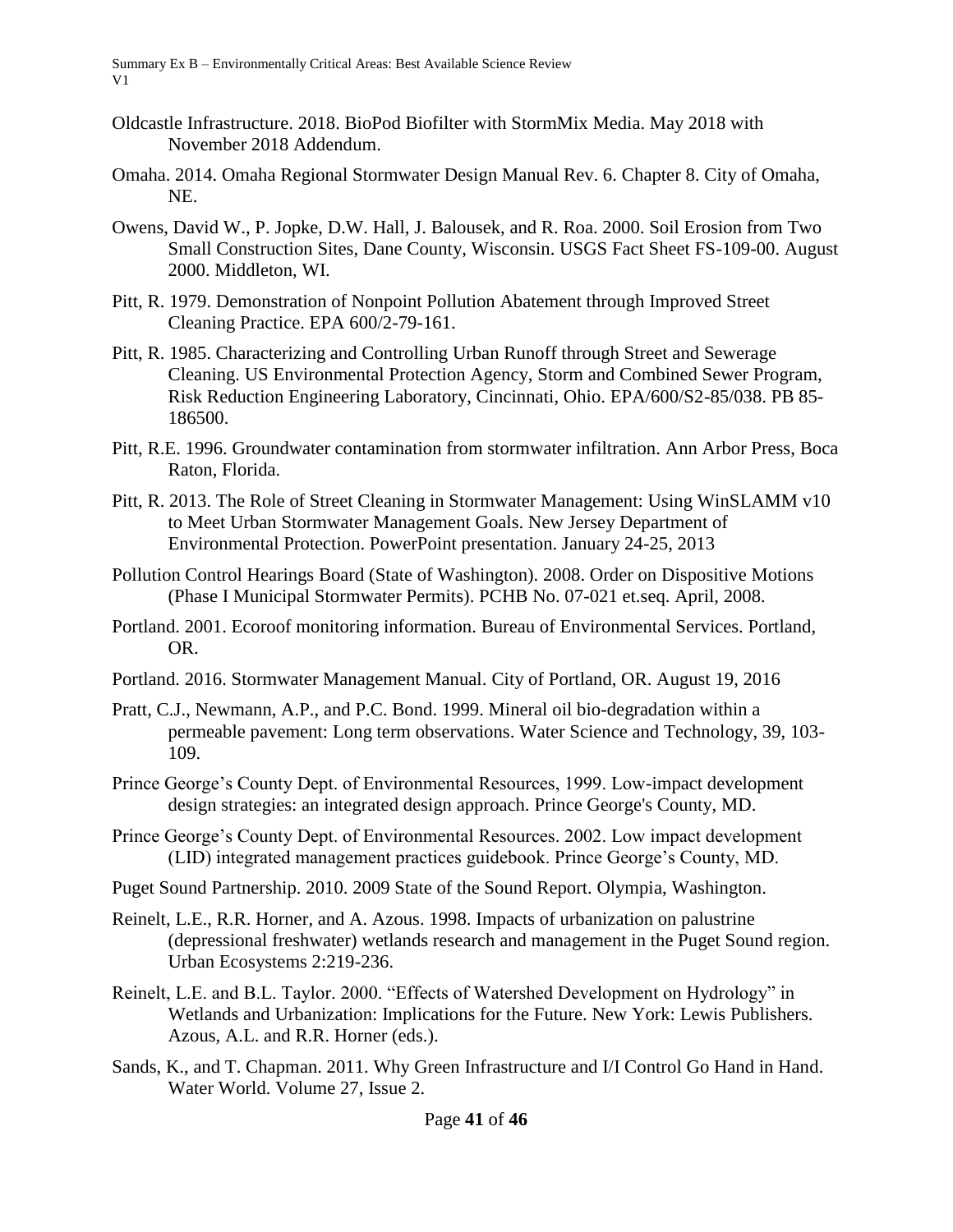- Oldcastle Infrastructure. 2018. BioPod Biofilter with StormMix Media. May 2018 with November 2018 Addendum.
- Omaha. 2014. Omaha Regional Stormwater Design Manual Rev. 6. Chapter 8. City of Omaha, NE.
- Owens, David W., P. Jopke, D.W. Hall, J. Balousek, and R. Roa. 2000. Soil Erosion from Two Small Construction Sites, Dane County, Wisconsin. USGS Fact Sheet FS-109-00. August 2000. Middleton, WI.
- Pitt, R. 1979. Demonstration of Nonpoint Pollution Abatement through Improved Street Cleaning Practice. EPA 600/2-79-161.
- Pitt, R. 1985. Characterizing and Controlling Urban Runoff through Street and Sewerage Cleaning. US Environmental Protection Agency, Storm and Combined Sewer Program, Risk Reduction Engineering Laboratory, Cincinnati, Ohio. EPA/600/S2-85/038. PB 85- 186500.
- Pitt, R.E. 1996. Groundwater contamination from stormwater infiltration. Ann Arbor Press, Boca Raton, Florida.
- Pitt, R. 2013. The Role of Street Cleaning in Stormwater Management: Using WinSLAMM v10 to Meet Urban Stormwater Management Goals. New Jersey Department of Environmental Protection. PowerPoint presentation. January 24-25, 2013
- Pollution Control Hearings Board (State of Washington). 2008. Order on Dispositive Motions (Phase I Municipal Stormwater Permits). PCHB No. 07-021 et.seq. April, 2008.
- Portland. 2001. Ecoroof monitoring information. Bureau of Environmental Services. Portland, OR.
- Portland. 2016. Stormwater Management Manual. City of Portland, OR. August 19, 2016
- Pratt, C.J., Newmann, A.P., and P.C. Bond. 1999. Mineral oil bio-degradation within a permeable pavement: Long term observations. Water Science and Technology, 39, 103- 109.
- Prince George's County Dept. of Environmental Resources, 1999. Low-impact development design strategies: an integrated design approach. Prince George's County, MD.
- Prince George's County Dept. of Environmental Resources. 2002. Low impact development (LID) integrated management practices guidebook. Prince George's County, MD.
- Puget Sound Partnership. 2010. 2009 State of the Sound Report. Olympia, Washington.
- Reinelt, L.E., R.R. Horner, and A. Azous. 1998. Impacts of urbanization on palustrine (depressional freshwater) wetlands research and management in the Puget Sound region. Urban Ecosystems 2:219-236.
- Reinelt, L.E. and B.L. Taylor. 2000. "Effects of Watershed Development on Hydrology" in Wetlands and Urbanization: Implications for the Future. New York: Lewis Publishers. Azous, A.L. and R.R. Horner (eds.).
- Sands, K., and T. Chapman. 2011. Why Green Infrastructure and I/I Control Go Hand in Hand. Water World. Volume 27, Issue 2.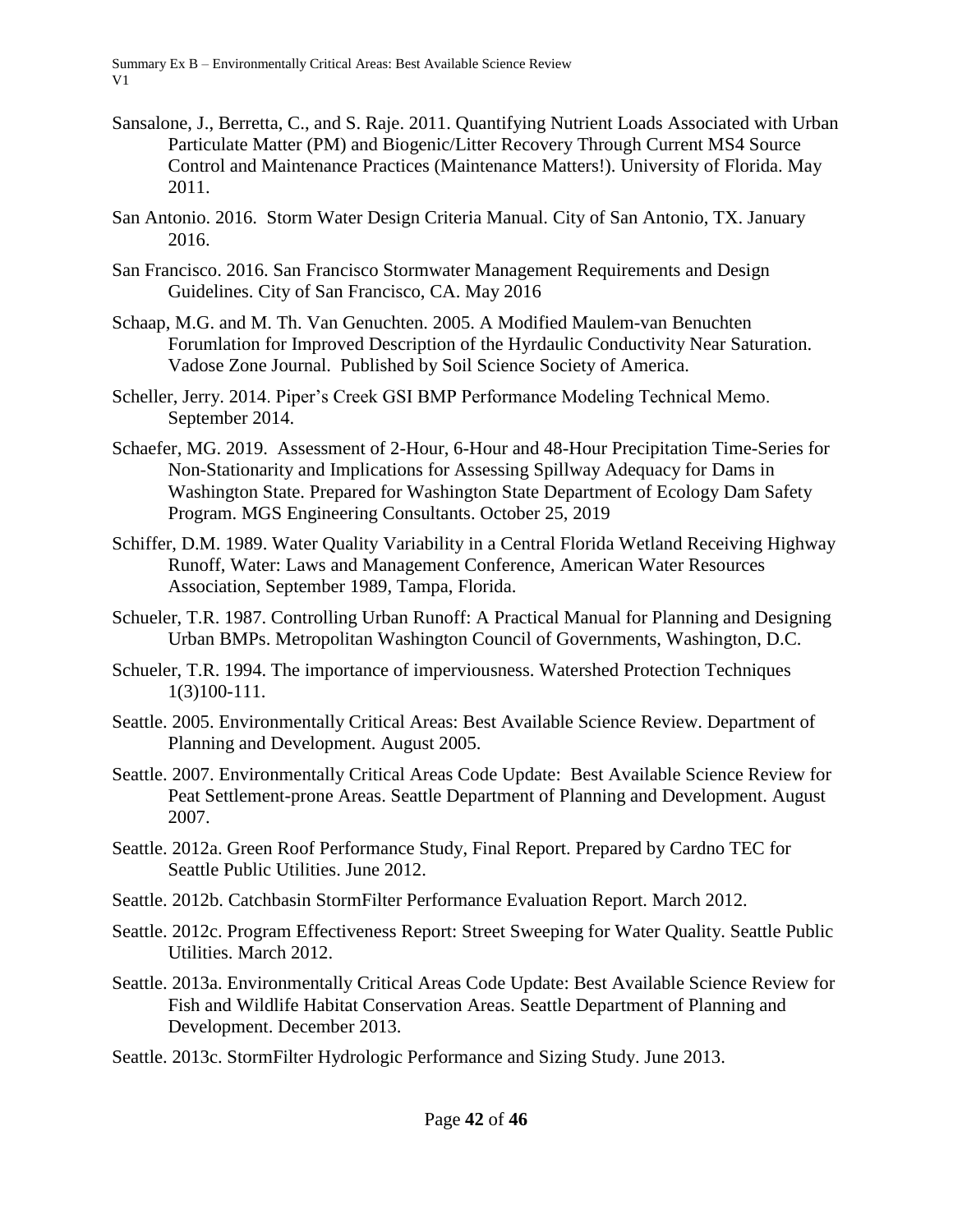- Sansalone, J., Berretta, C., and S. Raje. 2011. Quantifying Nutrient Loads Associated with Urban Particulate Matter (PM) and Biogenic/Litter Recovery Through Current MS4 Source Control and Maintenance Practices (Maintenance Matters!). University of Florida. May 2011.
- San Antonio. 2016. Storm Water Design Criteria Manual. City of San Antonio, TX. January 2016.
- San Francisco. 2016. San Francisco Stormwater Management Requirements and Design Guidelines. City of San Francisco, CA. May 2016
- Schaap, M.G. and M. Th. Van Genuchten. 2005. A Modified Maulem-van Benuchten Forumlation for Improved Description of the Hyrdaulic Conductivity Near Saturation. Vadose Zone Journal. Published by Soil Science Society of America.
- Scheller, Jerry. 2014. Piper's Creek GSI BMP Performance Modeling Technical Memo. September 2014.
- Schaefer, MG. 2019. Assessment of 2-Hour, 6-Hour and 48-Hour Precipitation Time-Series for Non-Stationarity and Implications for Assessing Spillway Adequacy for Dams in Washington State. Prepared for Washington State Department of Ecology Dam Safety Program. MGS Engineering Consultants. October 25, 2019
- Schiffer, D.M. 1989. Water Quality Variability in a Central Florida Wetland Receiving Highway Runoff, Water: Laws and Management Conference, American Water Resources Association, September 1989, Tampa, Florida.
- Schueler, T.R. 1987. Controlling Urban Runoff: A Practical Manual for Planning and Designing Urban BMPs. Metropolitan Washington Council of Governments, Washington, D.C.
- Schueler, T.R. 1994. The importance of imperviousness. Watershed Protection Techniques 1(3)100-111.
- Seattle. 2005. Environmentally Critical Areas: Best Available Science Review. Department of Planning and Development. August 2005.
- Seattle. 2007. Environmentally Critical Areas Code Update: Best Available Science Review for Peat Settlement-prone Areas. Seattle Department of Planning and Development. August 2007.
- Seattle. 2012a. Green Roof Performance Study, Final Report. Prepared by Cardno TEC for Seattle Public Utilities. June 2012.
- Seattle. 2012b. Catchbasin StormFilter Performance Evaluation Report. March 2012.
- Seattle. 2012c. Program Effectiveness Report: Street Sweeping for Water Quality. Seattle Public Utilities. March 2012.
- Seattle. 2013a. Environmentally Critical Areas Code Update: Best Available Science Review for Fish and Wildlife Habitat Conservation Areas. Seattle Department of Planning and Development. December 2013.
- Seattle. 2013c. StormFilter Hydrologic Performance and Sizing Study. June 2013.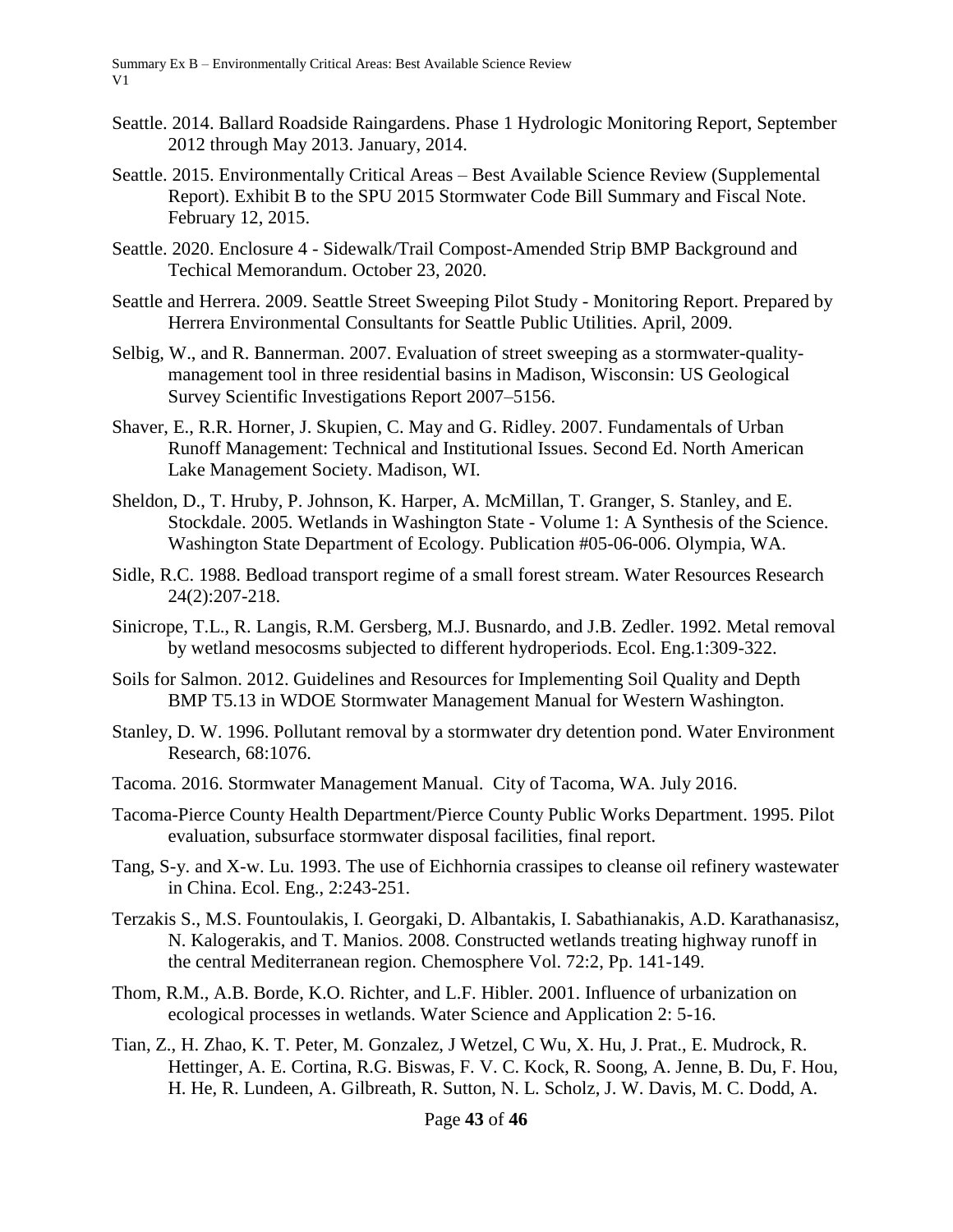- Seattle. 2014. Ballard Roadside Raingardens. Phase 1 Hydrologic Monitoring Report, September 2012 through May 2013. January, 2014.
- Seattle. 2015. Environmentally Critical Areas Best Available Science Review (Supplemental Report). Exhibit B to the SPU 2015 Stormwater Code Bill Summary and Fiscal Note. February 12, 2015.
- Seattle. 2020. Enclosure 4 Sidewalk/Trail Compost-Amended Strip BMP Background and Techical Memorandum. October 23, 2020.
- Seattle and Herrera. 2009. Seattle Street Sweeping Pilot Study Monitoring Report. Prepared by Herrera Environmental Consultants for Seattle Public Utilities. April, 2009.
- Selbig, W., and R. Bannerman. 2007. Evaluation of street sweeping as a stormwater-qualitymanagement tool in three residential basins in Madison, Wisconsin: US Geological Survey Scientific Investigations Report 2007–5156.
- Shaver, E., R.R. Horner, J. Skupien, C. May and G. Ridley. 2007. Fundamentals of Urban Runoff Management: Technical and Institutional Issues. Second Ed. North American Lake Management Society. Madison, WI.
- Sheldon, D., T. Hruby, P. Johnson, K. Harper, A. McMillan, T. Granger, S. Stanley, and E. Stockdale. 2005. Wetlands in Washington State - Volume 1: A Synthesis of the Science. Washington State Department of Ecology. Publication #05-06-006. Olympia, WA.
- Sidle, R.C. 1988. Bedload transport regime of a small forest stream. Water Resources Research 24(2):207-218.
- Sinicrope, T.L., R. Langis, R.M. Gersberg, M.J. Busnardo, and J.B. Zedler. 1992. Metal removal by wetland mesocosms subjected to different hydroperiods. Ecol. Eng.1:309-322.
- Soils for Salmon. 2012. Guidelines and Resources for Implementing Soil Quality and Depth BMP T5.13 in WDOE Stormwater Management Manual for Western Washington.
- Stanley, D. W. 1996. Pollutant removal by a stormwater dry detention pond. Water Environment Research, 68:1076.
- Tacoma. 2016. Stormwater Management Manual. City of Tacoma, WA. July 2016.
- Tacoma-Pierce County Health Department/Pierce County Public Works Department. 1995. Pilot evaluation, subsurface stormwater disposal facilities, final report.
- Tang, S-y. and X-w. Lu. 1993. The use of Eichhornia crassipes to cleanse oil refinery wastewater in China. Ecol. Eng., 2:243-251.
- Terzakis S., M.S. Fountoulakis, I. Georgaki, D. Albantakis, I. Sabathianakis, A.D. Karathanasisz, N. Kalogerakis, and T. Manios. 2008. Constructed wetlands treating highway runoff in the central Mediterranean region. Chemosphere Vol. 72:2, Pp. 141-149.
- Thom, R.M., A.B. Borde, K.O. Richter, and L.F. Hibler. 2001. Influence of urbanization on ecological processes in wetlands. Water Science and Application 2: 5-16.
- Tian, Z., H. Zhao, K. T. Peter, M. Gonzalez, J Wetzel, C Wu, X. Hu, J. Prat., E. Mudrock, R. Hettinger, A. E. Cortina, R.G. Biswas, F. V. C. Kock, R. Soong, A. Jenne, B. Du, F. Hou, H. He, R. Lundeen, A. Gilbreath, R. Sutton, N. L. Scholz, J. W. Davis, M. C. Dodd, A.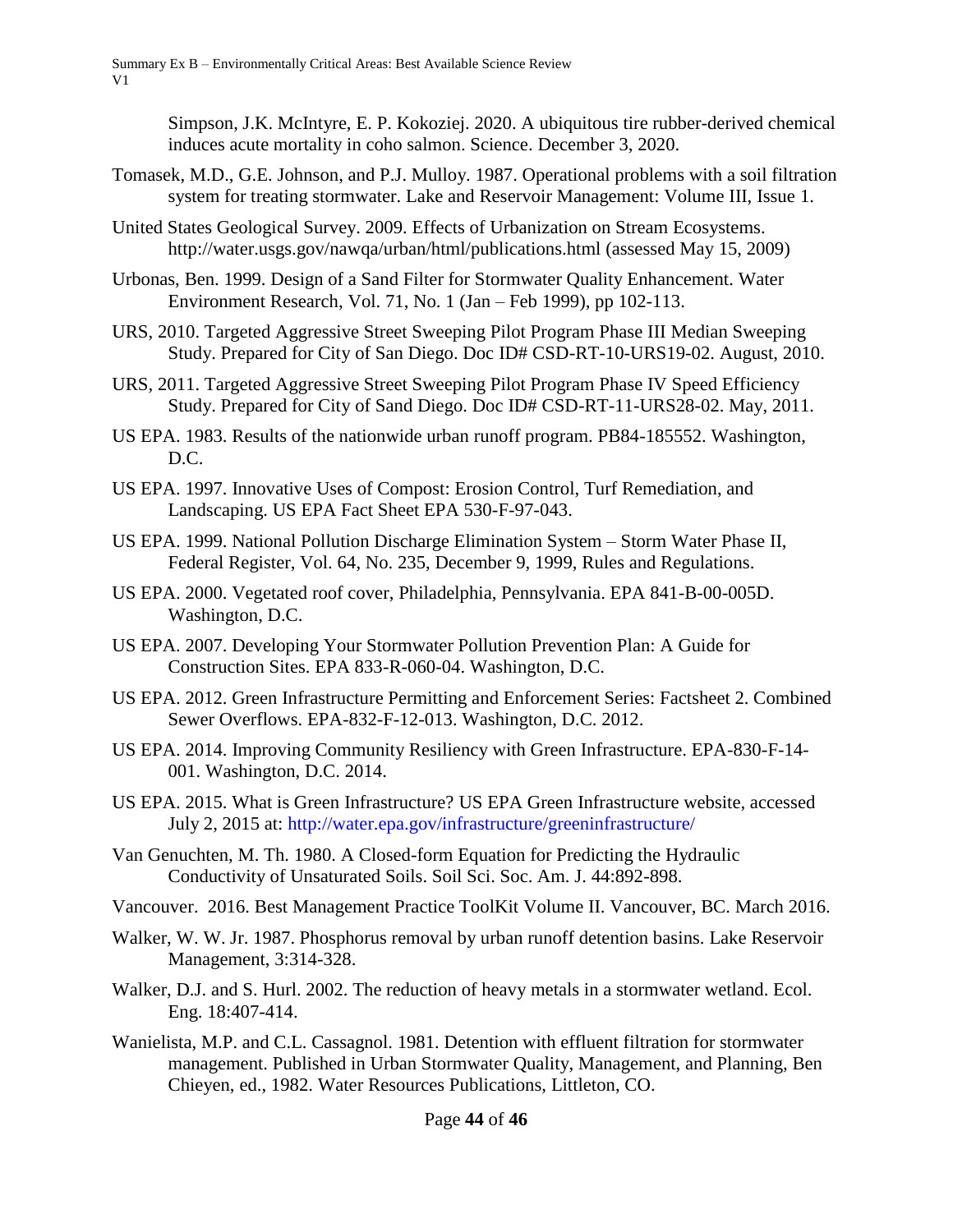Simpson, J.K. McIntyre, E. P. Kokoziej. 2020. A ubiquitous tire rubber-derived chemical induces acute mortality in coho salmon. Science. December 3, 2020.

- Tomasek, M.D., G.E. Johnson, and P.J. Mulloy. 1987. Operational problems with a soil filtration system for treating stormwater. Lake and Reservoir Management: Volume III, Issue 1.
- United States Geological Survey. 2009. Effects of Urbanization on Stream Ecosystems. http://water.usgs.gov/nawqa/urban/html/publications.html (assessed May 15, 2009)
- Urbonas, Ben. 1999. Design of a Sand Filter for Stormwater Quality Enhancement. Water Environment Research, Vol. 71, No. 1 (Jan – Feb 1999), pp 102-113.
- URS, 2010. Targeted Aggressive Street Sweeping Pilot Program Phase III Median Sweeping Study. Prepared for City of San Diego. Doc ID# CSD-RT-10-URS19-02. August, 2010.
- URS, 2011. Targeted Aggressive Street Sweeping Pilot Program Phase IV Speed Efficiency Study. Prepared for City of Sand Diego. Doc ID# CSD-RT-11-URS28-02. May, 2011.
- US EPA. 1983. Results of the nationwide urban runoff program. PB84-185552. Washington, D.C.
- US EPA. 1997. Innovative Uses of Compost: Erosion Control, Turf Remediation, and Landscaping. US EPA Fact Sheet EPA 530-F-97-043.
- US EPA. 1999. National Pollution Discharge Elimination System Storm Water Phase II, Federal Register, Vol. 64, No. 235, December 9, 1999, Rules and Regulations.
- US EPA. 2000. Vegetated roof cover, Philadelphia, Pennsylvania. EPA 841-B-00-005D. Washington, D.C.
- US EPA. 2007. Developing Your Stormwater Pollution Prevention Plan: A Guide for Construction Sites. EPA 833-R-060-04. Washington, D.C.
- US EPA. 2012. Green Infrastructure Permitting and Enforcement Series: Factsheet 2. Combined Sewer Overflows. EPA-832-F-12-013. Washington, D.C. 2012.
- US EPA. 2014. Improving Community Resiliency with Green Infrastructure. EPA-830-F-14- 001. Washington, D.C. 2014.
- US EPA. 2015. What is Green Infrastructure? US EPA Green Infrastructure website, accessed July 2, 2015 at:<http://water.epa.gov/infrastructure/greeninfrastructure/>
- Van Genuchten, M. Th. 1980. A Closed-form Equation for Predicting the Hydraulic Conductivity of Unsaturated Soils. Soil Sci. Soc. Am. J. 44:892-898.
- Vancouver. 2016. Best Management Practice ToolKit Volume II. Vancouver, BC. March 2016.
- Walker, W. W. Jr. 1987. Phosphorus removal by urban runoff detention basins. Lake Reservoir Management, 3:314-328.
- Walker, D.J. and S. Hurl. 2002. The reduction of heavy metals in a stormwater wetland. Ecol. Eng. 18:407-414.
- Wanielista, M.P. and C.L. Cassagnol. 1981. Detention with effluent filtration for stormwater management. Published in Urban Stormwater Quality, Management, and Planning, Ben Chieyen, ed., 1982. Water Resources Publications, Littleton, CO.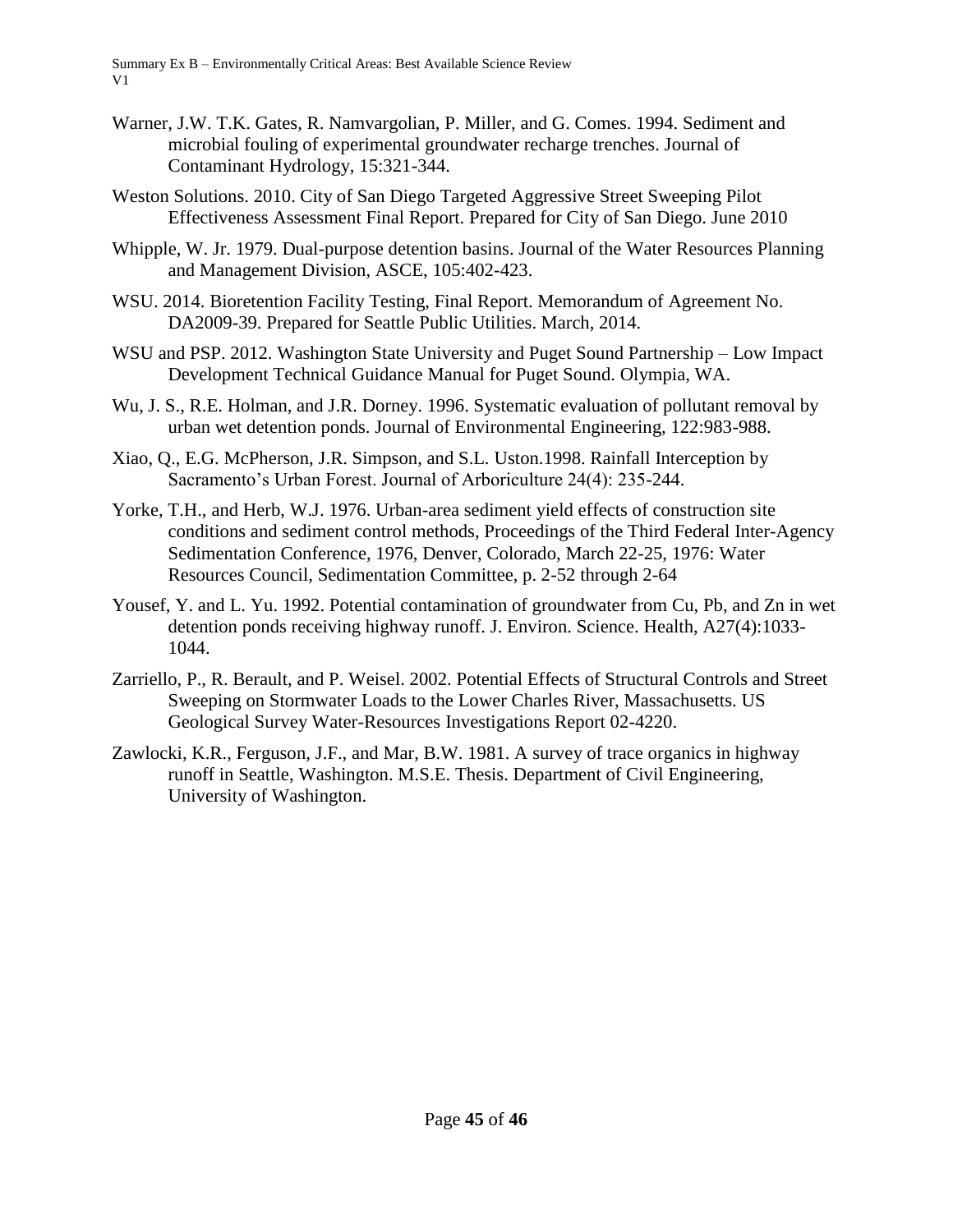- Warner, J.W. T.K. Gates, R. Namvargolian, P. Miller, and G. Comes. 1994. Sediment and microbial fouling of experimental groundwater recharge trenches. Journal of Contaminant Hydrology, 15:321-344.
- Weston Solutions. 2010. City of San Diego Targeted Aggressive Street Sweeping Pilot Effectiveness Assessment Final Report. Prepared for City of San Diego. June 2010
- Whipple, W. Jr. 1979. Dual-purpose detention basins. Journal of the Water Resources Planning and Management Division, ASCE, 105:402-423.
- WSU. 2014. Bioretention Facility Testing, Final Report. Memorandum of Agreement No. DA2009-39. Prepared for Seattle Public Utilities. March, 2014.
- WSU and PSP. 2012. Washington State University and Puget Sound Partnership Low Impact Development Technical Guidance Manual for Puget Sound. Olympia, WA.
- Wu, J. S., R.E. Holman, and J.R. Dorney. 1996. Systematic evaluation of pollutant removal by urban wet detention ponds. Journal of Environmental Engineering, 122:983-988.
- Xiao, Q., E.G. McPherson, J.R. Simpson, and S.L. Uston.1998. Rainfall Interception by Sacramento's Urban Forest. Journal of Arboriculture 24(4): 235-244.
- Yorke, T.H., and Herb, W.J. 1976. Urban-area sediment yield effects of construction site conditions and sediment control methods, Proceedings of the Third Federal Inter-Agency Sedimentation Conference, 1976, Denver, Colorado, March 22-25, 1976: Water Resources Council, Sedimentation Committee, p. 2-52 through 2-64
- Yousef, Y. and L. Yu. 1992. Potential contamination of groundwater from Cu, Pb, and Zn in wet detention ponds receiving highway runoff. J. Environ. Science. Health, A27(4):1033- 1044.
- Zarriello, P., R. Berault, and P. Weisel. 2002. Potential Effects of Structural Controls and Street Sweeping on Stormwater Loads to the Lower Charles River, Massachusetts. US Geological Survey Water-Resources Investigations Report 02-4220.
- Zawlocki, K.R., Ferguson, J.F., and Mar, B.W. 1981. A survey of trace organics in highway runoff in Seattle, Washington. M.S.E. Thesis. Department of Civil Engineering, University of Washington.